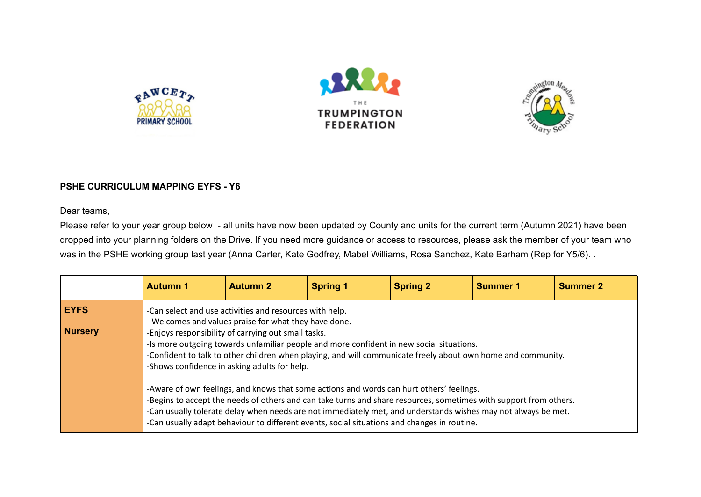





## **PSHE CURRICULUM MAPPING EYFS - Y6**

Dear teams,

Please refer to your year group below - all units have now been updated by County and units for the current term (Autumn 2021) have been dropped into your planning folders on the Drive. If you need more guidance or access to resources, please ask the member of your team who was in the PSHE working group last year (Anna Carter, Kate Godfrey, Mabel Williams, Rosa Sanchez, Kate Barham (Rep for Y5/6). .

|                               | <b>Autumn 1</b>                                                                                                                                                                                                                                                                                                                                                                                                               | <b>Autumn 2</b>                                                                                                                                                                                                                                                                                                                                                                                                                    | <b>Spring 1</b> | <b>Spring 2</b> | <b>Summer 1</b> | <b>Summer 2</b> |  |  |  |
|-------------------------------|-------------------------------------------------------------------------------------------------------------------------------------------------------------------------------------------------------------------------------------------------------------------------------------------------------------------------------------------------------------------------------------------------------------------------------|------------------------------------------------------------------------------------------------------------------------------------------------------------------------------------------------------------------------------------------------------------------------------------------------------------------------------------------------------------------------------------------------------------------------------------|-----------------|-----------------|-----------------|-----------------|--|--|--|
| <b>EYFS</b><br><b>Nursery</b> |                                                                                                                                                                                                                                                                                                                                                                                                                               | -Can select and use activities and resources with help.<br>-Welcomes and values praise for what they have done.<br>-Enjoys responsibility of carrying out small tasks.<br>-Is more outgoing towards unfamiliar people and more confident in new social situations.<br>-Confident to talk to other children when playing, and will communicate freely about own home and community.<br>-Shows confidence in asking adults for help. |                 |                 |                 |                 |  |  |  |
|                               | -Aware of own feelings, and knows that some actions and words can hurt others' feelings.<br>-Begins to accept the needs of others and can take turns and share resources, sometimes with support from others.<br>-Can usually tolerate delay when needs are not immediately met, and understands wishes may not always be met.<br>-Can usually adapt behaviour to different events, social situations and changes in routine. |                                                                                                                                                                                                                                                                                                                                                                                                                                    |                 |                 |                 |                 |  |  |  |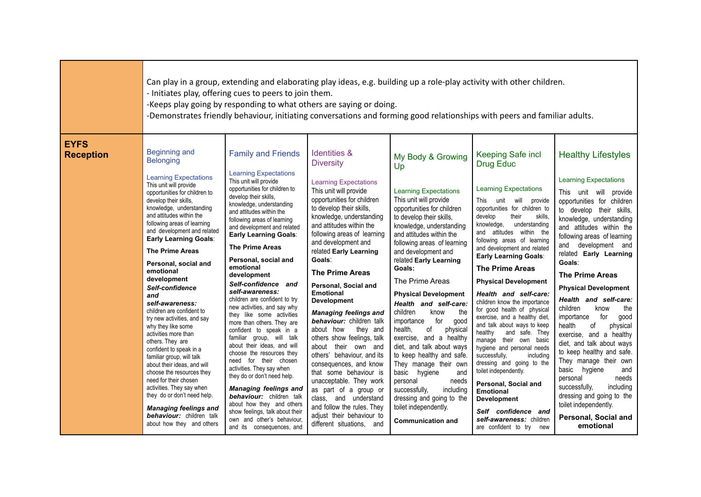|                                 | Can play in a group, extending and elaborating play ideas, e.g. building up a role-play activity with other children.<br>- Initiates play, offering cues to peers to join them.<br>-Keeps play going by responding to what others are saying or doing.<br>-Demonstrates friendly behaviour, initiating conversations and forming good relationships with peers and familiar adults.                                                                                                                                                                                                                                                                                                                                                                                                                                                                                                  |                                                                                                                                                                                                                                                                                                                                                                                                                                                                                                                                                                                                                                                                                                                                                                                                                                                                                                                                                        |                                                                                                                                                                                                                                                                                                                                                                                                                                                                                                                                                                                                                                                                                                                                                                                                                |                                                                                                                                                                                                                                                                                                                                                                                                                                                                                                                                                                                                                                                                                                                                          |                                                                                                                                                                                                                                                                                                                                                                                                                                                                                                                                                                                                                                                                                                                                                                                                                                                                        |                                                                                                                                                                                                                                                                                                                                                                                                                                                                                                                                                                                                                                                                                                                                                           |  |  |
|---------------------------------|--------------------------------------------------------------------------------------------------------------------------------------------------------------------------------------------------------------------------------------------------------------------------------------------------------------------------------------------------------------------------------------------------------------------------------------------------------------------------------------------------------------------------------------------------------------------------------------------------------------------------------------------------------------------------------------------------------------------------------------------------------------------------------------------------------------------------------------------------------------------------------------|--------------------------------------------------------------------------------------------------------------------------------------------------------------------------------------------------------------------------------------------------------------------------------------------------------------------------------------------------------------------------------------------------------------------------------------------------------------------------------------------------------------------------------------------------------------------------------------------------------------------------------------------------------------------------------------------------------------------------------------------------------------------------------------------------------------------------------------------------------------------------------------------------------------------------------------------------------|----------------------------------------------------------------------------------------------------------------------------------------------------------------------------------------------------------------------------------------------------------------------------------------------------------------------------------------------------------------------------------------------------------------------------------------------------------------------------------------------------------------------------------------------------------------------------------------------------------------------------------------------------------------------------------------------------------------------------------------------------------------------------------------------------------------|------------------------------------------------------------------------------------------------------------------------------------------------------------------------------------------------------------------------------------------------------------------------------------------------------------------------------------------------------------------------------------------------------------------------------------------------------------------------------------------------------------------------------------------------------------------------------------------------------------------------------------------------------------------------------------------------------------------------------------------|------------------------------------------------------------------------------------------------------------------------------------------------------------------------------------------------------------------------------------------------------------------------------------------------------------------------------------------------------------------------------------------------------------------------------------------------------------------------------------------------------------------------------------------------------------------------------------------------------------------------------------------------------------------------------------------------------------------------------------------------------------------------------------------------------------------------------------------------------------------------|-----------------------------------------------------------------------------------------------------------------------------------------------------------------------------------------------------------------------------------------------------------------------------------------------------------------------------------------------------------------------------------------------------------------------------------------------------------------------------------------------------------------------------------------------------------------------------------------------------------------------------------------------------------------------------------------------------------------------------------------------------------|--|--|
| <b>EYFS</b><br><b>Reception</b> | <b>Beginning and</b><br><b>Belonging</b><br><b>Learning Expectations</b><br>This unit will provide<br>opportunities for children to<br>develop their skills,<br>knowledge, understanding<br>and attitudes within the<br>following areas of learning<br>and development and related<br><b>Early Learning Goals:</b><br><b>The Prime Areas</b><br>Personal, social and<br>emotional<br>development<br>Self-confidence<br>and<br>self-awareness:<br>children are confident to<br>try new activities, and say<br>why they like some<br>activities more than<br>others. They are<br>confident to speak in a<br>familiar group, will talk<br>about their ideas, and will<br>choose the resources they<br>need for their chosen<br>activities. They say when<br>they do or don't need help.<br><b>Managing feelings and</b><br><b>behaviour:</b> children talk<br>about how they and others | <b>Family and Friends</b><br><b>Learning Expectations</b><br>This unit will provide<br>opportunities for children to<br>develop their skills,<br>knowledge, understanding<br>and attitudes within the<br>following areas of learning<br>and development and related<br><b>Early Learning Goals:</b><br><b>The Prime Areas</b><br>Personal, social and<br>emotional<br>development<br>Self-confidence and<br>self-awareness:<br>children are confident to try<br>new activities, and say why<br>they like some activities<br>more than others. They are<br>confident to speak in a<br>familiar group, will talk<br>about their ideas, and will<br>choose the resources they<br>need for their chosen<br>activities. They say when<br>they do or don't need help.<br><b>Managing feelings and</b><br>behaviour: children talk<br>about how they and others<br>show feelings, talk about their<br>own and other's behaviour,<br>and its consequences, and | <b>Identities &amp;</b><br><b>Diversity</b><br><b>Learning Expectations</b><br>This unit will provide<br>opportunities for children<br>to develop their skills,<br>knowledge, understanding<br>and attitudes within the<br>following areas of learning<br>and development and<br>related Early Learning<br>Goals:<br><b>The Prime Areas</b><br>Personal, Social and<br><b>Emotional</b><br><b>Development</b><br><b>Managing feelings and</b><br>behaviour: children talk<br>about how<br>they and<br>others show feelings, talk<br>about their own and<br>others' behaviour, and its<br>consequences, and know<br>that some behaviour is<br>unacceptable. They work<br>as part of a group or<br>class, and understand<br>and follow the rules. They<br>adjust their behaviour to<br>different situations, and | My Body & Growing<br>Up<br><b>Learning Expectations</b><br>This unit will provide<br>opportunities for children<br>to develop their skills,<br>knowledge, understanding<br>and attitudes within the<br>following areas of learning<br>and development and<br>related Early Learning<br>Goals:<br>The Prime Areas<br><b>Physical Development</b><br>Health and self-care:<br>the<br>children<br>know<br>for<br>importance<br>good<br>health,<br>of<br>physical<br>exercise, and a healthy<br>diet, and talk about ways<br>to keep healthy and safe.<br>They manage their own<br>basic hygiene<br>and<br>personal<br>needs<br>successfully,<br>including<br>dressing and going to the<br>toilet independently.<br><b>Communication and</b> | Keeping Safe incl<br><b>Drug Educ</b><br><b>Learning Expectations</b><br>This unit will provide<br>opportunities for children to<br>develop<br>their<br>skills,<br>knowledge,<br>understanding<br>and attitudes within the<br>following areas of learning<br>and development and related<br><b>Early Learning Goals:</b><br><b>The Prime Areas</b><br><b>Physical Development</b><br>Health and self-care:<br>children know the importance<br>for good health of physical<br>exercise, and a healthy diet,<br>and talk about ways to keep<br>healthy<br>and safe. They<br>manage their own basic<br>hygiene and personal needs<br>successfully,<br>including<br>dressing and going to the<br>toilet independently.<br>Personal, Social and<br><b>Emotional</b><br><b>Development</b><br>Self confidence and<br>self-awareness: children<br>are confident to try<br>new | <b>Healthy Lifestyles</b><br><b>Learning Expectations</b><br>This unit will provide<br>opportunities for children<br>to develop their skills,<br>knowledge, understanding<br>and attitudes within the<br>following areas of learning<br>and development and<br>related Early Learning<br>Goals:<br><b>The Prime Areas</b><br><b>Physical Development</b><br>Health and self-care:<br>children<br>know<br>the<br>importance<br>for<br>good<br>health<br>οf<br>physical<br>exercise, and a healthy<br>diet, and talk about ways<br>to keep healthy and safe.<br>They manage their own<br>basic hygiene<br>and<br>personal<br>needs<br>successfully,<br>including<br>dressing and going to the<br>toilet independently.<br>Personal, Social and<br>emotional |  |  |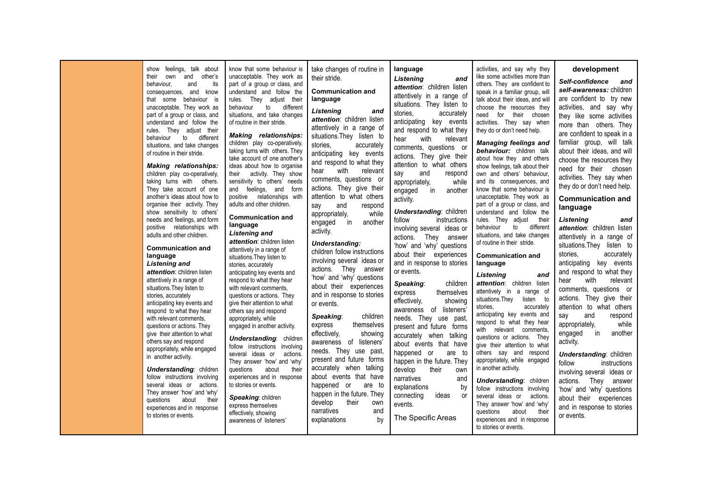| show feelings, talk about<br>their own<br>behaviour.<br>and<br>consequences, and know<br>that some behaviour is<br>unacceptable. They work as<br>part of a group or class, and<br>understand and follow the<br>rules. They adjust their<br>behaviour<br>to<br>situations, and take changes<br>of routine in their stride.<br><b>Making relationships:</b><br>children play co-operatively,<br>taking turns with others.<br>They take account of one<br>another's ideas about how to<br>organise their activity. They<br>show sensitivity to others'<br>needs and feelings, and form<br>positive relationships with<br>adults and other children.<br><b>Communication and</b><br>language<br><b>Listening and</b><br>attention: children listen<br>attentively in a range of<br>situations. They listen to<br>stories, accurately<br>anticipating key events and<br>respond to what they hear<br>with relevant comments.<br>questions or actions. They<br>give their attention to what<br>others say and respond<br>appropriately, while engaged<br>in another activity.<br><b>Understanding: children</b><br>follow instructions involving<br>several ideas or actions.<br>They answer 'how' and 'why'<br>questions<br>about<br>experiences and in response<br>to stories or events. | know that some behaviour is<br>unacceptable. They work as<br>and other's<br>its<br>part of a group or class, and<br>understand and follow the<br>rules. They adjust their<br>to<br>behaviour<br>different<br>situations, and take changes<br>of routine in their stride.<br><b>Making</b> relationships:<br>different<br>children play co-operatively,<br>taking turns with others. They<br>take account of one another's<br>ideas about how to organise<br>their<br>activity. They show<br>sensitivity to others' needs<br>and feelings, and form<br>positive relationships with<br>adults and other children.<br><b>Communication and</b><br>language<br><b>Listening and</b><br>attention: children listen<br>attentively in a range of<br>situations. They listen to<br>stories, accurately<br>anticipating key events and<br>respond to what they hear<br>with relevant comments.<br>questions or actions. They<br>give their attention to what<br>others say and respond<br>appropriately, while<br>engaged in another activity.<br><b>Understanding:</b> children<br>follow instructions involving<br>several ideas or<br>actions.<br>They answer 'how' and 'why'<br>questions<br>about<br>their<br>experiences and in response<br>to stories or events.<br>Speaking: children<br>their<br>express themselves<br>effectively, showing | take changes of routine in<br>their stride.<br><b>Communication and</b><br>language<br>Listening<br>and<br>attention: children listen<br>attentively in a range of<br>situations. They listen to<br>stories.<br>accurately<br>anticipating key events<br>and respond to what they<br>with<br>relevant<br>hear<br>comments, questions or<br>actions. They give their<br>attention to what others<br>say<br>and<br>respond<br>while<br>appropriately,<br>another<br>in<br>engaged<br>activity.<br><b>Understanding:</b><br>children follow instructions<br>involving several ideas or<br>actions. They<br>answer<br>'how' and 'why' questions<br>about their experiences<br>and in response to stories<br>or events.<br>children<br>Speaking:<br>themselves<br>express<br>effectively,<br>showing<br>awareness of listeners'<br>needs. They use past,<br>present and future forms<br>accurately when talking<br>about events that have<br>happened or<br>are to<br>happen in the future. They<br>develop<br>their<br>own<br>narratives<br>and | language<br><b>Listening</b><br>and<br>attention: children listen<br>attentively in a range of<br>situations. They listen to<br>stories,<br>accurately<br>anticipating key events<br>and respond to what they<br>with<br>hear<br>relevant<br>comments, questions or<br>actions. They give their<br>attention to what others<br>and<br>say<br>respond<br>appropriately,<br>while<br>engaged<br>in<br>another<br>activity.<br><b>Understanding: children</b><br>follow<br>instructions<br>involving several ideas or<br>actions. They answer<br>'how' and 'why' questions<br>about their experiences<br>and in response to stories<br>or events.<br>children<br>Speaking:<br>themselves<br>express<br>effectively.<br>showing<br>awareness of listeners'<br>needs. They use past,<br>present and future forms<br>accurately when talking<br>about events that have<br>happened or<br>are to<br>happen in the future. They<br>develop<br>their<br>own<br>narratives<br>and<br>explanations<br>by<br>connecting<br>ideas<br>or<br>events. | activities, and say why they<br>like some activities more than<br>others. They are confident to<br>speak in a familiar group, will<br>talk about their ideas, and will<br>choose the resources they<br>need for their chosen<br>activities. They say when<br>they do or don't need help.<br><b>Managing feelings and</b><br>behaviour: children talk<br>about how they and others<br>show feelings, talk about their<br>own and others' behaviour,<br>and its consequences, and<br>know that some behaviour is<br>unacceptable. They work as<br>part of a group or class, and<br>understand and follow the<br>rules. They adjust<br>their<br>behaviour<br>to different<br>situations, and take changes<br>of routine in their stride.<br><b>Communication and</b><br>language<br>Listening<br>and<br>attention: children listen<br>attentively in a range of<br>situations. They<br>listen to<br>stories.<br>accurately<br>anticipating key events and<br>respond to what they hear<br>with relevant comments,<br>questions or actions. They<br>give their attention to what<br>others say and respond<br>appropriately, while engaged<br>in another activity.<br><b>Understanding: children</b><br>follow instructions involving<br>several ideas or<br>actions.<br>They answer 'how' and 'why'<br>questions<br>about<br>their | development<br>Self-confidence<br>and<br>self-awareness: children<br>are confident to try new<br>activities, and say why<br>they like some activities<br>more than others. They<br>are confident to speak in a<br>familiar group, will talk<br>about their ideas, and will<br>choose the resources they<br>need for their chosen<br>activities. They say when<br>they do or don't need help.<br><b>Communication and</b><br>language<br>Listening<br>and<br>attention: children listen<br>attentively in a range of<br>situations. They listen to<br>stories.<br>accurately<br>anticipating key events<br>and respond to what they<br>relevant<br>hear<br>with<br>comments, questions or<br>actions. They give their<br>attention to what others<br>and<br>respond<br>say<br>appropriately.<br>while<br>engaged<br>in<br>another<br>activity.<br><b>Understanding: children</b><br>follow<br>instructions<br>involving several ideas or<br>actions.<br>They answer<br>'how' and 'why' questions<br>about their experiences<br>and in response to stories |
|--------------------------------------------------------------------------------------------------------------------------------------------------------------------------------------------------------------------------------------------------------------------------------------------------------------------------------------------------------------------------------------------------------------------------------------------------------------------------------------------------------------------------------------------------------------------------------------------------------------------------------------------------------------------------------------------------------------------------------------------------------------------------------------------------------------------------------------------------------------------------------------------------------------------------------------------------------------------------------------------------------------------------------------------------------------------------------------------------------------------------------------------------------------------------------------------------------------------------------------------------------------------------------------|----------------------------------------------------------------------------------------------------------------------------------------------------------------------------------------------------------------------------------------------------------------------------------------------------------------------------------------------------------------------------------------------------------------------------------------------------------------------------------------------------------------------------------------------------------------------------------------------------------------------------------------------------------------------------------------------------------------------------------------------------------------------------------------------------------------------------------------------------------------------------------------------------------------------------------------------------------------------------------------------------------------------------------------------------------------------------------------------------------------------------------------------------------------------------------------------------------------------------------------------------------------------------------------------------------------------------------------------|---------------------------------------------------------------------------------------------------------------------------------------------------------------------------------------------------------------------------------------------------------------------------------------------------------------------------------------------------------------------------------------------------------------------------------------------------------------------------------------------------------------------------------------------------------------------------------------------------------------------------------------------------------------------------------------------------------------------------------------------------------------------------------------------------------------------------------------------------------------------------------------------------------------------------------------------------------------------------------------------------------------------------------------------|---------------------------------------------------------------------------------------------------------------------------------------------------------------------------------------------------------------------------------------------------------------------------------------------------------------------------------------------------------------------------------------------------------------------------------------------------------------------------------------------------------------------------------------------------------------------------------------------------------------------------------------------------------------------------------------------------------------------------------------------------------------------------------------------------------------------------------------------------------------------------------------------------------------------------------------------------------------------------------------------------------------------------------------|---------------------------------------------------------------------------------------------------------------------------------------------------------------------------------------------------------------------------------------------------------------------------------------------------------------------------------------------------------------------------------------------------------------------------------------------------------------------------------------------------------------------------------------------------------------------------------------------------------------------------------------------------------------------------------------------------------------------------------------------------------------------------------------------------------------------------------------------------------------------------------------------------------------------------------------------------------------------------------------------------------------------------------------------------------------------------------------------------------------------------------------------------------------------------------------------------------------------------------------------------------------------------------------------------------------------------------|----------------------------------------------------------------------------------------------------------------------------------------------------------------------------------------------------------------------------------------------------------------------------------------------------------------------------------------------------------------------------------------------------------------------------------------------------------------------------------------------------------------------------------------------------------------------------------------------------------------------------------------------------------------------------------------------------------------------------------------------------------------------------------------------------------------------------------------------------------------------------------------------------------------------------------------------------------------------------------------------------------------------------------------------------------|
|--------------------------------------------------------------------------------------------------------------------------------------------------------------------------------------------------------------------------------------------------------------------------------------------------------------------------------------------------------------------------------------------------------------------------------------------------------------------------------------------------------------------------------------------------------------------------------------------------------------------------------------------------------------------------------------------------------------------------------------------------------------------------------------------------------------------------------------------------------------------------------------------------------------------------------------------------------------------------------------------------------------------------------------------------------------------------------------------------------------------------------------------------------------------------------------------------------------------------------------------------------------------------------------|----------------------------------------------------------------------------------------------------------------------------------------------------------------------------------------------------------------------------------------------------------------------------------------------------------------------------------------------------------------------------------------------------------------------------------------------------------------------------------------------------------------------------------------------------------------------------------------------------------------------------------------------------------------------------------------------------------------------------------------------------------------------------------------------------------------------------------------------------------------------------------------------------------------------------------------------------------------------------------------------------------------------------------------------------------------------------------------------------------------------------------------------------------------------------------------------------------------------------------------------------------------------------------------------------------------------------------------------|---------------------------------------------------------------------------------------------------------------------------------------------------------------------------------------------------------------------------------------------------------------------------------------------------------------------------------------------------------------------------------------------------------------------------------------------------------------------------------------------------------------------------------------------------------------------------------------------------------------------------------------------------------------------------------------------------------------------------------------------------------------------------------------------------------------------------------------------------------------------------------------------------------------------------------------------------------------------------------------------------------------------------------------------|---------------------------------------------------------------------------------------------------------------------------------------------------------------------------------------------------------------------------------------------------------------------------------------------------------------------------------------------------------------------------------------------------------------------------------------------------------------------------------------------------------------------------------------------------------------------------------------------------------------------------------------------------------------------------------------------------------------------------------------------------------------------------------------------------------------------------------------------------------------------------------------------------------------------------------------------------------------------------------------------------------------------------------------|---------------------------------------------------------------------------------------------------------------------------------------------------------------------------------------------------------------------------------------------------------------------------------------------------------------------------------------------------------------------------------------------------------------------------------------------------------------------------------------------------------------------------------------------------------------------------------------------------------------------------------------------------------------------------------------------------------------------------------------------------------------------------------------------------------------------------------------------------------------------------------------------------------------------------------------------------------------------------------------------------------------------------------------------------------------------------------------------------------------------------------------------------------------------------------------------------------------------------------------------------------------------------------------------------------------------------------|----------------------------------------------------------------------------------------------------------------------------------------------------------------------------------------------------------------------------------------------------------------------------------------------------------------------------------------------------------------------------------------------------------------------------------------------------------------------------------------------------------------------------------------------------------------------------------------------------------------------------------------------------------------------------------------------------------------------------------------------------------------------------------------------------------------------------------------------------------------------------------------------------------------------------------------------------------------------------------------------------------------------------------------------------------|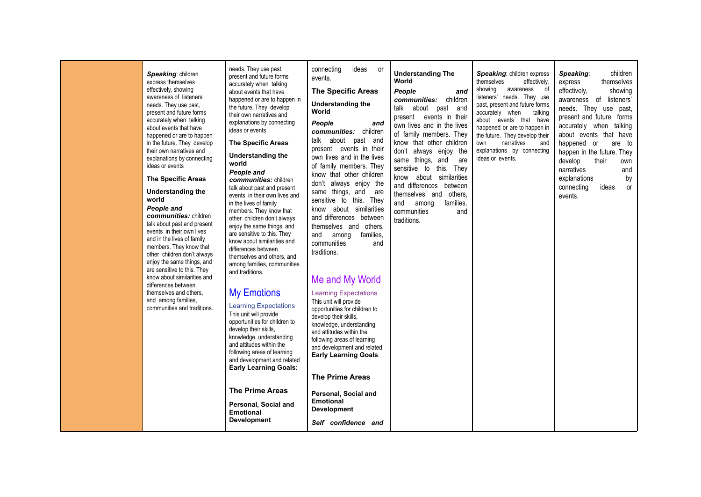| Speaking: children<br>express themselves<br>effectively, showing<br>awareness of listeners'<br>needs. They use past,<br>present and future forms<br>accurately when talking<br>about events that have<br>happened or are to happen<br>in the future. They develop<br>their own narratives and<br>explanations by connecting<br>ideas or events<br><b>The Specific Areas</b><br><b>Understanding the</b><br>world<br>People and<br>communities: children<br>talk about past and present<br>events in their own lives<br>and in the lives of family<br>members. They know that<br>other children don't always<br>enjoy the same things, and<br>are sensitive to this. They<br>know about similarities and<br>differences between<br>themselves and others.<br>and among families,<br>communities and traditions. | needs. They use past,<br>present and future forms<br>accurately when talking<br>about events that have<br>happened or are to happen in<br>the future. They develop<br>their own narratives and<br>explanations by connecting<br>ideas or events<br><b>The Specific Areas</b><br><b>Understanding the</b><br>world<br>People and<br>communities: children<br>talk about past and present<br>events in their own lives and<br>in the lives of family<br>members. They know that<br>other children don't always<br>enjoy the same things, and<br>are sensitive to this. They<br>know about similarities and<br>differences between<br>themselves and others, and<br>among families, communities<br>and traditions.<br><b>My Emotions</b><br><b>Learning Expectations</b><br>This unit will provide<br>opportunities for children to<br>develop their skills.<br>knowledge, understanding<br>and attitudes within the<br>following areas of learning<br>and development and related<br><b>Early Learning Goals:</b><br><b>The Prime Areas</b><br>Personal, Social and<br><b>Emotional</b><br><b>Development</b> | connecting<br>ideas<br>- or<br>events.<br><b>The Specific Areas</b><br><b>Understanding the</b><br>World<br>People<br>and<br>communities: children<br>talk about past and<br>present events in their<br>own lives and in the lives<br>of family members. They<br>know that other children<br>don't always enjoy the<br>same things, and are<br>sensitive to this. They<br>know about similarities<br>and differences between<br>themselves and others,<br>and<br>among<br>families.<br>communities<br>and<br>traditions.<br>Me and My World<br><b>Learning Expectations</b><br>This unit will provide<br>opportunities for children to<br>develop their skills,<br>knowledge, understanding<br>and attitudes within the<br>following areas of learning<br>and development and related<br><b>Early Learning Goals:</b><br><b>The Prime Areas</b><br>Personal, Social and<br><b>Emotional</b><br><b>Development</b> | <b>Understanding The</b><br>World<br>People<br>and<br>communities: children<br>about past and<br>talk<br>present events in their<br>own lives and in the lives<br>of family members. They<br>know that other children<br>don't always enjoy the<br>same things, and<br>are<br>sensitive to this. They<br>know about similarities<br>and differences between<br>themselves and others,<br>and<br>among<br>families,<br>communities<br>and<br>traditions. | Speaking: children express<br>themselves<br>effectively,<br>showing<br>awareness of<br>listeners' needs. They use<br>past, present and future forms<br>accurately when<br>talking<br>about events that have<br>happened or are to happen in<br>the future. They develop their<br>narratives<br>and<br>own<br>explanations by connecting<br>ideas or events. | children<br>Speaking:<br>themselves<br>express<br>effectively,<br>showing<br>awareness of listeners'<br>needs. They use past,<br>present and future forms<br>accurately when talking<br>about events that have<br>happened or<br>are to<br>happen in the future. They<br>develop<br>their<br>narratives<br>explanations<br>connecting<br>ideas<br>events. |
|----------------------------------------------------------------------------------------------------------------------------------------------------------------------------------------------------------------------------------------------------------------------------------------------------------------------------------------------------------------------------------------------------------------------------------------------------------------------------------------------------------------------------------------------------------------------------------------------------------------------------------------------------------------------------------------------------------------------------------------------------------------------------------------------------------------|-------------------------------------------------------------------------------------------------------------------------------------------------------------------------------------------------------------------------------------------------------------------------------------------------------------------------------------------------------------------------------------------------------------------------------------------------------------------------------------------------------------------------------------------------------------------------------------------------------------------------------------------------------------------------------------------------------------------------------------------------------------------------------------------------------------------------------------------------------------------------------------------------------------------------------------------------------------------------------------------------------------------------------------------------------------------------------------------------------------|-------------------------------------------------------------------------------------------------------------------------------------------------------------------------------------------------------------------------------------------------------------------------------------------------------------------------------------------------------------------------------------------------------------------------------------------------------------------------------------------------------------------------------------------------------------------------------------------------------------------------------------------------------------------------------------------------------------------------------------------------------------------------------------------------------------------------------------------------------------------------------------------------------------------|---------------------------------------------------------------------------------------------------------------------------------------------------------------------------------------------------------------------------------------------------------------------------------------------------------------------------------------------------------------------------------------------------------------------------------------------------------|-------------------------------------------------------------------------------------------------------------------------------------------------------------------------------------------------------------------------------------------------------------------------------------------------------------------------------------------------------------|-----------------------------------------------------------------------------------------------------------------------------------------------------------------------------------------------------------------------------------------------------------------------------------------------------------------------------------------------------------|
|                                                                                                                                                                                                                                                                                                                                                                                                                                                                                                                                                                                                                                                                                                                                                                                                                |                                                                                                                                                                                                                                                                                                                                                                                                                                                                                                                                                                                                                                                                                                                                                                                                                                                                                                                                                                                                                                                                                                             | Self confidence and                                                                                                                                                                                                                                                                                                                                                                                                                                                                                                                                                                                                                                                                                                                                                                                                                                                                                               |                                                                                                                                                                                                                                                                                                                                                                                                                                                         |                                                                                                                                                                                                                                                                                                                                                             |                                                                                                                                                                                                                                                                                                                                                           |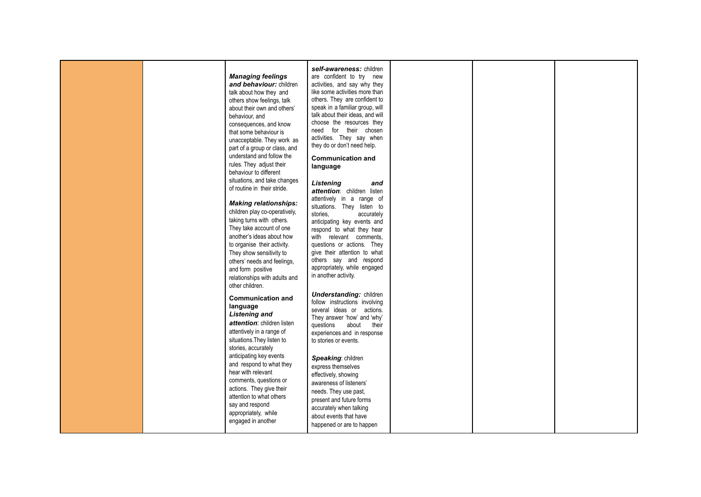|  | <b>Managing feelings</b><br>and behaviour: children<br>talk about how they and<br>others show feelings, talk<br>about their own and others'<br>behaviour, and<br>consequences, and know<br>that some behaviour is<br>unacceptable. They work as<br>part of a group or class, and<br>understand and follow the<br>rules. They adjust their<br>behaviour to different<br>situations, and take changes<br>of routine in their stride.<br><b>Making relationships:</b> | self-awareness: children<br>are confident to try new<br>activities, and say why they<br>like some activities more than<br>others. They are confident to<br>speak in a familiar group, will<br>talk about their ideas, and will<br>choose the resources they<br>need for their chosen<br>activities. They say when<br>they do or don't need help.<br><b>Communication and</b><br>language<br>Listening<br>and<br>attention: children listen<br>attentively in a range of<br>situations. They listen to |  |  |
|--|--------------------------------------------------------------------------------------------------------------------------------------------------------------------------------------------------------------------------------------------------------------------------------------------------------------------------------------------------------------------------------------------------------------------------------------------------------------------|-------------------------------------------------------------------------------------------------------------------------------------------------------------------------------------------------------------------------------------------------------------------------------------------------------------------------------------------------------------------------------------------------------------------------------------------------------------------------------------------------------|--|--|
|  | children play co-operatively,<br>taking turns with others.<br>They take account of one<br>another's ideas about how                                                                                                                                                                                                                                                                                                                                                | stories.<br>accurately<br>anticipating key events and<br>respond to what they hear<br>with relevant comments,                                                                                                                                                                                                                                                                                                                                                                                         |  |  |
|  | to organise their activity.<br>They show sensitivity to<br>others' needs and feelings,<br>and form positive<br>relationships with adults and<br>other children.                                                                                                                                                                                                                                                                                                    | questions or actions. They<br>give their attention to what<br>others say and respond<br>appropriately, while engaged<br>in another activity.                                                                                                                                                                                                                                                                                                                                                          |  |  |
|  | <b>Communication and</b><br>language<br><b>Listening and</b><br>attention: children listen<br>attentively in a range of<br>situations. They listen to<br>stories, accurately                                                                                                                                                                                                                                                                                       | <b>Understanding: children</b><br>follow instructions involving<br>several ideas or actions.<br>They answer 'how' and 'why'<br>questions<br>about<br>their<br>experiences and in response<br>to stories or events.                                                                                                                                                                                                                                                                                    |  |  |
|  | anticipating key events<br>and respond to what they<br>hear with relevant<br>comments, questions or<br>actions. They give their<br>attention to what others<br>say and respond<br>appropriately, while<br>engaged in another                                                                                                                                                                                                                                       | Speaking: children<br>express themselves<br>effectively, showing<br>awareness of listeners'<br>needs. They use past,<br>present and future forms<br>accurately when talking<br>about events that have<br>happened or are to happen                                                                                                                                                                                                                                                                    |  |  |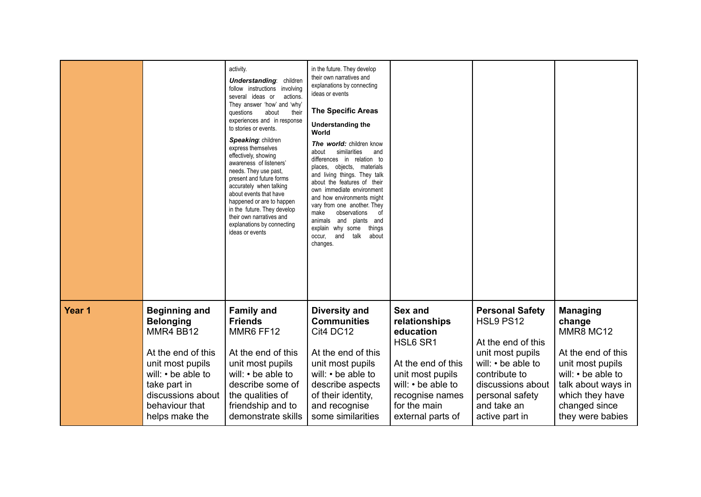|        |                      | activity.<br><b>Understanding:</b> children<br>follow instructions involving<br>several ideas or<br>actions.<br>They answer 'how' and 'why'<br>questions<br>about<br>their<br>experiences and in response<br>to stories or events.<br>Speaking: children<br>express themselves<br>effectively, showing<br>awareness of listeners'<br>needs. They use past,<br>present and future forms<br>accurately when talking<br>about events that have<br>happened or are to happen<br>in the future. They develop<br>their own narratives and<br>explanations by connecting<br>ideas or events | in the future. They develop<br>their own narratives and<br>explanations by connecting<br>ideas or events<br><b>The Specific Areas</b><br><b>Understanding the</b><br>World<br>The world: children know<br>similarities<br>about<br>and<br>differences in relation to<br>places, objects, materials<br>and living things. They talk<br>about the features of their<br>own immediate environment<br>and how environments might<br>vary from one another. They<br>make<br>observations<br>0f<br>and<br>plants and<br>animals<br>explain why some<br>things<br>occur,<br>and<br>talk<br>about<br>changes. |                    |                        |                    |
|--------|----------------------|--------------------------------------------------------------------------------------------------------------------------------------------------------------------------------------------------------------------------------------------------------------------------------------------------------------------------------------------------------------------------------------------------------------------------------------------------------------------------------------------------------------------------------------------------------------------------------------|-------------------------------------------------------------------------------------------------------------------------------------------------------------------------------------------------------------------------------------------------------------------------------------------------------------------------------------------------------------------------------------------------------------------------------------------------------------------------------------------------------------------------------------------------------------------------------------------------------|--------------------|------------------------|--------------------|
| Year 1 | <b>Beginning and</b> | <b>Family and</b>                                                                                                                                                                                                                                                                                                                                                                                                                                                                                                                                                                    | <b>Diversity and</b>                                                                                                                                                                                                                                                                                                                                                                                                                                                                                                                                                                                  | Sex and            | <b>Personal Safety</b> | <b>Managing</b>    |
|        | <b>Belonging</b>     | <b>Friends</b>                                                                                                                                                                                                                                                                                                                                                                                                                                                                                                                                                                       | <b>Communities</b>                                                                                                                                                                                                                                                                                                                                                                                                                                                                                                                                                                                    | relationships      | HSL9 PS12              | change             |
|        | MMR4 BB12            | MMR6 FF12                                                                                                                                                                                                                                                                                                                                                                                                                                                                                                                                                                            | Cit4 DC12                                                                                                                                                                                                                                                                                                                                                                                                                                                                                                                                                                                             | education          | At the end of this     | MMR8 MC12          |
|        | At the end of this   | At the end of this                                                                                                                                                                                                                                                                                                                                                                                                                                                                                                                                                                   | At the end of this                                                                                                                                                                                                                                                                                                                                                                                                                                                                                                                                                                                    | HSL6 SR1           | unit most pupils       | At the end of this |
|        | unit most pupils     | unit most pupils                                                                                                                                                                                                                                                                                                                                                                                                                                                                                                                                                                     | unit most pupils                                                                                                                                                                                                                                                                                                                                                                                                                                                                                                                                                                                      | At the end of this | will: • be able to     | unit most pupils   |
|        | will: • be able to   | will: • be able to                                                                                                                                                                                                                                                                                                                                                                                                                                                                                                                                                                   | will: • be able to                                                                                                                                                                                                                                                                                                                                                                                                                                                                                                                                                                                    | unit most pupils   | contribute to          | will: • be able to |
|        | take part in         | describe some of                                                                                                                                                                                                                                                                                                                                                                                                                                                                                                                                                                     | describe aspects                                                                                                                                                                                                                                                                                                                                                                                                                                                                                                                                                                                      | will: • be able to | discussions about      | talk about ways in |
|        | discussions about    | the qualities of                                                                                                                                                                                                                                                                                                                                                                                                                                                                                                                                                                     | of their identity,                                                                                                                                                                                                                                                                                                                                                                                                                                                                                                                                                                                    | recognise names    | personal safety        | which they have    |
|        | behaviour that       | friendship and to                                                                                                                                                                                                                                                                                                                                                                                                                                                                                                                                                                    | and recognise                                                                                                                                                                                                                                                                                                                                                                                                                                                                                                                                                                                         | for the main       | and take an            | changed since      |
|        | helps make the       | demonstrate skills                                                                                                                                                                                                                                                                                                                                                                                                                                                                                                                                                                   | some similarities                                                                                                                                                                                                                                                                                                                                                                                                                                                                                                                                                                                     | external parts of  | active part in         | they were babies   |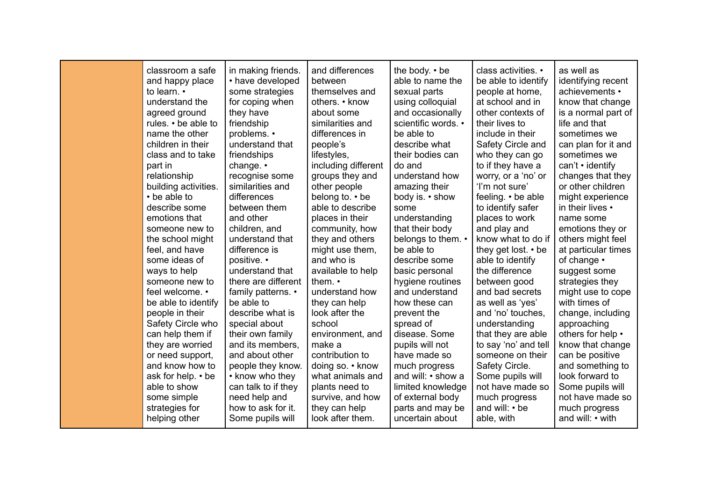| classroom a safe<br>and happy place<br>to learn. •<br>understand the | in making friends.<br>• have developed<br>some strategies<br>for coping when | and differences<br>between<br>themselves and<br>others. • know | the body. • be<br>able to name the<br>sexual parts<br>using colloquial | class activities. •<br>be able to identify<br>people at home,<br>at school and in | as well as<br>identifying recent<br>achievements •<br>know that change |
|----------------------------------------------------------------------|------------------------------------------------------------------------------|----------------------------------------------------------------|------------------------------------------------------------------------|-----------------------------------------------------------------------------------|------------------------------------------------------------------------|
| agreed ground                                                        | they have                                                                    | about some                                                     | and occasionally                                                       | other contexts of                                                                 | is a normal part of                                                    |
| rules. • be able to                                                  | friendship                                                                   | similarities and                                               | scientific words. •                                                    | their lives to                                                                    | life and that                                                          |
| name the other<br>children in their                                  | problems. •<br>understand that                                               | differences in<br>people's                                     | be able to<br>describe what                                            | include in their<br>Safety Circle and                                             | sometimes we<br>can plan for it and                                    |
| class and to take                                                    | friendships                                                                  | lifestyles,                                                    | their bodies can                                                       | who they can go                                                                   | sometimes we                                                           |
| part in                                                              | change. $\cdot$                                                              | including different                                            | do and                                                                 | to if they have a                                                                 | $can't \cdot identity$                                                 |
| relationship                                                         | recognise some                                                               | groups they and                                                | understand how                                                         | worry, or a 'no' or                                                               | changes that they                                                      |
| building activities.                                                 | similarities and                                                             | other people                                                   | amazing their                                                          | 'I'm not sure'                                                                    | or other children                                                      |
| • be able to                                                         | differences                                                                  | belong to. • be                                                | body is. • show                                                        | feeling. • be able                                                                | might experience                                                       |
| describe some                                                        | between them                                                                 | able to describe                                               | some                                                                   | to identify safer                                                                 | in their lives •                                                       |
| emotions that                                                        | and other                                                                    | places in their                                                | understanding                                                          | places to work                                                                    | name some                                                              |
| someone new to                                                       | children, and                                                                | community, how                                                 | that their body                                                        | and play and                                                                      | emotions they or                                                       |
| the school might                                                     | understand that                                                              | they and others                                                | belongs to them. •                                                     | know what to do if                                                                | others might feel                                                      |
| feel, and have                                                       | difference is                                                                | might use them,                                                | be able to                                                             | they get lost. • be                                                               | at particular times                                                    |
| some ideas of                                                        | positive. •                                                                  | and who is                                                     | describe some                                                          | able to identify                                                                  | of change •                                                            |
| ways to help                                                         | understand that                                                              | available to help                                              | basic personal                                                         | the difference                                                                    | suggest some                                                           |
| someone new to                                                       | there are different                                                          | them. $\cdot$                                                  | hygiene routines                                                       | between good                                                                      | strategies they                                                        |
| feel welcome. •                                                      | family patterns. •                                                           | understand how                                                 | and understand                                                         | and bad secrets                                                                   | might use to cope                                                      |
| be able to identify                                                  | be able to                                                                   | they can help                                                  | how these can                                                          | as well as 'yes'                                                                  | with times of                                                          |
| people in their                                                      | describe what is                                                             | look after the                                                 | prevent the                                                            | and 'no' touches,                                                                 | change, including                                                      |
| Safety Circle who                                                    | special about                                                                | school                                                         | spread of                                                              | understanding                                                                     | approaching                                                            |
| can help them if                                                     | their own family                                                             | environment, and                                               | disease. Some                                                          | that they are able                                                                | others for help •                                                      |
| they are worried                                                     | and its members,                                                             | make a                                                         | pupils will not                                                        | to say 'no' and tell                                                              | know that change                                                       |
| or need support,                                                     | and about other                                                              | contribution to                                                | have made so                                                           | someone on their                                                                  | can be positive                                                        |
| and know how to                                                      | people they know.                                                            | doing so. • know                                               | much progress                                                          | Safety Circle.                                                                    | and something to                                                       |
| ask for help. • be                                                   | • know who they                                                              | what animals and                                               | and will: • show a                                                     | Some pupils will                                                                  | look forward to                                                        |
| able to show                                                         | can talk to if they                                                          | plants need to                                                 | limited knowledge<br>of external body                                  | not have made so                                                                  | Some pupils will<br>not have made so                                   |
| some simple<br>strategies for                                        | need help and<br>how to ask for it.                                          | survive, and how<br>they can help                              | parts and may be                                                       | much progress<br>and will: • be                                                   | much progress                                                          |
| helping other                                                        | Some pupils will                                                             | look after them.                                               | uncertain about                                                        | able, with                                                                        | and will: • with                                                       |
|                                                                      |                                                                              |                                                                |                                                                        |                                                                                   |                                                                        |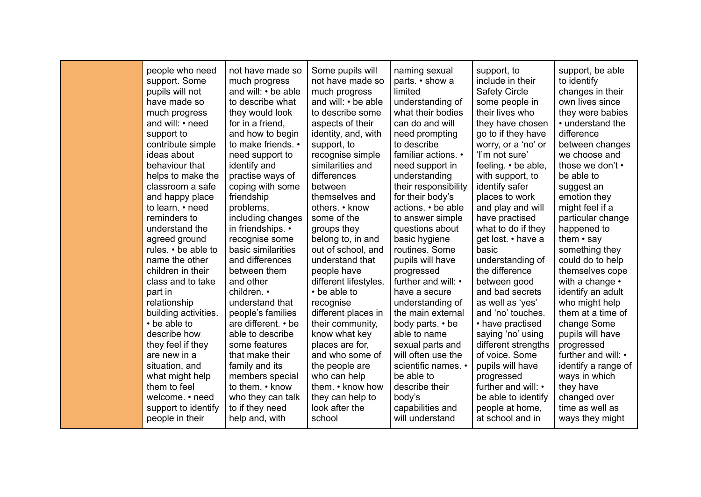| people who need      | not have made so    | Some pupils will      | naming sexual        | support, to          | support, be able    |
|----------------------|---------------------|-----------------------|----------------------|----------------------|---------------------|
| support. Some        | much progress       | not have made so      | parts. • show a      | include in their     | to identify         |
| pupils will not      | and will: • be able | much progress         | limited              | <b>Safety Circle</b> | changes in their    |
| have made so         | to describe what    | and will: • be able   | understanding of     | some people in       | own lives since     |
| much progress        | they would look     | to describe some      | what their bodies    | their lives who      | they were babies    |
| and will: • need     | for in a friend,    | aspects of their      | can do and will      | they have chosen     | • understand the    |
| support to           | and how to begin    | identity, and, with   | need prompting       | go to if they have   | difference          |
| contribute simple    | to make friends. •  | support, to           | to describe          | worry, or a 'no' or  | between changes     |
| ideas about          | need support to     | recognise simple      | familiar actions. •  | 'I'm not sure'       | we choose and       |
| behaviour that       | identify and        | similarities and      | need support in      | feeling. • be able,  | those we don't •    |
| helps to make the    | practise ways of    | differences           | understanding        | with support, to     | be able to          |
| classroom a safe     | coping with some    | between               | their responsibility | identify safer       | suggest an          |
| and happy place      | friendship          | themselves and        | for their body's     | places to work       | emotion they        |
| to learn. • need     | problems,           | others. • know        | actions. • be able   | and play and will    | might feel if a     |
| reminders to         | including changes   | some of the           | to answer simple     | have practised       | particular change   |
| understand the       | in friendships. •   | groups they           | questions about      | what to do if they   | happened to         |
| agreed ground        | recognise some      | belong to, in and     | basic hygiene        | get lost. • have a   | them $\cdot$ say    |
| rules. • be able to  | basic similarities  | out of school, and    | routines. Some       | basic                | something they      |
| name the other       | and differences     | understand that       | pupils will have     | understanding of     | could do to help    |
| children in their    | between them        | people have           | progressed           | the difference       | themselves cope     |
| class and to take    | and other           | different lifestyles. | further and will: •  | between good         | with a change •     |
| part in              | children. •         | • be able to          | have a secure        | and bad secrets      | identify an adult   |
| relationship         | understand that     | recognise             | understanding of     | as well as 'yes'     | who might help      |
| building activities. | people's families   | different places in   | the main external    | and 'no' touches.    | them at a time of   |
| • be able to         | are different. • be | their community,      | body parts. • be     | • have practised     | change Some         |
| describe how         | able to describe    | know what key         | able to name         | saying 'no' using    | pupils will have    |
| they feel if they    | some features       | places are for,       | sexual parts and     | different strengths  | progressed          |
| are new in a         | that make their     | and who some of       | will often use the   | of voice. Some       | further and will: • |
| situation, and       | family and its      | the people are        | scientific names. •  | pupils will have     | identify a range of |
| what might help      | members special     | who can help          | be able to           | progressed           | ways in which       |
| them to feel         | to them. • know     | them. • know how      | describe their       | further and will: •  | they have           |
| welcome. • need      | who they can talk   | they can help to      | body's               | be able to identify  | changed over        |
| support to identify  | to if they need     | look after the        | capabilities and     | people at home,      | time as well as     |
| people in their      | help and, with      | school                | will understand      | at school and in     | ways they might     |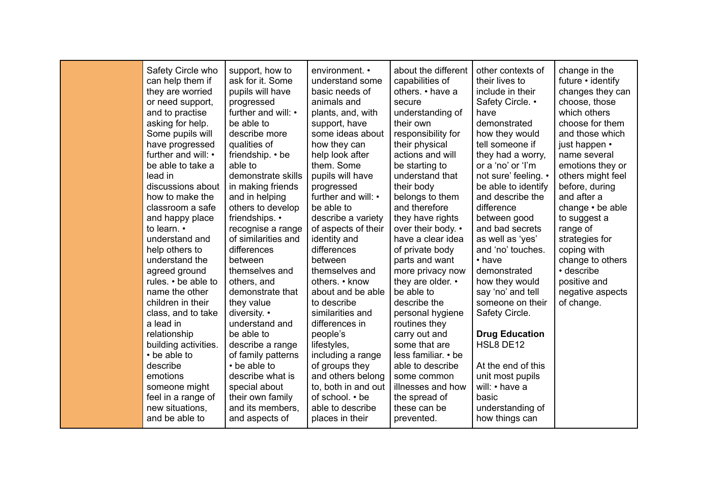| Safety Circle who<br>can help them if<br>they are worried<br>or need support,<br>and to practise<br>asking for help.<br>Some pupils will<br>have progressed<br>further and will: •<br>be able to take a<br>lead in<br>discussions about<br>how to make the<br>classroom a safe<br>and happy place<br>to learn. •<br>understand and<br>help others to<br>understand the<br>agreed ground<br>rules. • be able to<br>name the other<br>children in their<br>class, and to take<br>a lead in<br>relationship<br>building activities.<br>• be able to<br>describe<br>emotions<br>someone might<br>feel in a range of<br>new situations, | support, how to<br>ask for it. Some<br>pupils will have<br>progressed<br>further and will: •<br>be able to<br>describe more<br>qualities of<br>friendship. • be<br>able to<br>demonstrate skills<br>in making friends<br>and in helping<br>others to develop<br>friendships. •<br>recognise a range<br>of similarities and<br>differences<br>between<br>themselves and<br>others, and<br>demonstrate that<br>they value<br>diversity. •<br>understand and<br>be able to<br>describe a range<br>of family patterns<br>• be able to<br>describe what is<br>special about<br>their own family<br>and its members, | environment. •<br>understand some<br>basic needs of<br>animals and<br>plants, and, with<br>support, have<br>some ideas about<br>how they can<br>help look after<br>them. Some<br>pupils will have<br>progressed<br>further and will: •<br>be able to<br>describe a variety<br>of aspects of their<br>identity and<br>differences<br>between<br>themselves and<br>others. • know<br>about and be able<br>to describe<br>similarities and<br>differences in<br>people's<br>lifestyles,<br>including a range<br>of groups they<br>and others belong<br>to, both in and out<br>of school. • be<br>able to describe | about the different<br>capabilities of<br>others. • have a<br>secure<br>understanding of<br>their own<br>responsibility for<br>their physical<br>actions and will<br>be starting to<br>understand that<br>their body<br>belongs to them<br>and therefore<br>they have rights<br>over their body. •<br>have a clear idea<br>of private body<br>parts and want<br>more privacy now<br>they are older. •<br>be able to<br>describe the<br>personal hygiene<br>routines they<br>carry out and<br>some that are<br>less familiar. • be<br>able to describe<br>some common<br>illnesses and how<br>the spread of<br>these can be | other contexts of<br>their lives to<br>include in their<br>Safety Circle. •<br>have<br>demonstrated<br>how they would<br>tell someone if<br>they had a worry,<br>or a 'no' or 'l'm<br>not sure' feeling. •<br>be able to identify<br>and describe the<br>difference<br>between good<br>and bad secrets<br>as well as 'yes'<br>and 'no' touches.<br>• have<br>demonstrated<br>how they would<br>say 'no' and tell<br>someone on their<br>Safety Circle.<br><b>Drug Education</b><br>HSL8 DE12<br>At the end of this<br>unit most pupils<br>will: • have a<br>basic<br>understanding of | change in the<br>future $\cdot$ identify<br>changes they can<br>choose, those<br>which others<br>choose for them<br>and those which<br>just happen •<br>name several<br>emotions they or<br>others might feel<br>before, during<br>and after a<br>change $\cdot$ be able<br>to suggest a<br>range of<br>strategies for<br>coping with<br>change to others<br>• describe<br>positive and<br>negative aspects<br>of change. |
|------------------------------------------------------------------------------------------------------------------------------------------------------------------------------------------------------------------------------------------------------------------------------------------------------------------------------------------------------------------------------------------------------------------------------------------------------------------------------------------------------------------------------------------------------------------------------------------------------------------------------------|----------------------------------------------------------------------------------------------------------------------------------------------------------------------------------------------------------------------------------------------------------------------------------------------------------------------------------------------------------------------------------------------------------------------------------------------------------------------------------------------------------------------------------------------------------------------------------------------------------------|----------------------------------------------------------------------------------------------------------------------------------------------------------------------------------------------------------------------------------------------------------------------------------------------------------------------------------------------------------------------------------------------------------------------------------------------------------------------------------------------------------------------------------------------------------------------------------------------------------------|----------------------------------------------------------------------------------------------------------------------------------------------------------------------------------------------------------------------------------------------------------------------------------------------------------------------------------------------------------------------------------------------------------------------------------------------------------------------------------------------------------------------------------------------------------------------------------------------------------------------------|---------------------------------------------------------------------------------------------------------------------------------------------------------------------------------------------------------------------------------------------------------------------------------------------------------------------------------------------------------------------------------------------------------------------------------------------------------------------------------------------------------------------------------------------------------------------------------------|---------------------------------------------------------------------------------------------------------------------------------------------------------------------------------------------------------------------------------------------------------------------------------------------------------------------------------------------------------------------------------------------------------------------------|
| and be able to                                                                                                                                                                                                                                                                                                                                                                                                                                                                                                                                                                                                                     | and aspects of                                                                                                                                                                                                                                                                                                                                                                                                                                                                                                                                                                                                 | places in their                                                                                                                                                                                                                                                                                                                                                                                                                                                                                                                                                                                                | prevented.                                                                                                                                                                                                                                                                                                                                                                                                                                                                                                                                                                                                                 | how things can                                                                                                                                                                                                                                                                                                                                                                                                                                                                                                                                                                        |                                                                                                                                                                                                                                                                                                                                                                                                                           |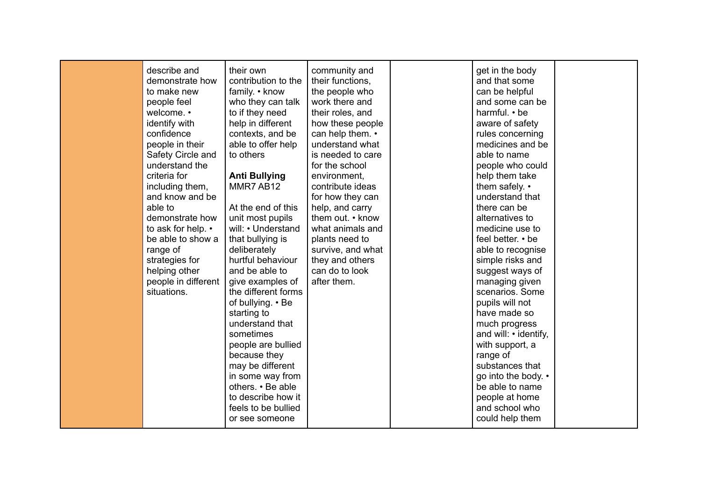| describe and        | their own            | community and     | get in the body       |  |
|---------------------|----------------------|-------------------|-----------------------|--|
| demonstrate how     | contribution to the  | their functions,  | and that some         |  |
| to make new         | family. • know       | the people who    | can be helpful        |  |
| people feel         | who they can talk    | work there and    | and some can be       |  |
| welcome. •          | to if they need      | their roles, and  | harmful. • be         |  |
| identify with       | help in different    | how these people  | aware of safety       |  |
| confidence          | contexts, and be     | can help them. •  | rules concerning      |  |
| people in their     | able to offer help   | understand what   | medicines and be      |  |
| Safety Circle and   | to others            | is needed to care | able to name          |  |
| understand the      |                      | for the school    | people who could      |  |
| criteria for        | <b>Anti Bullying</b> | environment.      | help them take        |  |
| including them,     | MMR7 AB12            | contribute ideas  | them safely. •        |  |
| and know and be     |                      | for how they can  | understand that       |  |
| able to             | At the end of this   | help, and carry   | there can be          |  |
| demonstrate how     | unit most pupils     | them out. • know  | alternatives to       |  |
| to ask for help. •  | will: • Understand   | what animals and  | medicine use to       |  |
| be able to show a   | that bullying is     | plants need to    | feel better. • be     |  |
| range of            | deliberately         | survive, and what | able to recognise     |  |
| strategies for      | hurtful behaviour    | they and others   | simple risks and      |  |
| helping other       | and be able to       | can do to look    | suggest ways of       |  |
| people in different | give examples of     | after them.       | managing given        |  |
| situations.         | the different forms  |                   | scenarios. Some       |  |
|                     | of bullying. • Be    |                   | pupils will not       |  |
|                     | starting to          |                   | have made so          |  |
|                     | understand that      |                   | much progress         |  |
|                     | sometimes            |                   | and will: • identify, |  |
|                     | people are bullied   |                   | with support, a       |  |
|                     | because they         |                   | range of              |  |
|                     | may be different     |                   | substances that       |  |
|                     | in some way from     |                   | go into the body. •   |  |
|                     | others. • Be able    |                   | be able to name       |  |
|                     | to describe how it   |                   | people at home        |  |
|                     | feels to be bullied  |                   | and school who        |  |
|                     | or see someone       |                   | could help them       |  |
|                     |                      |                   |                       |  |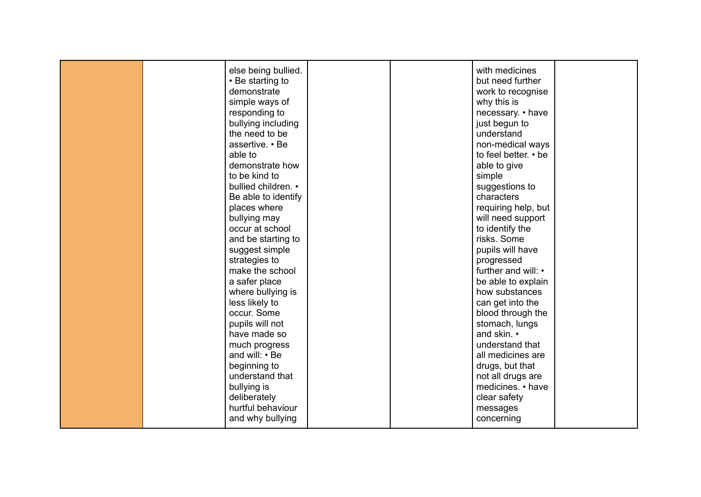|  | else being bullied. |  | with medicines       |  |
|--|---------------------|--|----------------------|--|
|  | • Be starting to    |  | but need further     |  |
|  | demonstrate         |  | work to recognise    |  |
|  | simple ways of      |  | why this is          |  |
|  | responding to       |  | necessary. • have    |  |
|  | bullying including  |  | just begun to        |  |
|  | the need to be      |  | understand           |  |
|  | assertive. • Be     |  | non-medical ways     |  |
|  | able to             |  | to feel better. • be |  |
|  | demonstrate how     |  | able to give         |  |
|  | to be kind to       |  | simple               |  |
|  | bullied children. • |  | suggestions to       |  |
|  | Be able to identify |  | characters           |  |
|  | places where        |  | requiring help, but  |  |
|  |                     |  |                      |  |
|  | bullying may        |  | will need support    |  |
|  | occur at school     |  | to identify the      |  |
|  | and be starting to  |  | risks. Some          |  |
|  | suggest simple      |  | pupils will have     |  |
|  | strategies to       |  | progressed           |  |
|  | make the school     |  | further and will: •  |  |
|  | a safer place       |  | be able to explain   |  |
|  | where bullying is   |  | how substances       |  |
|  | less likely to      |  | can get into the     |  |
|  | occur. Some         |  | blood through the    |  |
|  | pupils will not     |  | stomach, lungs       |  |
|  | have made so        |  | and skin. •          |  |
|  | much progress       |  | understand that      |  |
|  | and will: • Be      |  | all medicines are    |  |
|  | beginning to        |  | drugs, but that      |  |
|  | understand that     |  | not all drugs are    |  |
|  | bullying is         |  | medicines. • have    |  |
|  | deliberately        |  | clear safety         |  |
|  | hurtful behaviour   |  | messages             |  |
|  | and why bullying    |  | concerning           |  |
|  |                     |  |                      |  |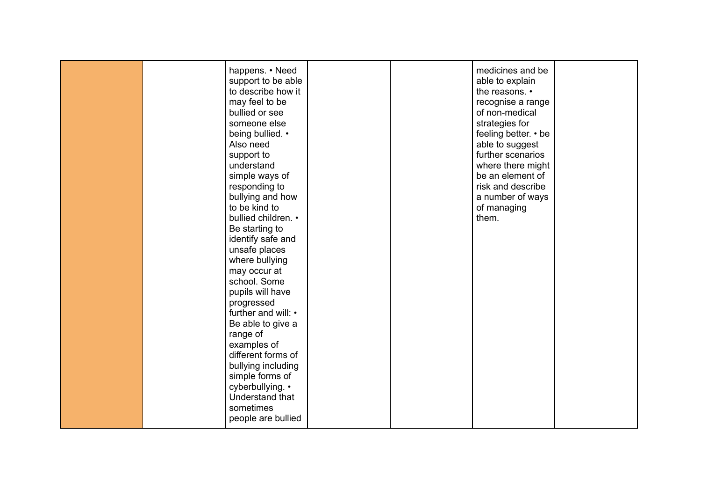|  | happens. • Need<br>support to be able<br>to describe how it<br>may feel to be |  | medicines and be<br>able to explain<br>the reasons. •<br>recognise a range |  |
|--|-------------------------------------------------------------------------------|--|----------------------------------------------------------------------------|--|
|  | bullied or see                                                                |  | of non-medical                                                             |  |
|  | someone else<br>being bullied. •                                              |  | strategies for<br>feeling better. • be                                     |  |
|  | Also need                                                                     |  | able to suggest                                                            |  |
|  | support to                                                                    |  | further scenarios                                                          |  |
|  | understand                                                                    |  | where there might                                                          |  |
|  | simple ways of                                                                |  | be an element of                                                           |  |
|  | responding to                                                                 |  | risk and describe                                                          |  |
|  | bullying and how                                                              |  | a number of ways                                                           |  |
|  | to be kind to                                                                 |  | of managing                                                                |  |
|  | bullied children. •                                                           |  | them.                                                                      |  |
|  | Be starting to                                                                |  |                                                                            |  |
|  | identify safe and<br>unsafe places                                            |  |                                                                            |  |
|  | where bullying                                                                |  |                                                                            |  |
|  | may occur at                                                                  |  |                                                                            |  |
|  | school. Some                                                                  |  |                                                                            |  |
|  | pupils will have                                                              |  |                                                                            |  |
|  | progressed                                                                    |  |                                                                            |  |
|  | further and will: •                                                           |  |                                                                            |  |
|  | Be able to give a                                                             |  |                                                                            |  |
|  | range of                                                                      |  |                                                                            |  |
|  | examples of                                                                   |  |                                                                            |  |
|  | different forms of                                                            |  |                                                                            |  |
|  | bullying including                                                            |  |                                                                            |  |
|  | simple forms of                                                               |  |                                                                            |  |
|  | cyberbullying. •<br>Understand that                                           |  |                                                                            |  |
|  | sometimes                                                                     |  |                                                                            |  |
|  | people are bullied                                                            |  |                                                                            |  |
|  |                                                                               |  |                                                                            |  |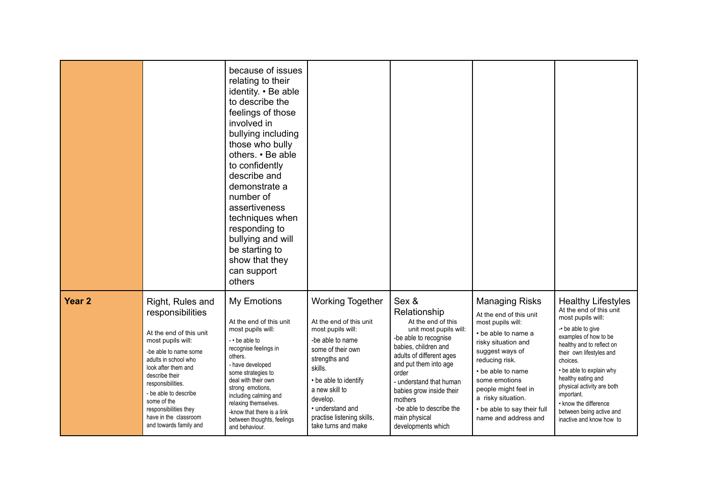|                   |                                                                                                                                                                                                                                                                                                                         | because of issues<br>relating to their<br>identity. • Be able<br>to describe the<br>feelings of those<br>involved in<br>bullying including<br>those who bully<br>others. • Be able<br>to confidently<br>describe and<br>demonstrate a<br>number of<br>assertiveness<br>techniques when<br>responding to<br>bullying and will<br>be starting to<br>show that they<br>can support<br>others |                                                                                                                                                                                                                                                                              |                                                                                                                                                                                                                                                                                                                           |                                                                                                                                                                                                                                                                                                     |                                                                                                                                                                                                                                                                                                                                                                              |
|-------------------|-------------------------------------------------------------------------------------------------------------------------------------------------------------------------------------------------------------------------------------------------------------------------------------------------------------------------|-------------------------------------------------------------------------------------------------------------------------------------------------------------------------------------------------------------------------------------------------------------------------------------------------------------------------------------------------------------------------------------------|------------------------------------------------------------------------------------------------------------------------------------------------------------------------------------------------------------------------------------------------------------------------------|---------------------------------------------------------------------------------------------------------------------------------------------------------------------------------------------------------------------------------------------------------------------------------------------------------------------------|-----------------------------------------------------------------------------------------------------------------------------------------------------------------------------------------------------------------------------------------------------------------------------------------------------|------------------------------------------------------------------------------------------------------------------------------------------------------------------------------------------------------------------------------------------------------------------------------------------------------------------------------------------------------------------------------|
| Year <sub>2</sub> | Right, Rules and<br>responsibilities<br>At the end of this unit<br>most pupils will:<br>-be able to name some<br>adults in school who<br>look after them and<br>describe their<br>responsibilities.<br>- be able to describe<br>some of the<br>responsibilities they<br>have in the classroom<br>and towards family and | My Emotions<br>At the end of this unit<br>most pupils will:<br>$-$ be able to<br>recognise feelings in<br>others.<br>- have developed<br>some strategies to<br>deal with their own<br>strong emotions,<br>including calming and<br>relaxing themselves.<br>-know that there is a link<br>between thoughts, feelings<br>and behaviour.                                                     | <b>Working Together</b><br>At the end of this unit<br>most pupils will:<br>-be able to name<br>some of their own<br>strengths and<br>skills.<br>• be able to identify<br>a new skill to<br>develop.<br>• understand and<br>practise listening skills,<br>take turns and make | Sex &<br>Relationship<br>At the end of this<br>unit most pupils will:<br>-be able to recognise<br>babies, children and<br>adults of different ages<br>and put them into age<br>order<br>- understand that human<br>babies grow inside their<br>mothers<br>-be able to describe the<br>main physical<br>developments which | <b>Managing Risks</b><br>At the end of this unit<br>most pupils will:<br>• be able to name a<br>risky situation and<br>suggest ways of<br>reducing risk.<br>• be able to name<br>some emotions<br>people might feel in<br>a risky situation.<br>• be able to say their full<br>name and address and | <b>Healthy Lifestyles</b><br>At the end of this unit<br>most pupils will:<br>-• be able to give<br>examples of how to be<br>healthy and to reflect on<br>their own lifestyles and<br>choices.<br>• be able to explain why<br>healthy eating and<br>physical activity are both<br>important.<br>• know the difference<br>between being active and<br>inactive and know how to |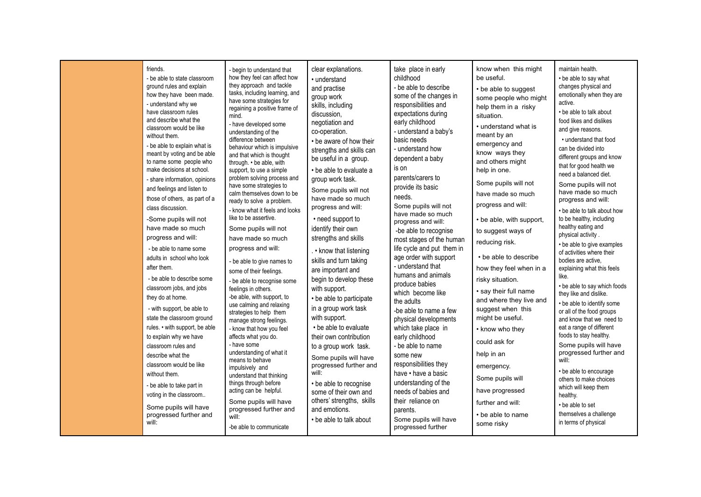| friends.<br>- be able to state classroom<br>ground rules and explain<br>how they have been made.<br>- understand why we<br>have classroom rules<br>and describe what the<br>classroom would be like<br>without them.<br>- be able to explain what is<br>meant by voting and be able<br>to name some people who<br>make decisions at school.<br>- share information, opinions<br>and feelings and listen to<br>those of others, as part of a<br>class discussion.<br>-Some pupils will not<br>have made so much<br>progress and will:<br>- be able to name some<br>adults in school who look<br>after them.<br>- be able to describe some<br>classroom jobs, and jobs<br>they do at home.<br>- with support, be able to<br>state the classroom ground<br>rules. • with support, be able<br>to explain why we have<br>classroom rules and<br>describe what the<br>classroom would be like<br>without them.<br>- be able to take part in<br>voting in the classroom<br>Some pupils will have<br>progressed further and<br>will: | - begin to understand that<br>how they feel can affect how<br>they approach and tackle<br>tasks, including learning, and<br>have some strategies for<br>regaining a positive frame of<br>mind.<br>- have developed some<br>understanding of the<br>difference between<br>behaviour which is impulsive<br>and that which is thought<br>through. • be able, with<br>support, to use a simple<br>problem solving process and<br>have some strategies to<br>calm themselves down to be<br>ready to solve a problem.<br>- know what it feels and looks<br>like to be assertive.<br>Some pupils will not<br>have made so much<br>progress and will:<br>- be able to give names to<br>some of their feelings.<br>- be able to recognise some<br>feelings in others.<br>-be able, with support, to<br>use calming and relaxing<br>strategies to help them<br>manage strong feelings.<br>- know that how you feel<br>affects what you do.<br>- have some<br>understanding of what it<br>means to behave<br>impulsively and<br>understand that thinking<br>things through before<br>acting can be helpful.<br>Some pupils will have<br>progressed further and<br>will: | clear explanations.<br>• understand<br>and practise<br>group work<br>skills, including<br>discussion,<br>negotiation and<br>co-operation.<br>• be aware of how their<br>strengths and skills can<br>be useful in a group.<br>• be able to evaluate a<br>group work task.<br>Some pupils will not<br>have made so much<br>progress and will:<br>• need support to<br>identify their own<br>strengths and skills<br>. • know that listening<br>skills and turn taking<br>are important and<br>begin to develop these<br>with support.<br>• be able to participate<br>in a group work task<br>with support.<br>• be able to evaluate<br>their own contribution<br>to a group work task.<br>Some pupils will have<br>progressed further and<br>will:<br>• be able to recognise<br>some of their own and<br>others' strengths, skills<br>and emotions.<br>• be able to talk about | take place in early<br>childhood<br>- be able to describe<br>some of the changes in<br>responsibilities and<br>expectations during<br>early childhood<br>- understand a baby's<br>basic needs<br>- understand how<br>dependent a baby<br>is on<br>parents/carers to<br>provide its basic<br>needs.<br>Some pupils will not<br>have made so much<br>progress and will:<br>-be able to recognise<br>most stages of the human<br>life cycle and put them in<br>age order with support<br>- understand that<br>humans and animals<br>produce babies<br>which become like<br>the adults<br>-be able to name a few<br>physical developments<br>which take place in<br>early childhood<br>- be able to name<br>some new<br>responsibilities they<br>have • have a basic<br>understanding of the<br>needs of babies and<br>their reliance on<br>parents.<br>Some pupils will have | know when this might<br>be useful.<br>• be able to suggest<br>some people who might<br>help them in a risky<br>situation.<br>• understand what is<br>meant by an<br>emergency and<br>know ways they<br>and others might<br>help in one.<br>Some pupils will not<br>have made so much<br>progress and will:<br>• be able, with support,<br>to suggest ways of<br>reducing risk.<br>• be able to describe<br>how they feel when in a<br>risky situation.<br>• say their full name<br>and where they live and<br>suggest when this<br>might be useful.<br>• know who they<br>could ask for<br>help in an<br>emergency.<br>Some pupils will<br>have progressed<br>further and will:<br>• be able to name | maintain health.<br>• be able to say what<br>changes physical and<br>emotionally when they are<br>active.<br>• be able to talk about<br>food likes and dislikes<br>and give reasons.<br>• understand that food<br>can be divided into<br>different groups and know<br>that for good health we<br>need a balanced diet.<br>Some pupils will not<br>have made so much<br>progress and will:<br>• be able to talk about how<br>to be healthy, including<br>healthy eating and<br>physical activity.<br>• be able to give examples<br>of activities where their<br>bodies are active,<br>explaining what this feels<br>like.<br>• be able to say which foods<br>they like and dislike.<br>• be able to identify some<br>or all of the food groups<br>and know that we need to<br>eat a range of different<br>foods to stay healthy.<br>Some pupils will have<br>progressed further and<br>will:<br>• be able to encourage<br>others to make choices<br>which will keep them<br>healthy.<br>• be able to set<br>themselves a challenge<br>in terms of physical |
|------------------------------------------------------------------------------------------------------------------------------------------------------------------------------------------------------------------------------------------------------------------------------------------------------------------------------------------------------------------------------------------------------------------------------------------------------------------------------------------------------------------------------------------------------------------------------------------------------------------------------------------------------------------------------------------------------------------------------------------------------------------------------------------------------------------------------------------------------------------------------------------------------------------------------------------------------------------------------------------------------------------------------|--------------------------------------------------------------------------------------------------------------------------------------------------------------------------------------------------------------------------------------------------------------------------------------------------------------------------------------------------------------------------------------------------------------------------------------------------------------------------------------------------------------------------------------------------------------------------------------------------------------------------------------------------------------------------------------------------------------------------------------------------------------------------------------------------------------------------------------------------------------------------------------------------------------------------------------------------------------------------------------------------------------------------------------------------------------------------------------------------------------------------------------------------------------|------------------------------------------------------------------------------------------------------------------------------------------------------------------------------------------------------------------------------------------------------------------------------------------------------------------------------------------------------------------------------------------------------------------------------------------------------------------------------------------------------------------------------------------------------------------------------------------------------------------------------------------------------------------------------------------------------------------------------------------------------------------------------------------------------------------------------------------------------------------------------|---------------------------------------------------------------------------------------------------------------------------------------------------------------------------------------------------------------------------------------------------------------------------------------------------------------------------------------------------------------------------------------------------------------------------------------------------------------------------------------------------------------------------------------------------------------------------------------------------------------------------------------------------------------------------------------------------------------------------------------------------------------------------------------------------------------------------------------------------------------------------|------------------------------------------------------------------------------------------------------------------------------------------------------------------------------------------------------------------------------------------------------------------------------------------------------------------------------------------------------------------------------------------------------------------------------------------------------------------------------------------------------------------------------------------------------------------------------------------------------------------------------------------------------------------------------------------------------|-----------------------------------------------------------------------------------------------------------------------------------------------------------------------------------------------------------------------------------------------------------------------------------------------------------------------------------------------------------------------------------------------------------------------------------------------------------------------------------------------------------------------------------------------------------------------------------------------------------------------------------------------------------------------------------------------------------------------------------------------------------------------------------------------------------------------------------------------------------------------------------------------------------------------------------------------------------------------------------------------------------------------------------------------------------|
|                                                                                                                                                                                                                                                                                                                                                                                                                                                                                                                                                                                                                                                                                                                                                                                                                                                                                                                                                                                                                              | -be able to communicate                                                                                                                                                                                                                                                                                                                                                                                                                                                                                                                                                                                                                                                                                                                                                                                                                                                                                                                                                                                                                                                                                                                                      |                                                                                                                                                                                                                                                                                                                                                                                                                                                                                                                                                                                                                                                                                                                                                                                                                                                                              | progressed further                                                                                                                                                                                                                                                                                                                                                                                                                                                                                                                                                                                                                                                                                                                                                                                                                                                        | some risky                                                                                                                                                                                                                                                                                                                                                                                                                                                                                                                                                                                                                                                                                           |                                                                                                                                                                                                                                                                                                                                                                                                                                                                                                                                                                                                                                                                                                                                                                                                                                                                                                                                                                                                                                                           |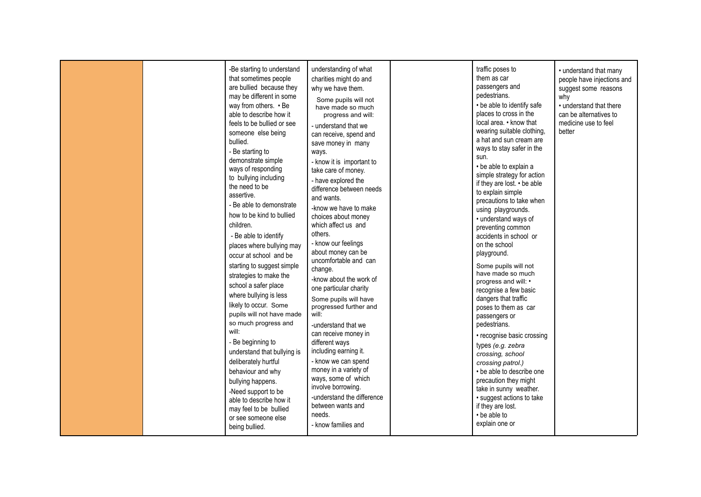|  | -Be starting to understand<br>that sometimes people<br>are bullied because they<br>may be different in some<br>way from others. • Be<br>able to describe how it<br>feels to be bullied or see<br>someone else being<br>bullied.<br>- Be starting to<br>demonstrate simple<br>ways of responding<br>to bullying including<br>the need to be<br>assertive.<br>- Be able to demonstrate<br>how to be kind to bullied<br>children.<br>- Be able to identify<br>places where bullying may<br>occur at school and be<br>starting to suggest simple<br>strategies to make the<br>school a safer place<br>where bullying is less<br>likely to occur. Some<br>pupils will not have made<br>so much progress and<br>will:<br>- Be beginning to<br>understand that bullying is<br>deliberately hurtful<br>behaviour and why<br>bullying happens.<br>-Need support to be<br>able to describe how it<br>may feel to be bullied<br>or see someone else<br>being bullied. | understanding of what<br>charities might do and<br>why we have them.<br>Some pupils will not<br>have made so much<br>progress and will:<br>- understand that we<br>can receive, spend and<br>save money in many<br>ways.<br>- know it is important to<br>take care of money.<br>- have explored the<br>difference between needs<br>and wants.<br>-know we have to make<br>choices about money<br>which affect us and<br>others.<br>- know our feelings<br>about money can be<br>uncomfortable and can<br>change.<br>-know about the work of<br>one particular charity<br>Some pupils will have<br>progressed further and<br>will:<br>-understand that we<br>can receive money in<br>different ways<br>including earning it.<br>- know we can spend<br>money in a variety of<br>ways, some of which<br>involve borrowing.<br>-understand the difference<br>between wants and<br>needs.<br>- know families and | traffic poses to<br>them as car<br>passengers and<br>pedestrians.<br>• be able to identify safe<br>places to cross in the<br>local area. • know that<br>wearing suitable clothing,<br>a hat and sun cream are<br>ways to stay safer in the<br>sun.<br>• be able to explain a<br>simple strategy for action<br>if they are lost. • be able<br>to explain simple<br>precautions to take when<br>using playgrounds.<br>• understand ways of<br>preventing common<br>accidents in school or<br>on the school<br>playground.<br>Some pupils will not<br>have made so much<br>progress and will: •<br>recognise a few basic<br>dangers that traffic<br>poses to them as car<br>passengers or<br>pedestrians.<br>• recognise basic crossing<br>types (e.g. zebra<br>crossing, school<br>crossing patrol.)<br>• be able to describe one<br>precaution they might<br>take in sunny weather.<br>• suggest actions to take<br>if they are lost.<br>• be able to<br>explain one or | • understand that many<br>people have injections and<br>suggest some reasons<br>why<br>• understand that there<br>can be alternatives to<br>medicine use to feel<br>better |
|--|------------------------------------------------------------------------------------------------------------------------------------------------------------------------------------------------------------------------------------------------------------------------------------------------------------------------------------------------------------------------------------------------------------------------------------------------------------------------------------------------------------------------------------------------------------------------------------------------------------------------------------------------------------------------------------------------------------------------------------------------------------------------------------------------------------------------------------------------------------------------------------------------------------------------------------------------------------|--------------------------------------------------------------------------------------------------------------------------------------------------------------------------------------------------------------------------------------------------------------------------------------------------------------------------------------------------------------------------------------------------------------------------------------------------------------------------------------------------------------------------------------------------------------------------------------------------------------------------------------------------------------------------------------------------------------------------------------------------------------------------------------------------------------------------------------------------------------------------------------------------------------|------------------------------------------------------------------------------------------------------------------------------------------------------------------------------------------------------------------------------------------------------------------------------------------------------------------------------------------------------------------------------------------------------------------------------------------------------------------------------------------------------------------------------------------------------------------------------------------------------------------------------------------------------------------------------------------------------------------------------------------------------------------------------------------------------------------------------------------------------------------------------------------------------------------------------------------------------------------------|----------------------------------------------------------------------------------------------------------------------------------------------------------------------------|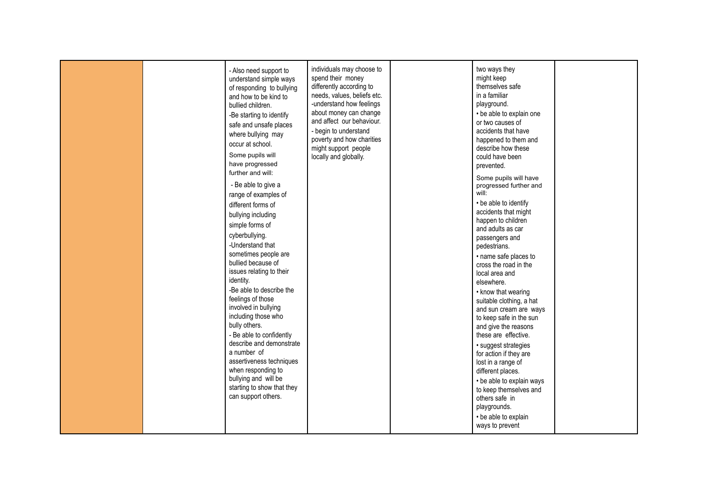|  | - Also need support to<br>understand simple ways<br>of responding to bullying<br>and how to be kind to<br>bullied children.<br>-Be starting to identify<br>safe and unsafe places<br>where bullying may<br>occur at school.<br>Some pupils will<br>have progressed<br>further and will:<br>- Be able to give a<br>range of examples of<br>different forms of<br>bullying including<br>simple forms of<br>cyberbullying.<br>-Understand that<br>sometimes people are<br>bullied because of<br>issues relating to their<br>identity.<br>-Be able to describe the<br>feelings of those<br>involved in bullying<br>including those who<br>bully others.<br>- Be able to confidently<br>describe and demonstrate<br>a number of<br>assertiveness techniques<br>when responding to<br>bullying and will be<br>starting to show that they<br>can support others. | individuals may choose to<br>spend their money<br>differently according to<br>needs, values, beliefs etc.<br>-understand how feelings<br>about money can change<br>and affect our behaviour.<br>- begin to understand<br>poverty and how charities<br>might support people<br>locally and globally. |  | two ways they<br>might keep<br>themselves safe<br>in a familiar<br>playground.<br>• be able to explain one<br>or two causes of<br>accidents that have<br>happened to them and<br>describe how these<br>could have been<br>prevented.<br>Some pupils will have<br>progressed further and<br>will:<br>• be able to identify<br>accidents that might<br>happen to children<br>and adults as car<br>passengers and<br>pedestrians.<br>· name safe places to<br>cross the road in the<br>local area and<br>elsewhere.<br>• know that wearing<br>suitable clothing, a hat<br>and sun cream are ways<br>to keep safe in the sun<br>and give the reasons<br>these are effective.<br>· suggest strategies<br>for action if they are<br>lost in a range of<br>different places.<br>• be able to explain ways<br>to keep themselves and<br>others safe in<br>playgrounds.<br>• be able to explain<br>ways to prevent |  |
|--|-----------------------------------------------------------------------------------------------------------------------------------------------------------------------------------------------------------------------------------------------------------------------------------------------------------------------------------------------------------------------------------------------------------------------------------------------------------------------------------------------------------------------------------------------------------------------------------------------------------------------------------------------------------------------------------------------------------------------------------------------------------------------------------------------------------------------------------------------------------|-----------------------------------------------------------------------------------------------------------------------------------------------------------------------------------------------------------------------------------------------------------------------------------------------------|--|-----------------------------------------------------------------------------------------------------------------------------------------------------------------------------------------------------------------------------------------------------------------------------------------------------------------------------------------------------------------------------------------------------------------------------------------------------------------------------------------------------------------------------------------------------------------------------------------------------------------------------------------------------------------------------------------------------------------------------------------------------------------------------------------------------------------------------------------------------------------------------------------------------------|--|
|--|-----------------------------------------------------------------------------------------------------------------------------------------------------------------------------------------------------------------------------------------------------------------------------------------------------------------------------------------------------------------------------------------------------------------------------------------------------------------------------------------------------------------------------------------------------------------------------------------------------------------------------------------------------------------------------------------------------------------------------------------------------------------------------------------------------------------------------------------------------------|-----------------------------------------------------------------------------------------------------------------------------------------------------------------------------------------------------------------------------------------------------------------------------------------------------|--|-----------------------------------------------------------------------------------------------------------------------------------------------------------------------------------------------------------------------------------------------------------------------------------------------------------------------------------------------------------------------------------------------------------------------------------------------------------------------------------------------------------------------------------------------------------------------------------------------------------------------------------------------------------------------------------------------------------------------------------------------------------------------------------------------------------------------------------------------------------------------------------------------------------|--|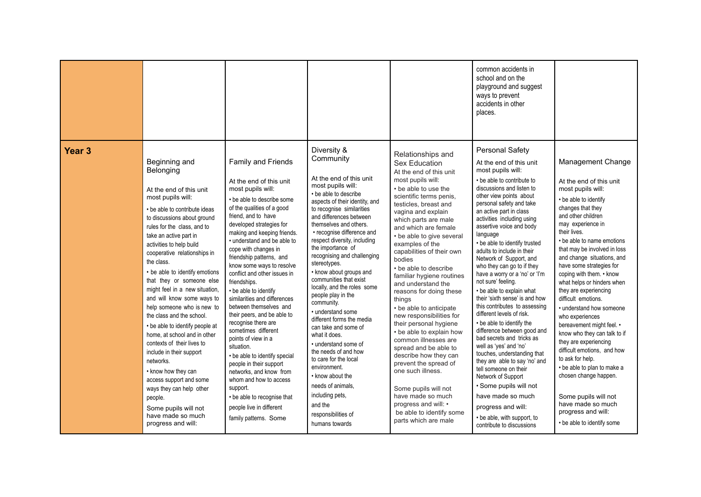|                   |                                                                                                                                                                                                                                                                                                                                                                                                                                                                                                                                                                                                                                                                                                                                                                               |                                                                                                                                                                                                                                                                                                                                                                                                                                                                                                                                                                                                                                                                                                                                                                                                        |                                                                                                                                                                                                                                                                                                                                                                                                                                                                                                                                                                                                                                                                                                                                                                                     |                                                                                                                                                                                                                                                                                                                                                                                                                                                                                                                                                                                                                                                                                                                                                                                                                   | common accidents in<br>school and on the<br>playground and suggest<br>ways to prevent<br>accidents in other<br>places.                                                                                                                                                                                                                                                                                                                                                                                                                                                                                                                                                                                                                                                                                                                                                                                                                                             |                                                                                                                                                                                                                                                                                                                                                                                                                                                                                                                                                                                                                                                                                                                                                               |
|-------------------|-------------------------------------------------------------------------------------------------------------------------------------------------------------------------------------------------------------------------------------------------------------------------------------------------------------------------------------------------------------------------------------------------------------------------------------------------------------------------------------------------------------------------------------------------------------------------------------------------------------------------------------------------------------------------------------------------------------------------------------------------------------------------------|--------------------------------------------------------------------------------------------------------------------------------------------------------------------------------------------------------------------------------------------------------------------------------------------------------------------------------------------------------------------------------------------------------------------------------------------------------------------------------------------------------------------------------------------------------------------------------------------------------------------------------------------------------------------------------------------------------------------------------------------------------------------------------------------------------|-------------------------------------------------------------------------------------------------------------------------------------------------------------------------------------------------------------------------------------------------------------------------------------------------------------------------------------------------------------------------------------------------------------------------------------------------------------------------------------------------------------------------------------------------------------------------------------------------------------------------------------------------------------------------------------------------------------------------------------------------------------------------------------|-------------------------------------------------------------------------------------------------------------------------------------------------------------------------------------------------------------------------------------------------------------------------------------------------------------------------------------------------------------------------------------------------------------------------------------------------------------------------------------------------------------------------------------------------------------------------------------------------------------------------------------------------------------------------------------------------------------------------------------------------------------------------------------------------------------------|--------------------------------------------------------------------------------------------------------------------------------------------------------------------------------------------------------------------------------------------------------------------------------------------------------------------------------------------------------------------------------------------------------------------------------------------------------------------------------------------------------------------------------------------------------------------------------------------------------------------------------------------------------------------------------------------------------------------------------------------------------------------------------------------------------------------------------------------------------------------------------------------------------------------------------------------------------------------|---------------------------------------------------------------------------------------------------------------------------------------------------------------------------------------------------------------------------------------------------------------------------------------------------------------------------------------------------------------------------------------------------------------------------------------------------------------------------------------------------------------------------------------------------------------------------------------------------------------------------------------------------------------------------------------------------------------------------------------------------------------|
| Year <sub>3</sub> | Beginning and<br>Belonging<br>At the end of this unit<br>most pupils will:<br>• be able to contribute ideas<br>to discussions about ground<br>rules for the class, and to<br>take an active part in<br>activities to help build<br>cooperative relationships in<br>the class.<br>• be able to identify emotions<br>that they or someone else<br>might feel in a new situation,<br>and will know some ways to<br>help someone who is new to<br>the class and the school.<br>• be able to identify people at<br>home, at school and in other<br>contexts of their lives to<br>include in their support<br>networks.<br>• know how they can<br>access support and some<br>ways they can help other<br>people.<br>Some pupils will not<br>have made so much<br>progress and will: | Family and Friends<br>At the end of this unit<br>most pupils will:<br>• be able to describe some<br>of the qualities of a good<br>friend, and to have<br>developed strategies for<br>making and keeping friends.<br>• understand and be able to<br>cope with changes in<br>friendship patterns, and<br>know some ways to resolve<br>conflict and other issues in<br>friendships.<br>• be able to identify<br>similarities and differences<br>between themselves and<br>their peers, and be able to<br>recognise there are<br>sometimes different<br>points of view in a<br>situation.<br>• be able to identify special<br>people in their support<br>networks, and know from<br>whom and how to access<br>support.<br>• be able to recognise that<br>people live in different<br>family patterns. Some | Diversity &<br>Community<br>At the end of this unit<br>most pupils will:<br>• be able to describe<br>aspects of their identity, and<br>to recognise similarities<br>and differences between<br>themselves and others.<br>• recognise difference and<br>respect diversity, including<br>the importance of<br>recognising and challenging<br>stereotypes.<br>• know about groups and<br>communities that exist<br>locally, and the roles some<br>people play in the<br>community.<br>· understand some<br>different forms the media<br>can take and some of<br>what it does.<br>• understand some of<br>the needs of and how<br>to care for the local<br>environment.<br>• know about the<br>needs of animals,<br>including pets,<br>and the<br>responsibilities of<br>humans towards | Relationships and<br><b>Sex Education</b><br>At the end of this unit<br>most pupils will:<br>• be able to use the<br>scientific terms penis,<br>testicles, breast and<br>vagina and explain<br>which parts are male<br>and which are female<br>• be able to give several<br>examples of the<br>capabilities of their own<br>bodies<br>• be able to describe<br>familiar hygiene routines<br>and understand the<br>reasons for doing these<br>things<br>• be able to anticipate<br>new responsibilities for<br>their personal hygiene<br>• be able to explain how<br>common illnesses are<br>spread and be able to<br>describe how they can<br>prevent the spread of<br>one such illness.<br>Some pupils will not<br>have made so much<br>progress and will: •<br>be able to identify some<br>parts which are male | Personal Safety<br>At the end of this unit<br>most pupils will:<br>• be able to contribute to<br>discussions and listen to<br>other view points about<br>personal safety and take<br>an active part in class<br>activities including using<br>assertive voice and body<br>language<br>• be able to identify trusted<br>adults to include in their<br>Network of Support, and<br>who they can go to if they<br>have a worry or a 'no' or 'I'm<br>not sure' feeling.<br>• be able to explain what<br>their 'sixth sense' is and how<br>this contributes to assessing<br>different levels of risk.<br>• be able to identify the<br>difference between good and<br>bad secrets and tricks as<br>well as 'yes' and 'no'<br>touches, understanding that<br>they are able to say 'no' and<br>tell someone on their<br>Network of Support<br>· Some pupils will not<br>have made so much<br>progress and will:<br>• be able, with support, to<br>contribute to discussions | Management Change<br>At the end of this unit<br>most pupils will:<br>• be able to identify<br>changes that they<br>and other children<br>may experience in<br>their lives.<br>• be able to name emotions<br>that may be involved in loss<br>and change situations, and<br>have some strategies for<br>coping with them. • know<br>what helps or hinders when<br>they are experiencing<br>difficult emotions.<br>• understand how someone<br>who experiences<br>bereavement might feel. •<br>know who they can talk to if<br>they are experiencing<br>difficult emotions, and how<br>to ask for help.<br>• be able to plan to make a<br>chosen change happen.<br>Some pupils will not<br>have made so much<br>progress and will:<br>• be able to identify some |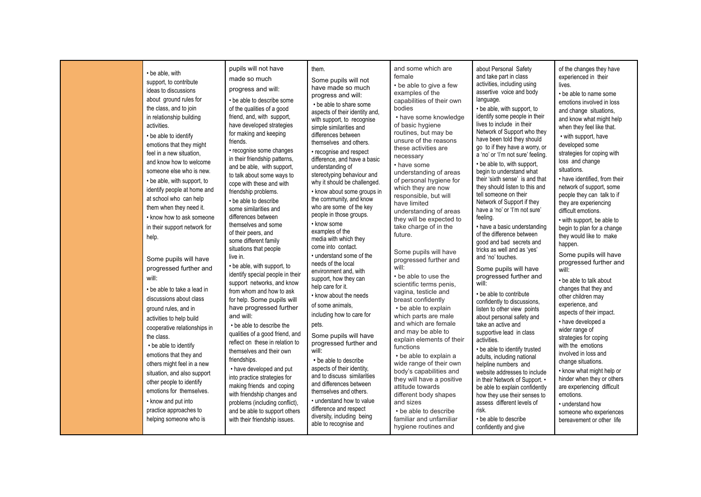| • be able, with<br>support, to contribute<br>ideas to discussions<br>about ground rules for<br>the class, and to join<br>in relationship building<br>activities.<br>• be able to identify<br>emotions that they might<br>feel in a new situation.<br>and know how to welcome<br>someone else who is new.<br>• be able, with support, to<br>identify people at home and<br>at school who can help<br>them when they need it.<br>• know how to ask someone<br>in their support network for<br>help. | pupils will not have<br>made so much<br>progress and will:<br>• be able to describe some<br>of the qualities of a good<br>friend, and, with support.<br>have developed strategies<br>for making and keeping<br>friends.<br>• recognise some changes<br>in their friendship patterns,<br>and be able, with support,<br>to talk about some ways to<br>cope with these and with<br>friendship problems.<br>• be able to describe<br>some similarities and<br>differences between<br>themselves and some<br>of their peers, and<br>some different family<br>situations that people         | them.<br>Some pupils will not<br>have made so much<br>progress and will:<br>• be able to share some<br>aspects of their identity and,<br>with support, to recognise<br>simple similarities and<br>differences between<br>themselves and others.<br>• recognise and respect<br>difference, and have a basic<br>understanding of<br>stereotyping behaviour and<br>why it should be challenged.<br>• know about some groups in<br>the community, and know<br>who are some of the key<br>people in those groups.<br>• know some<br>examples of the<br>media with which they<br>come into contact. | and some which are<br>female<br>• be able to give a few<br>examples of the<br>capabilities of their own<br>bodies<br>• have some knowledge<br>of basic hygiene<br>routines, but may be<br>unsure of the reasons<br>these activities are<br>necessary<br>• have some<br>understanding of areas<br>of personal hygiene for<br>which they are now<br>responsible, but will<br>have limited<br>understanding of areas<br>they will be expected to<br>take charge of in the<br>future.                                                                    | about Personal Safety<br>and take part in class<br>activities, including using<br>assertive voice and body<br>language.<br>• be able, with support, to<br>identify some people in their<br>lives to include in their<br>Network of Support who they<br>have been told they should<br>go to if they have a worry, or<br>a 'no' or 'I'm not sure' feeling.<br>• be able to, with support,<br>begin to understand what<br>their 'sixth sense' is and that<br>they should listen to this and<br>tell someone on their<br>Network of Support if they<br>have a 'no' or 'I'm not sure'<br>feeling.<br>• have a basic understanding<br>of the difference between<br>good and bad secrets and<br>tricks as well and as 'yes' | of the changes they have<br>experienced in their<br>lives.<br>• be able to name some<br>emotions involved in loss<br>and change situations,<br>and know what might help<br>when they feel like that.<br>• with support, have<br>developed some<br>strategies for coping with<br>loss and change<br>situations.<br>• have identified, from their<br>network of support, some<br>people they can talk to if<br>they are experiencing<br>difficult emotions.<br>• with support, be able to<br>begin to plan for a change<br>they would like to make<br>happen. |
|---------------------------------------------------------------------------------------------------------------------------------------------------------------------------------------------------------------------------------------------------------------------------------------------------------------------------------------------------------------------------------------------------------------------------------------------------------------------------------------------------|----------------------------------------------------------------------------------------------------------------------------------------------------------------------------------------------------------------------------------------------------------------------------------------------------------------------------------------------------------------------------------------------------------------------------------------------------------------------------------------------------------------------------------------------------------------------------------------|-----------------------------------------------------------------------------------------------------------------------------------------------------------------------------------------------------------------------------------------------------------------------------------------------------------------------------------------------------------------------------------------------------------------------------------------------------------------------------------------------------------------------------------------------------------------------------------------------|------------------------------------------------------------------------------------------------------------------------------------------------------------------------------------------------------------------------------------------------------------------------------------------------------------------------------------------------------------------------------------------------------------------------------------------------------------------------------------------------------------------------------------------------------|----------------------------------------------------------------------------------------------------------------------------------------------------------------------------------------------------------------------------------------------------------------------------------------------------------------------------------------------------------------------------------------------------------------------------------------------------------------------------------------------------------------------------------------------------------------------------------------------------------------------------------------------------------------------------------------------------------------------|-------------------------------------------------------------------------------------------------------------------------------------------------------------------------------------------------------------------------------------------------------------------------------------------------------------------------------------------------------------------------------------------------------------------------------------------------------------------------------------------------------------------------------------------------------------|
| Some pupils will have<br>progressed further and<br>will:<br>• be able to take a lead in<br>discussions about class<br>ground rules, and in<br>activities to help build<br>cooperative relationships in<br>the class.<br>• be able to identify<br>emotions that they and<br>others might feel in a new<br>situation, and also support<br>other people to identify<br>emotions for themselves.<br>• know and put into<br>practice approaches to<br>helping someone who is                           | live in.<br>• be able, with support, to<br>identify special people in their<br>support networks, and know<br>from whom and how to ask<br>for help. Some pupils will<br>have progressed further<br>and will:<br>• be able to describe the<br>qualities of a good friend, and<br>reflect on these in relation to<br>themselves and their own<br>friendships.<br>• have developed and put<br>into practice strategies for<br>making friends and coping<br>with friendship changes and<br>problems (including conflict),<br>and be able to support others<br>with their friendship issues. | • understand some of the<br>needs of the local<br>environment and, with<br>support, how they can<br>help care for it.<br>• know about the needs<br>of some animals.<br>including how to care for<br>pets.<br>Some pupils will have<br>progressed further and<br>will:<br>• be able to describe<br>aspects of their identity,<br>and to discuss similarities<br>and differences between<br>themselves and others.<br>• understand how to value<br>difference and respect<br>diversity, including being<br>able to recognise and                                                                | Some pupils will have<br>progressed further and<br>will:<br>• be able to use the<br>scientific terms penis,<br>vagina, testicle and<br>breast confidently<br>• be able to explain<br>which parts are male<br>and which are female<br>and may be able to<br>explain elements of their<br>functions<br>• be able to explain a<br>wide range of their own<br>body's capabilities and<br>they will have a positive<br>attitude towards<br>different body shapes<br>and sizes<br>• be able to describe<br>familiar and unfamiliar<br>hygiene routines and | and 'no' touches.<br>Some pupils will have<br>progressed further and<br>will:<br>• be able to contribute<br>confidently to discussions.<br>listen to other view points<br>about personal safety and<br>take an active and<br>supportive lead in class<br>activities.<br>• be able to identify trusted<br>adults, including national<br>helpline numbers and<br>website addresses to include<br>in their Network of Support. •<br>be able to explain confidently<br>how they use their senses to<br>assess different levels of<br>risk.<br>• be able to describe<br>confidently and give                                                                                                                              | Some pupils will have<br>progressed further and<br>will:<br>• be able to talk about<br>changes that they and<br>other children may<br>experience, and<br>aspects of their impact.<br>• have developed a<br>wider range of<br>strategies for coping<br>with the emotions<br>involved in loss and<br>change situations.<br>• know what might help or<br>hinder when they or others<br>are experiencing difficult<br>emotions.<br>• understand how<br>someone who experiences<br>bereavement or other life                                                     |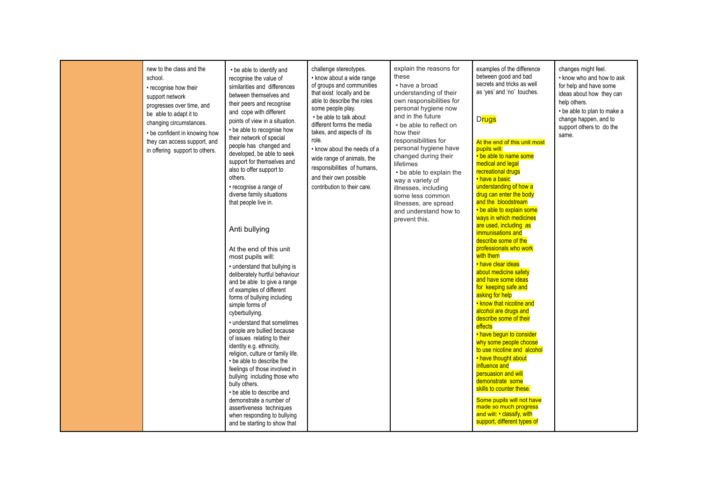| new to the class and the<br>school.<br>• recognise how their<br>support network<br>progresses over time, and<br>be able to adapt it to<br>changing circumstances.<br>• be confident in knowing how<br>they can access support, and<br>in offering support to others. | • be able to identify and<br>recognise the value of<br>similarities and differences<br>between themselves and<br>their peers and recognise<br>and cope with different<br>points of view in a situation.<br>• be able to recognise how<br>their network of special<br>people has changed and<br>developed, be able to seek<br>support for themselves and<br>also to offer support to<br>others.<br>• recognise a range of<br>diverse family situations<br>that people live in.<br>Anti bullying<br>At the end of this unit<br>most pupils will:<br>• understand that bullying is<br>deliberately hurtful behaviour<br>and be able to give a range<br>of examples of different<br>forms of bullying including<br>simple forms of<br>cyberbullying.<br>• understand that sometimes<br>people are bullied because<br>of issues relating to their<br>identity e.g. ethnicity,<br>religion, culture or family life.<br>• be able to describe the<br>feelings of those involved in<br>bullying including those who<br>bully others.<br>• be able to describe and<br>demonstrate a number of<br>assertiveness techniques<br>when responding to bullying<br>and be starting to show that | challenge stereotypes.<br>• know about a wide range<br>of groups and communities<br>that exist locally and be<br>able to describe the roles<br>some people play.<br>• be able to talk about<br>different forms the media<br>takes, and aspects of its<br>role.<br>• know about the needs of a<br>wide range of animals, the<br>responsibilities of humans,<br>and their own possible<br>contribution to their care. | explain the reasons for<br>these<br>• have a broad<br>understanding of their<br>own responsibilities for<br>personal hygiene now<br>and in the future<br>• be able to reflect on<br>how their<br>responsibilities for<br>personal hygiene have<br>changed during their<br>lifetimes<br>• be able to explain the<br>way a variety of<br>illnesses, including<br>some less common<br>illnesses, are spread<br>and understand how to<br>prevent this. | examples of the difference<br>between good and bad<br>secrets and tricks as well<br>as 'yes' and 'no' touches.<br><b>Drugs</b><br>At the end of this unit most<br>pupils will:<br>• be able to name some<br>medical and legal<br>recreational drugs<br>• have a basic<br>understanding of how a<br>drug can enter the body<br>and the bloodstream<br>• be able to explain some<br>ways in which medicines<br>are used, including as<br>immunisations and<br>describe some of the<br>professionals who work<br>with them<br>• have clear ideas<br>about medicine safety<br>and have some ideas<br>for keeping safe and<br>asking for help<br>• know that nicotine and<br>alcohol are drugs and<br>describe some of their<br>effects<br>• have begun to consider<br>why some people choose<br>to use nicotine and alcohol<br>• have thought about<br>influence and<br>persuasion and will<br>demonstrate some<br>skills to counter these.<br>Some pupils will not have<br>made so much progress<br>and will: • classify, with<br>support, different types of | changes might feel.<br>• know who and how to ask<br>for help and have some<br>ideas about how they can<br>help others.<br>• be able to plan to make a<br>change happen, and to<br>support others to do the<br>same. |
|----------------------------------------------------------------------------------------------------------------------------------------------------------------------------------------------------------------------------------------------------------------------|---------------------------------------------------------------------------------------------------------------------------------------------------------------------------------------------------------------------------------------------------------------------------------------------------------------------------------------------------------------------------------------------------------------------------------------------------------------------------------------------------------------------------------------------------------------------------------------------------------------------------------------------------------------------------------------------------------------------------------------------------------------------------------------------------------------------------------------------------------------------------------------------------------------------------------------------------------------------------------------------------------------------------------------------------------------------------------------------------------------------------------------------------------------------------------|---------------------------------------------------------------------------------------------------------------------------------------------------------------------------------------------------------------------------------------------------------------------------------------------------------------------------------------------------------------------------------------------------------------------|----------------------------------------------------------------------------------------------------------------------------------------------------------------------------------------------------------------------------------------------------------------------------------------------------------------------------------------------------------------------------------------------------------------------------------------------------|------------------------------------------------------------------------------------------------------------------------------------------------------------------------------------------------------------------------------------------------------------------------------------------------------------------------------------------------------------------------------------------------------------------------------------------------------------------------------------------------------------------------------------------------------------------------------------------------------------------------------------------------------------------------------------------------------------------------------------------------------------------------------------------------------------------------------------------------------------------------------------------------------------------------------------------------------------------------------------------------------------------------------------------------------------|---------------------------------------------------------------------------------------------------------------------------------------------------------------------------------------------------------------------|
|----------------------------------------------------------------------------------------------------------------------------------------------------------------------------------------------------------------------------------------------------------------------|---------------------------------------------------------------------------------------------------------------------------------------------------------------------------------------------------------------------------------------------------------------------------------------------------------------------------------------------------------------------------------------------------------------------------------------------------------------------------------------------------------------------------------------------------------------------------------------------------------------------------------------------------------------------------------------------------------------------------------------------------------------------------------------------------------------------------------------------------------------------------------------------------------------------------------------------------------------------------------------------------------------------------------------------------------------------------------------------------------------------------------------------------------------------------------|---------------------------------------------------------------------------------------------------------------------------------------------------------------------------------------------------------------------------------------------------------------------------------------------------------------------------------------------------------------------------------------------------------------------|----------------------------------------------------------------------------------------------------------------------------------------------------------------------------------------------------------------------------------------------------------------------------------------------------------------------------------------------------------------------------------------------------------------------------------------------------|------------------------------------------------------------------------------------------------------------------------------------------------------------------------------------------------------------------------------------------------------------------------------------------------------------------------------------------------------------------------------------------------------------------------------------------------------------------------------------------------------------------------------------------------------------------------------------------------------------------------------------------------------------------------------------------------------------------------------------------------------------------------------------------------------------------------------------------------------------------------------------------------------------------------------------------------------------------------------------------------------------------------------------------------------------|---------------------------------------------------------------------------------------------------------------------------------------------------------------------------------------------------------------------|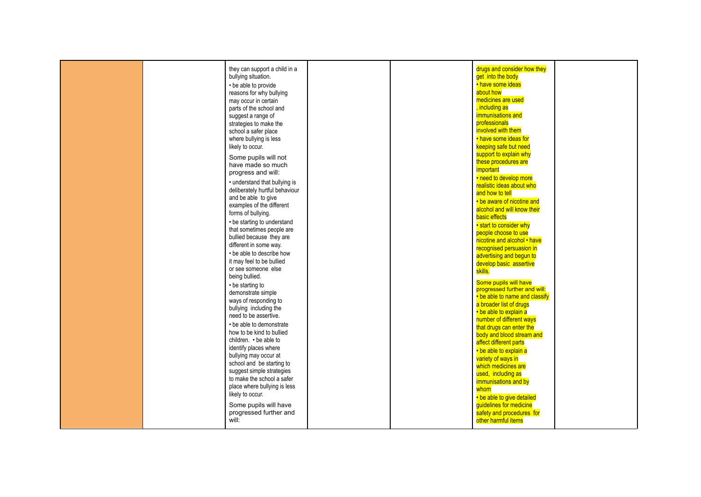| drugs and consider how they<br>they can support a child in a<br>bullying situation.<br>get into the body<br>• have some ideas<br>• be able to provide<br>about how<br>reasons for why bullying<br>medicines are used<br>may occur in certain<br>, including as<br>parts of the school and<br>immunisations and<br>suggest a range of<br>professionals<br>strategies to make the<br>involved with them<br>school a safer place<br>• have some ideas for<br>where bullying is less<br>likely to occur.<br>keeping safe but need<br>support to explain why<br>Some pupils will not<br>these procedures are<br>have made so much<br>important<br>progress and will:<br>• need to develop more<br>• understand that bullying is<br>realistic ideas about who<br>deliberately hurtful behaviour<br>and how to tell<br>and be able to give<br>• be aware of nicotine and<br>examples of the different<br>alcohol and will know their<br>forms of bullying.<br>basic effects<br>• be starting to understand<br>• start to consider why<br>that sometimes people are<br>people choose to use<br>bullied because they are<br>nicotine and alcohol • have<br>different in some way.<br>recognised persuasion in<br>• be able to describe how<br>advertising and begun to<br>it may feel to be bullied<br>develop basic assertive<br>or see someone else<br>skills.<br>being bullied.<br>Some pupils will have<br>• be starting to<br>progressed further and will:<br>demonstrate simple<br>• be able to name and classify<br>ways of responding to<br>a broader list of drugs<br>bullying including the<br>• be able to explain a<br>need to be assertive.<br>number of different ways<br>• be able to demonstrate |  |  |                          |  |
|---------------------------------------------------------------------------------------------------------------------------------------------------------------------------------------------------------------------------------------------------------------------------------------------------------------------------------------------------------------------------------------------------------------------------------------------------------------------------------------------------------------------------------------------------------------------------------------------------------------------------------------------------------------------------------------------------------------------------------------------------------------------------------------------------------------------------------------------------------------------------------------------------------------------------------------------------------------------------------------------------------------------------------------------------------------------------------------------------------------------------------------------------------------------------------------------------------------------------------------------------------------------------------------------------------------------------------------------------------------------------------------------------------------------------------------------------------------------------------------------------------------------------------------------------------------------------------------------------------------------------------------------------------------------------------------------------------|--|--|--------------------------|--|
|                                                                                                                                                                                                                                                                                                                                                                                                                                                                                                                                                                                                                                                                                                                                                                                                                                                                                                                                                                                                                                                                                                                                                                                                                                                                                                                                                                                                                                                                                                                                                                                                                                                                                                         |  |  |                          |  |
|                                                                                                                                                                                                                                                                                                                                                                                                                                                                                                                                                                                                                                                                                                                                                                                                                                                                                                                                                                                                                                                                                                                                                                                                                                                                                                                                                                                                                                                                                                                                                                                                                                                                                                         |  |  |                          |  |
|                                                                                                                                                                                                                                                                                                                                                                                                                                                                                                                                                                                                                                                                                                                                                                                                                                                                                                                                                                                                                                                                                                                                                                                                                                                                                                                                                                                                                                                                                                                                                                                                                                                                                                         |  |  |                          |  |
|                                                                                                                                                                                                                                                                                                                                                                                                                                                                                                                                                                                                                                                                                                                                                                                                                                                                                                                                                                                                                                                                                                                                                                                                                                                                                                                                                                                                                                                                                                                                                                                                                                                                                                         |  |  |                          |  |
|                                                                                                                                                                                                                                                                                                                                                                                                                                                                                                                                                                                                                                                                                                                                                                                                                                                                                                                                                                                                                                                                                                                                                                                                                                                                                                                                                                                                                                                                                                                                                                                                                                                                                                         |  |  |                          |  |
|                                                                                                                                                                                                                                                                                                                                                                                                                                                                                                                                                                                                                                                                                                                                                                                                                                                                                                                                                                                                                                                                                                                                                                                                                                                                                                                                                                                                                                                                                                                                                                                                                                                                                                         |  |  |                          |  |
|                                                                                                                                                                                                                                                                                                                                                                                                                                                                                                                                                                                                                                                                                                                                                                                                                                                                                                                                                                                                                                                                                                                                                                                                                                                                                                                                                                                                                                                                                                                                                                                                                                                                                                         |  |  |                          |  |
|                                                                                                                                                                                                                                                                                                                                                                                                                                                                                                                                                                                                                                                                                                                                                                                                                                                                                                                                                                                                                                                                                                                                                                                                                                                                                                                                                                                                                                                                                                                                                                                                                                                                                                         |  |  |                          |  |
|                                                                                                                                                                                                                                                                                                                                                                                                                                                                                                                                                                                                                                                                                                                                                                                                                                                                                                                                                                                                                                                                                                                                                                                                                                                                                                                                                                                                                                                                                                                                                                                                                                                                                                         |  |  |                          |  |
|                                                                                                                                                                                                                                                                                                                                                                                                                                                                                                                                                                                                                                                                                                                                                                                                                                                                                                                                                                                                                                                                                                                                                                                                                                                                                                                                                                                                                                                                                                                                                                                                                                                                                                         |  |  |                          |  |
|                                                                                                                                                                                                                                                                                                                                                                                                                                                                                                                                                                                                                                                                                                                                                                                                                                                                                                                                                                                                                                                                                                                                                                                                                                                                                                                                                                                                                                                                                                                                                                                                                                                                                                         |  |  |                          |  |
|                                                                                                                                                                                                                                                                                                                                                                                                                                                                                                                                                                                                                                                                                                                                                                                                                                                                                                                                                                                                                                                                                                                                                                                                                                                                                                                                                                                                                                                                                                                                                                                                                                                                                                         |  |  |                          |  |
|                                                                                                                                                                                                                                                                                                                                                                                                                                                                                                                                                                                                                                                                                                                                                                                                                                                                                                                                                                                                                                                                                                                                                                                                                                                                                                                                                                                                                                                                                                                                                                                                                                                                                                         |  |  |                          |  |
|                                                                                                                                                                                                                                                                                                                                                                                                                                                                                                                                                                                                                                                                                                                                                                                                                                                                                                                                                                                                                                                                                                                                                                                                                                                                                                                                                                                                                                                                                                                                                                                                                                                                                                         |  |  |                          |  |
|                                                                                                                                                                                                                                                                                                                                                                                                                                                                                                                                                                                                                                                                                                                                                                                                                                                                                                                                                                                                                                                                                                                                                                                                                                                                                                                                                                                                                                                                                                                                                                                                                                                                                                         |  |  |                          |  |
|                                                                                                                                                                                                                                                                                                                                                                                                                                                                                                                                                                                                                                                                                                                                                                                                                                                                                                                                                                                                                                                                                                                                                                                                                                                                                                                                                                                                                                                                                                                                                                                                                                                                                                         |  |  |                          |  |
|                                                                                                                                                                                                                                                                                                                                                                                                                                                                                                                                                                                                                                                                                                                                                                                                                                                                                                                                                                                                                                                                                                                                                                                                                                                                                                                                                                                                                                                                                                                                                                                                                                                                                                         |  |  |                          |  |
|                                                                                                                                                                                                                                                                                                                                                                                                                                                                                                                                                                                                                                                                                                                                                                                                                                                                                                                                                                                                                                                                                                                                                                                                                                                                                                                                                                                                                                                                                                                                                                                                                                                                                                         |  |  |                          |  |
|                                                                                                                                                                                                                                                                                                                                                                                                                                                                                                                                                                                                                                                                                                                                                                                                                                                                                                                                                                                                                                                                                                                                                                                                                                                                                                                                                                                                                                                                                                                                                                                                                                                                                                         |  |  |                          |  |
|                                                                                                                                                                                                                                                                                                                                                                                                                                                                                                                                                                                                                                                                                                                                                                                                                                                                                                                                                                                                                                                                                                                                                                                                                                                                                                                                                                                                                                                                                                                                                                                                                                                                                                         |  |  |                          |  |
|                                                                                                                                                                                                                                                                                                                                                                                                                                                                                                                                                                                                                                                                                                                                                                                                                                                                                                                                                                                                                                                                                                                                                                                                                                                                                                                                                                                                                                                                                                                                                                                                                                                                                                         |  |  |                          |  |
|                                                                                                                                                                                                                                                                                                                                                                                                                                                                                                                                                                                                                                                                                                                                                                                                                                                                                                                                                                                                                                                                                                                                                                                                                                                                                                                                                                                                                                                                                                                                                                                                                                                                                                         |  |  |                          |  |
|                                                                                                                                                                                                                                                                                                                                                                                                                                                                                                                                                                                                                                                                                                                                                                                                                                                                                                                                                                                                                                                                                                                                                                                                                                                                                                                                                                                                                                                                                                                                                                                                                                                                                                         |  |  |                          |  |
|                                                                                                                                                                                                                                                                                                                                                                                                                                                                                                                                                                                                                                                                                                                                                                                                                                                                                                                                                                                                                                                                                                                                                                                                                                                                                                                                                                                                                                                                                                                                                                                                                                                                                                         |  |  |                          |  |
|                                                                                                                                                                                                                                                                                                                                                                                                                                                                                                                                                                                                                                                                                                                                                                                                                                                                                                                                                                                                                                                                                                                                                                                                                                                                                                                                                                                                                                                                                                                                                                                                                                                                                                         |  |  |                          |  |
|                                                                                                                                                                                                                                                                                                                                                                                                                                                                                                                                                                                                                                                                                                                                                                                                                                                                                                                                                                                                                                                                                                                                                                                                                                                                                                                                                                                                                                                                                                                                                                                                                                                                                                         |  |  |                          |  |
|                                                                                                                                                                                                                                                                                                                                                                                                                                                                                                                                                                                                                                                                                                                                                                                                                                                                                                                                                                                                                                                                                                                                                                                                                                                                                                                                                                                                                                                                                                                                                                                                                                                                                                         |  |  |                          |  |
|                                                                                                                                                                                                                                                                                                                                                                                                                                                                                                                                                                                                                                                                                                                                                                                                                                                                                                                                                                                                                                                                                                                                                                                                                                                                                                                                                                                                                                                                                                                                                                                                                                                                                                         |  |  |                          |  |
|                                                                                                                                                                                                                                                                                                                                                                                                                                                                                                                                                                                                                                                                                                                                                                                                                                                                                                                                                                                                                                                                                                                                                                                                                                                                                                                                                                                                                                                                                                                                                                                                                                                                                                         |  |  |                          |  |
|                                                                                                                                                                                                                                                                                                                                                                                                                                                                                                                                                                                                                                                                                                                                                                                                                                                                                                                                                                                                                                                                                                                                                                                                                                                                                                                                                                                                                                                                                                                                                                                                                                                                                                         |  |  |                          |  |
|                                                                                                                                                                                                                                                                                                                                                                                                                                                                                                                                                                                                                                                                                                                                                                                                                                                                                                                                                                                                                                                                                                                                                                                                                                                                                                                                                                                                                                                                                                                                                                                                                                                                                                         |  |  |                          |  |
|                                                                                                                                                                                                                                                                                                                                                                                                                                                                                                                                                                                                                                                                                                                                                                                                                                                                                                                                                                                                                                                                                                                                                                                                                                                                                                                                                                                                                                                                                                                                                                                                                                                                                                         |  |  |                          |  |
|                                                                                                                                                                                                                                                                                                                                                                                                                                                                                                                                                                                                                                                                                                                                                                                                                                                                                                                                                                                                                                                                                                                                                                                                                                                                                                                                                                                                                                                                                                                                                                                                                                                                                                         |  |  |                          |  |
|                                                                                                                                                                                                                                                                                                                                                                                                                                                                                                                                                                                                                                                                                                                                                                                                                                                                                                                                                                                                                                                                                                                                                                                                                                                                                                                                                                                                                                                                                                                                                                                                                                                                                                         |  |  |                          |  |
|                                                                                                                                                                                                                                                                                                                                                                                                                                                                                                                                                                                                                                                                                                                                                                                                                                                                                                                                                                                                                                                                                                                                                                                                                                                                                                                                                                                                                                                                                                                                                                                                                                                                                                         |  |  |                          |  |
|                                                                                                                                                                                                                                                                                                                                                                                                                                                                                                                                                                                                                                                                                                                                                                                                                                                                                                                                                                                                                                                                                                                                                                                                                                                                                                                                                                                                                                                                                                                                                                                                                                                                                                         |  |  |                          |  |
|                                                                                                                                                                                                                                                                                                                                                                                                                                                                                                                                                                                                                                                                                                                                                                                                                                                                                                                                                                                                                                                                                                                                                                                                                                                                                                                                                                                                                                                                                                                                                                                                                                                                                                         |  |  |                          |  |
|                                                                                                                                                                                                                                                                                                                                                                                                                                                                                                                                                                                                                                                                                                                                                                                                                                                                                                                                                                                                                                                                                                                                                                                                                                                                                                                                                                                                                                                                                                                                                                                                                                                                                                         |  |  |                          |  |
|                                                                                                                                                                                                                                                                                                                                                                                                                                                                                                                                                                                                                                                                                                                                                                                                                                                                                                                                                                                                                                                                                                                                                                                                                                                                                                                                                                                                                                                                                                                                                                                                                                                                                                         |  |  |                          |  |
|                                                                                                                                                                                                                                                                                                                                                                                                                                                                                                                                                                                                                                                                                                                                                                                                                                                                                                                                                                                                                                                                                                                                                                                                                                                                                                                                                                                                                                                                                                                                                                                                                                                                                                         |  |  | that drugs can enter the |  |
| how to be kind to bullied<br>body and blood stream and                                                                                                                                                                                                                                                                                                                                                                                                                                                                                                                                                                                                                                                                                                                                                                                                                                                                                                                                                                                                                                                                                                                                                                                                                                                                                                                                                                                                                                                                                                                                                                                                                                                  |  |  |                          |  |
| children. • be able to                                                                                                                                                                                                                                                                                                                                                                                                                                                                                                                                                                                                                                                                                                                                                                                                                                                                                                                                                                                                                                                                                                                                                                                                                                                                                                                                                                                                                                                                                                                                                                                                                                                                                  |  |  |                          |  |
| affect different parts<br>identify places where                                                                                                                                                                                                                                                                                                                                                                                                                                                                                                                                                                                                                                                                                                                                                                                                                                                                                                                                                                                                                                                                                                                                                                                                                                                                                                                                                                                                                                                                                                                                                                                                                                                         |  |  |                          |  |
| • be able to explain a                                                                                                                                                                                                                                                                                                                                                                                                                                                                                                                                                                                                                                                                                                                                                                                                                                                                                                                                                                                                                                                                                                                                                                                                                                                                                                                                                                                                                                                                                                                                                                                                                                                                                  |  |  |                          |  |
| bullying may occur at<br>variety of ways in                                                                                                                                                                                                                                                                                                                                                                                                                                                                                                                                                                                                                                                                                                                                                                                                                                                                                                                                                                                                                                                                                                                                                                                                                                                                                                                                                                                                                                                                                                                                                                                                                                                             |  |  |                          |  |
| school and be starting to<br>which medicines are                                                                                                                                                                                                                                                                                                                                                                                                                                                                                                                                                                                                                                                                                                                                                                                                                                                                                                                                                                                                                                                                                                                                                                                                                                                                                                                                                                                                                                                                                                                                                                                                                                                        |  |  |                          |  |
| suggest simple strategies<br>used, including as                                                                                                                                                                                                                                                                                                                                                                                                                                                                                                                                                                                                                                                                                                                                                                                                                                                                                                                                                                                                                                                                                                                                                                                                                                                                                                                                                                                                                                                                                                                                                                                                                                                         |  |  |                          |  |
| to make the school a safer<br>immunisations and by                                                                                                                                                                                                                                                                                                                                                                                                                                                                                                                                                                                                                                                                                                                                                                                                                                                                                                                                                                                                                                                                                                                                                                                                                                                                                                                                                                                                                                                                                                                                                                                                                                                      |  |  |                          |  |
| place where bullying is less                                                                                                                                                                                                                                                                                                                                                                                                                                                                                                                                                                                                                                                                                                                                                                                                                                                                                                                                                                                                                                                                                                                                                                                                                                                                                                                                                                                                                                                                                                                                                                                                                                                                            |  |  |                          |  |
| whom<br>likely to occur.                                                                                                                                                                                                                                                                                                                                                                                                                                                                                                                                                                                                                                                                                                                                                                                                                                                                                                                                                                                                                                                                                                                                                                                                                                                                                                                                                                                                                                                                                                                                                                                                                                                                                |  |  |                          |  |
| • be able to give detailed                                                                                                                                                                                                                                                                                                                                                                                                                                                                                                                                                                                                                                                                                                                                                                                                                                                                                                                                                                                                                                                                                                                                                                                                                                                                                                                                                                                                                                                                                                                                                                                                                                                                              |  |  |                          |  |
| Some pupils will have<br>guidelines for medicine                                                                                                                                                                                                                                                                                                                                                                                                                                                                                                                                                                                                                                                                                                                                                                                                                                                                                                                                                                                                                                                                                                                                                                                                                                                                                                                                                                                                                                                                                                                                                                                                                                                        |  |  |                          |  |
| progressed further and<br>safety and procedures for                                                                                                                                                                                                                                                                                                                                                                                                                                                                                                                                                                                                                                                                                                                                                                                                                                                                                                                                                                                                                                                                                                                                                                                                                                                                                                                                                                                                                                                                                                                                                                                                                                                     |  |  |                          |  |
| will:<br>other harmful items                                                                                                                                                                                                                                                                                                                                                                                                                                                                                                                                                                                                                                                                                                                                                                                                                                                                                                                                                                                                                                                                                                                                                                                                                                                                                                                                                                                                                                                                                                                                                                                                                                                                            |  |  |                          |  |
|                                                                                                                                                                                                                                                                                                                                                                                                                                                                                                                                                                                                                                                                                                                                                                                                                                                                                                                                                                                                                                                                                                                                                                                                                                                                                                                                                                                                                                                                                                                                                                                                                                                                                                         |  |  |                          |  |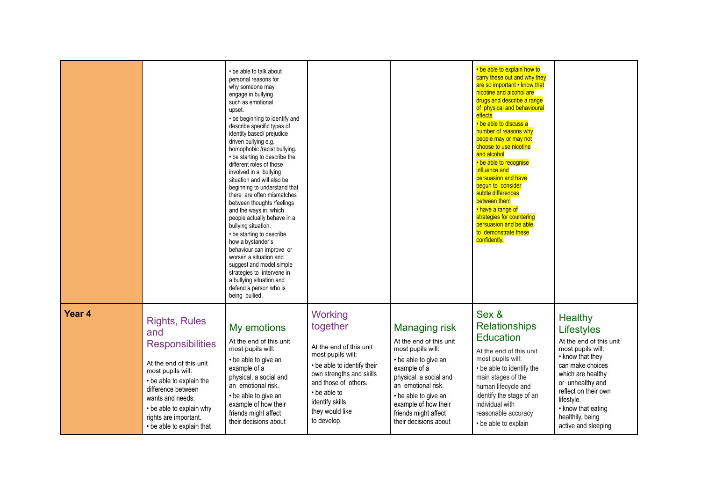|                   |                                                                                                                                                                                                                                                                | • be able to talk about<br>personal reasons for<br>why someone may<br>engage in bullying<br>such as emotional<br>upset.<br>• be beginning to identify and<br>describe specific types of<br>identity based/ prejudice<br>driven bullying e.g.<br>homophobic /racist bullying.<br>• be starting to describe the<br>different roles of those<br>involved in a bullying<br>situation and will also be<br>beginning to understand that<br>there are often mismatches<br>between thoughts /feelings<br>and the ways in which<br>people actually behave in a<br>bullying situation.<br>• be starting to describe<br>how a bystander's<br>behaviour can improve or<br>worsen a situation and<br>suggest and model simple<br>strategies to intervene in<br>a bullying situation and<br>defend a person who is<br>being bullied. |                                                                                                                                                                                                                             |                                                                                                                                                                                                                                                               | • be able to explain how to<br>carry these out and why they<br>are so important • know that<br>nicotine and alcohol are<br>drugs and describe a range<br>of physical and behavioural<br>effects<br>• be able to discuss a<br>number of reasons why<br>people may or may not<br>choose to use nicotine<br>and alcohol<br>• be able to recognise<br>influence and<br>persuasion and have<br>begun to consider<br>subtle differences<br>between them<br>• have a range of<br>strategies for countering<br>persuasion and be able<br>to demonstrate these<br>confidently. |                                                                                                                                                                                                                                                                      |
|-------------------|----------------------------------------------------------------------------------------------------------------------------------------------------------------------------------------------------------------------------------------------------------------|------------------------------------------------------------------------------------------------------------------------------------------------------------------------------------------------------------------------------------------------------------------------------------------------------------------------------------------------------------------------------------------------------------------------------------------------------------------------------------------------------------------------------------------------------------------------------------------------------------------------------------------------------------------------------------------------------------------------------------------------------------------------------------------------------------------------|-----------------------------------------------------------------------------------------------------------------------------------------------------------------------------------------------------------------------------|---------------------------------------------------------------------------------------------------------------------------------------------------------------------------------------------------------------------------------------------------------------|-----------------------------------------------------------------------------------------------------------------------------------------------------------------------------------------------------------------------------------------------------------------------------------------------------------------------------------------------------------------------------------------------------------------------------------------------------------------------------------------------------------------------------------------------------------------------|----------------------------------------------------------------------------------------------------------------------------------------------------------------------------------------------------------------------------------------------------------------------|
| Year <sub>4</sub> | <b>Rights, Rules</b><br>and<br><b>Responsibilities</b><br>At the end of this unit<br>most pupils will:<br>• be able to explain the<br>difference between<br>wants and needs.<br>• be able to explain why<br>rights are important.<br>• be able to explain that | My emotions<br>At the end of this unit<br>most pupils will:<br>• be able to give an<br>example of a<br>physical, a social and<br>an emotional risk.<br>• be able to give an<br>example of how their<br>friends might affect<br>their decisions about                                                                                                                                                                                                                                                                                                                                                                                                                                                                                                                                                                   | Working<br>together<br>At the end of this unit<br>most pupils will:<br>• be able to identify their<br>own strengths and skills<br>and those of others.<br>• be able to<br>identify skills<br>they would like<br>to develop. | <b>Managing risk</b><br>At the end of this unit<br>most pupils will:<br>• be able to give an<br>example of a<br>physical, a social and<br>an emotional risk.<br>• be able to give an<br>example of how their<br>friends might affect<br>their decisions about | Sex &<br><b>Relationships</b><br><b>Education</b><br>At the end of this unit<br>most pupils will:<br>• be able to identify the<br>main stages of the<br>human lifecycle and<br>identify the stage of an<br>individual with<br>reasonable accuracy<br>• be able to explain                                                                                                                                                                                                                                                                                             | <b>Healthy</b><br>Lifestyles<br>At the end of this unit<br>most pupils will:<br>• know that they<br>can make choices<br>which are healthy<br>or unhealthy and<br>reflect on their own<br>lifestyle.<br>• know that eating<br>healthily, being<br>active and sleeping |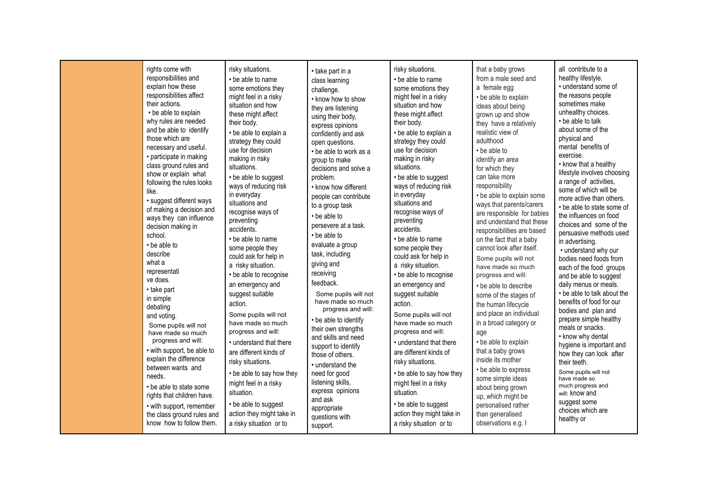| rights come with<br>responsibilities and<br>explain how these<br>responsibilities affect<br>their actions.<br>• be able to explain<br>why rules are needed<br>and be able to identify<br>those which are<br>necessary and useful.<br>• participate in making<br>class ground rules and<br>show or explain what<br>following the rules looks<br>like.<br>· suggest different ways<br>of making a decision and<br>ways they can influence<br>decision making in<br>school.<br>• be able to<br>describe<br>what a<br>representati<br>ve does.<br>• take part<br>in simple<br>debating<br>and voting.<br>Some pupils will not<br>have made so much<br>progress and will:<br>• with support, be able to<br>explain the difference<br>between wants and<br>needs.<br>• be able to state some<br>rights that children have.<br>• with support, remember<br>the class ground rules and<br>know how to follow them. | risky situations.<br>• be able to name<br>some emotions they<br>might feel in a risky<br>situation and how<br>these might affect<br>their body.<br>• be able to explain a<br>strategy they could<br>use for decision<br>making in risky<br>situations.<br>• be able to suggest<br>ways of reducing risk<br>in everyday<br>situations and<br>recognise ways of<br>preventing<br>accidents.<br>• be able to name<br>some people they<br>could ask for help in<br>a risky situation.<br>• be able to recognise<br>an emergency and<br>suggest suitable<br>action.<br>Some pupils will not<br>have made so much<br>progress and will:<br>• understand that there<br>are different kinds of<br>risky situations.<br>• be able to say how they<br>might feel in a risky<br>situation.<br>• be able to suggest<br>action they might take in<br>a risky situation or to | • take part in a<br>class learning<br>challenge.<br>• know how to show<br>they are listening<br>using their body,<br>express opinions<br>confidently and ask<br>open questions.<br>• be able to work as a<br>group to make<br>decisions and solve a<br>problem.<br>• know how different<br>people can contribute<br>to a group task<br>• be able to<br>persevere at a task.<br>• be able to<br>evaluate a group<br>task, including<br>giving and<br>receiving<br>feedback.<br>Some pupils will not<br>have made so much<br>progress and will:<br>• be able to identify<br>their own strengths<br>and skills and need<br>support to identify<br>those of others.<br>• understand the<br>need for good<br>listening skills,<br>express opinions<br>and ask<br>appropriate<br>questions with<br>support. | risky situations.<br>• be able to name<br>some emotions they<br>might feel in a risky<br>situation and how<br>these might affect<br>their body.<br>• be able to explain a<br>strategy they could<br>use for decision<br>making in risky<br>situations.<br>• be able to suggest<br>ways of reducing risk<br>in everyday<br>situations and<br>recognise ways of<br>preventing<br>accidents.<br>• be able to name<br>some people they<br>could ask for help in<br>a risky situation.<br>• be able to recognise<br>an emergency and<br>suggest suitable<br>action.<br>Some pupils will not<br>have made so much<br>progress and will:<br>• understand that there<br>are different kinds of<br>risky situations.<br>• be able to say how they<br>might feel in a risky<br>situation.<br>• be able to suggest<br>action they might take in<br>a risky situation or to | that a baby grows<br>from a male seed and<br>a female egg<br>• be able to explain<br>ideas about being<br>grown up and show<br>they have a relatively<br>realistic view of<br>adulthood<br>• be able to<br>identify an area<br>for which they<br>can take more<br>responsibility<br>• be able to explain some<br>ways that parents/carers<br>are responsible for babies<br>and understand that these<br>responsibilities are based<br>on the fact that a baby<br>cannot look after itself.<br>Some pupils will not<br>have made so much<br>progress and will:<br>• be able to describe<br>some of the stages of<br>the human lifecycle<br>and place an individual<br>in a broad category or<br>age<br>• be able to explain<br>that a baby grows<br>inside its mother<br>• be able to express<br>some simple ideas<br>about being grown<br>up, which might be<br>personalised rather<br>than generalised<br>observations e.g. I | all contribute to a<br>healthy lifestyle.<br>• understand some of<br>the reasons people<br>sometimes make<br>unhealthy choices.<br>• be able to talk<br>about some of the<br>physical and<br>mental benefits of<br>exercise.<br>• know that a healthy<br>lifestyle involves choosing<br>a range of activities,<br>some of which will be<br>more active than others.<br>• be able to state some of<br>the influences on food<br>choices and some of the<br>persuasive methods used<br>in advertising.<br>• understand why our<br>bodies need foods from<br>each of the food groups<br>and be able to suggest<br>daily menus or meals.<br>• be able to talk about the<br>benefits of food for our<br>bodies and plan and<br>prepare simple healthy<br>meals or snacks.<br>• know why dental<br>hygiene is important and<br>how they can look after<br>their teeth.<br>Some pupils will not<br>have made so<br>much progress and<br>will: know and<br>suggest some<br>choices which are<br>healthy or |
|------------------------------------------------------------------------------------------------------------------------------------------------------------------------------------------------------------------------------------------------------------------------------------------------------------------------------------------------------------------------------------------------------------------------------------------------------------------------------------------------------------------------------------------------------------------------------------------------------------------------------------------------------------------------------------------------------------------------------------------------------------------------------------------------------------------------------------------------------------------------------------------------------------|-----------------------------------------------------------------------------------------------------------------------------------------------------------------------------------------------------------------------------------------------------------------------------------------------------------------------------------------------------------------------------------------------------------------------------------------------------------------------------------------------------------------------------------------------------------------------------------------------------------------------------------------------------------------------------------------------------------------------------------------------------------------------------------------------------------------------------------------------------------------|-------------------------------------------------------------------------------------------------------------------------------------------------------------------------------------------------------------------------------------------------------------------------------------------------------------------------------------------------------------------------------------------------------------------------------------------------------------------------------------------------------------------------------------------------------------------------------------------------------------------------------------------------------------------------------------------------------------------------------------------------------------------------------------------------------|-----------------------------------------------------------------------------------------------------------------------------------------------------------------------------------------------------------------------------------------------------------------------------------------------------------------------------------------------------------------------------------------------------------------------------------------------------------------------------------------------------------------------------------------------------------------------------------------------------------------------------------------------------------------------------------------------------------------------------------------------------------------------------------------------------------------------------------------------------------------|--------------------------------------------------------------------------------------------------------------------------------------------------------------------------------------------------------------------------------------------------------------------------------------------------------------------------------------------------------------------------------------------------------------------------------------------------------------------------------------------------------------------------------------------------------------------------------------------------------------------------------------------------------------------------------------------------------------------------------------------------------------------------------------------------------------------------------------------------------------------------------------------------------------------------------|----------------------------------------------------------------------------------------------------------------------------------------------------------------------------------------------------------------------------------------------------------------------------------------------------------------------------------------------------------------------------------------------------------------------------------------------------------------------------------------------------------------------------------------------------------------------------------------------------------------------------------------------------------------------------------------------------------------------------------------------------------------------------------------------------------------------------------------------------------------------------------------------------------------------------------------------------------------------------------------------------|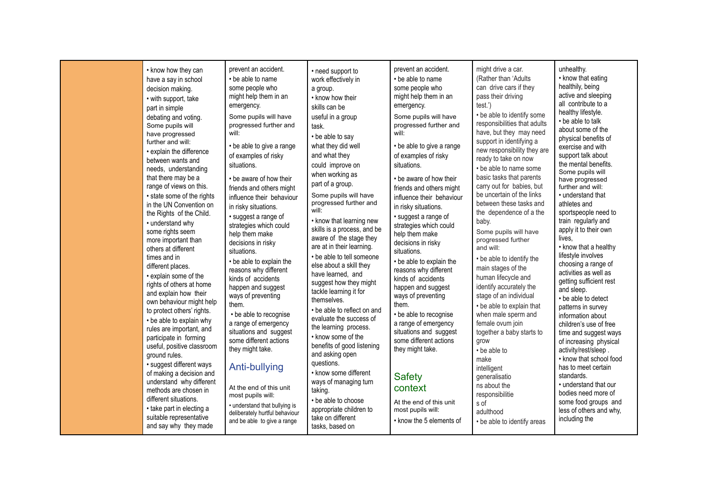| might drive a car.<br>unhealthy.<br>prevent an accident.<br>prevent an accident.<br>• know how they can<br>• need support to<br>• know that eating<br>(Rather than 'Adults<br>• be able to name<br>• be able to name<br>have a say in school<br>work effectively in<br>healthily, being<br>can drive cars if they<br>some people who<br>some people who<br>decision making.<br>a group.<br>active and sleeping<br>pass their driving<br>might help them in an<br>might help them in an<br>• know how their<br>• with support, take<br>all contribute to a<br>test.')<br>emergency.<br>emergency.<br>skills can be<br>part in simple<br>healthy lifestyle.<br>• be able to identify some<br>useful in a group<br>Some pupils will have<br>Some pupils will have<br>debating and voting.<br>• be able to talk<br>responsibilities that adults<br>progressed further and<br>progressed further and<br>Some pupils will<br>task.<br>about some of the<br>have, but they may need<br>will:<br>will:<br>have progressed<br>• be able to say<br>physical benefits of<br>support in identifying a<br>further and will:<br>what they did well<br>• be able to give a range<br>• be able to give a range<br>exercise and with<br>new responsibility they are<br>· explain the difference<br>of examples of risky<br>of examples of risky<br>and what they<br>support talk about<br>ready to take on now<br>between wants and<br>the mental benefits.<br>could improve on<br>situations.<br>situations.<br>• be able to name some<br>needs, understanding<br>Some pupils will<br>when working as<br>basic tasks that parents<br>that there may be a<br>• be aware of how their<br>• be aware of how their<br>have progressed<br>part of a group.<br>range of views on this.<br>carry out for babies, but<br>further and will:<br>friends and others might<br>friends and others might<br>be uncertain of the links<br>Some pupils will have<br>• understand that<br>• state some of the rights<br>influence their behaviour<br>influence their behaviour<br>progressed further and<br>between these tasks and<br>athletes and<br>in the UN Convention on<br>in risky situations.<br>in risky situations.<br>will:<br>the dependence of a the<br>sportspeople need to<br>the Rights of the Child.<br>· suggest a range of<br>· suggest a range of<br>• know that learning new<br>baby.<br>train regularly and<br>• understand why<br>strategies which could<br>strategies which could<br>skills is a process, and be<br>apply it to their own<br>some rights seem<br>Some pupils will have<br>help them make<br>help them make<br>aware of the stage they<br>lives,<br>progressed further<br>more important than<br>decisions in risky<br>decisions in risky<br>are at in their learning.<br>• know that a healthy<br>and will:<br>others at different<br>situations.<br>situations.<br>lifestyle involves<br>• be able to tell someone<br>times and in<br>• be able to identify the<br>• be able to explain the<br>• be able to explain the<br>choosing a range of<br>else about a skill they<br>different places.<br>main stages of the<br>reasons why different<br>reasons why different<br>activities as well as<br>have learned, and<br>• explain some of the<br>human lifecycle and<br>kinds of accidents<br>kinds of accidents<br>getting sufficient rest<br>suggest how they might<br>rights of others at home<br>identify accurately the<br>happen and suggest<br>happen and suggest<br>and sleep.<br>tackle learning it for<br>and explain how their<br>stage of an individual<br>ways of preventing<br>ways of preventing<br>• be able to detect<br>themselves.<br>own behaviour might help<br>them.<br>them.<br>• be able to explain that<br>patterns in survey<br>• be able to reflect on and<br>to protect others' rights.<br>• be able to recognise<br>• be able to recognise<br>when male sperm and<br>information about<br>evaluate the success of<br>• be able to explain why<br>a range of emergency<br>a range of emergency<br>female ovum join<br>children's use of free<br>the learning process.<br>rules are important, and<br>situations and suggest<br>situations and suggest<br>together a baby starts to<br>time and suggest ways<br>• know some of the<br>participate in forming<br>some different actions<br>some different actions<br>grow<br>of increasing physical<br>benefits of good listening<br>useful, positive classroom<br>they might take.<br>they might take.<br>activity/rest/sleep.<br>• be able to<br>and asking open<br>ground rules.<br>• know that school food<br>make<br>questions.<br>· suggest different ways<br>Anti-bullying<br>has to meet certain<br>intelligent<br>• know some different<br>of making a decision and<br><b>Safety</b><br>standards.<br>generalisatio<br>understand why different<br>ways of managing turn<br>• understand that our<br>ns about the<br>context<br>At the end of this unit<br>methods are chosen in<br>taking.<br>bodies need more of<br>responsibilitie<br>most pupils will: |                       |                     |                         |      |                      |
|--------------------------------------------------------------------------------------------------------------------------------------------------------------------------------------------------------------------------------------------------------------------------------------------------------------------------------------------------------------------------------------------------------------------------------------------------------------------------------------------------------------------------------------------------------------------------------------------------------------------------------------------------------------------------------------------------------------------------------------------------------------------------------------------------------------------------------------------------------------------------------------------------------------------------------------------------------------------------------------------------------------------------------------------------------------------------------------------------------------------------------------------------------------------------------------------------------------------------------------------------------------------------------------------------------------------------------------------------------------------------------------------------------------------------------------------------------------------------------------------------------------------------------------------------------------------------------------------------------------------------------------------------------------------------------------------------------------------------------------------------------------------------------------------------------------------------------------------------------------------------------------------------------------------------------------------------------------------------------------------------------------------------------------------------------------------------------------------------------------------------------------------------------------------------------------------------------------------------------------------------------------------------------------------------------------------------------------------------------------------------------------------------------------------------------------------------------------------------------------------------------------------------------------------------------------------------------------------------------------------------------------------------------------------------------------------------------------------------------------------------------------------------------------------------------------------------------------------------------------------------------------------------------------------------------------------------------------------------------------------------------------------------------------------------------------------------------------------------------------------------------------------------------------------------------------------------------------------------------------------------------------------------------------------------------------------------------------------------------------------------------------------------------------------------------------------------------------------------------------------------------------------------------------------------------------------------------------------------------------------------------------------------------------------------------------------------------------------------------------------------------------------------------------------------------------------------------------------------------------------------------------------------------------------------------------------------------------------------------------------------------------------------------------------------------------------------------------------------------------------------------------------------------------------------------------------------------------------------------------------------------------------------------------------------------------------------------------------------------------------------------------------------------------------------------------------------------------------------------------------------------------------------------------------------------------------------------------------------------------------------------------------------------------------------------------------------------------------------------------------------------------------------------------------------------------------------------------------------------------------------------------------------------------------------------------------------------------------------------------------------------------------------------------------------------|-----------------------|---------------------|-------------------------|------|----------------------|
| · understand that bullying is<br>• take part in electing a<br>appropriate children to<br>most pupils will:<br>less of others and why,<br>adulthood<br>deliberately hurtful behaviour<br>suitable representative<br>take on different<br>including the<br>• know the 5 elements of<br>and be able to give a range<br>• be able to identify areas<br>and say why they made<br>tasks, based on                                                                                                                                                                                                                                                                                                                                                                                                                                                                                                                                                                                                                                                                                                                                                                                                                                                                                                                                                                                                                                                                                                                                                                                                                                                                                                                                                                                                                                                                                                                                                                                                                                                                                                                                                                                                                                                                                                                                                                                                                                                                                                                                                                                                                                                                                                                                                                                                                                                                                                                                                                                                                                                                                                                                                                                                                                                                                                                                                                                                                                                                                                                                                                                                                                                                                                                                                                                                                                                                                                                                                                                                                                                                                                                                                                                                                                                                                                                                                                                                                                                                                                                                                                                                                                                                                                                                                                                                                                                                                                                                                                                                                                                            | different situations. | • be able to choose | At the end of this unit | s of | some food groups and |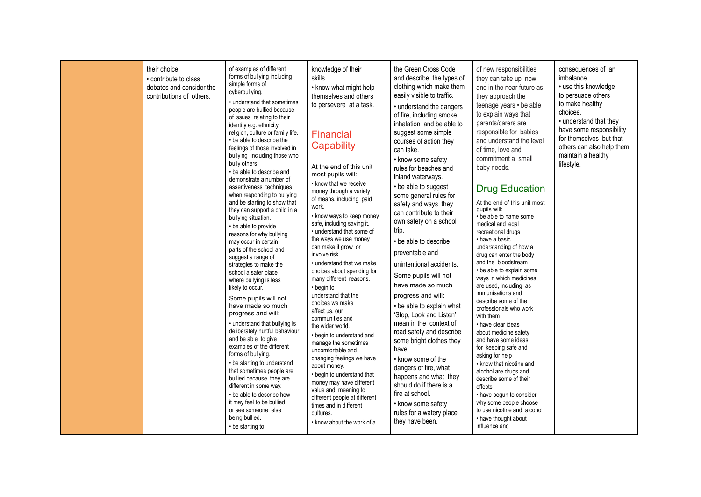| their choice.<br>• contribute to class<br>debates and consider the<br>contributions of others. | of examples of different<br>forms of bullying including<br>simple forms of<br>cyberbullying.<br>• understand that sometimes<br>people are bullied because<br>of issues relating to their<br>identity e.g. ethnicity,<br>religion, culture or family life.<br>• be able to describe the<br>feelings of those involved in<br>bullying including those who<br>bully others.<br>• be able to describe and<br>demonstrate a number of<br>assertiveness techniques<br>when responding to bullying<br>and be starting to show that<br>they can support a child in a<br>bullying situation.<br>• be able to provide<br>reasons for why bullying<br>may occur in certain<br>parts of the school and<br>suggest a range of<br>strategies to make the<br>school a safer place<br>where bullying is less<br>likely to occur.<br>Some pupils will not<br>have made so much<br>progress and will:<br>• understand that bullying is<br>deliberately hurtful behaviour<br>and be able to give<br>examples of the different<br>forms of bullying.<br>• be starting to understand<br>that sometimes people are<br>bullied because they are<br>different in some way.<br>• be able to describe how<br>it may feel to be bullied<br>or see someone else<br>being bullied.<br>• be starting to | knowledge of their<br>skills.<br>• know what might help<br>themselves and others<br>to persevere at a task.<br><b>Financial</b><br>Capability<br>At the end of this unit<br>most pupils will:<br>• know that we receive<br>money through a variety<br>of means, including paid<br>work.<br>• know ways to keep money<br>safe, including saving it.<br>• understand that some of<br>the ways we use money<br>can make it grow or<br>involve risk.<br>• understand that we make<br>choices about spending for<br>many different reasons.<br>• begin to<br>understand that the<br>choices we make<br>affect us, our<br>communities and<br>the wider world.<br>• begin to understand and<br>manage the sometimes<br>uncomfortable and<br>changing feelings we have<br>about money.<br>• begin to understand that<br>money may have different<br>value and meaning to<br>different people at different<br>times and in different<br>cultures.<br>• know about the work of a | the Green Cross Code<br>and describe the types of<br>clothing which make them<br>easily visible to traffic.<br>• understand the dangers<br>of fire, including smoke<br>inhalation and be able to<br>suggest some simple<br>courses of action they<br>can take.<br>• know some safety<br>rules for beaches and<br>inland waterways.<br>• be able to suggest<br>some general rules for<br>safety and ways they<br>can contribute to their<br>own safety on a school<br>trip.<br>• be able to describe<br>preventable and<br>unintentional accidents.<br>Some pupils will not<br>have made so much<br>progress and will:<br>• be able to explain what<br>'Stop, Look and Listen'<br>mean in the context of<br>road safety and describe<br>some bright clothes they<br>have.<br>• know some of the<br>dangers of fire, what<br>happens and what they<br>should do if there is a<br>fire at school.<br>• know some safety<br>rules for a watery place<br>they have been. | of new responsibilities<br>they can take up now<br>and in the near future as<br>they approach the<br>teenage years • be able<br>to explain ways that<br>parents/carers are<br>responsible for babies<br>and understand the level<br>of time, love and<br>commitment a small<br>baby needs.<br><b>Drug Education</b><br>At the end of this unit most<br>pupils will:<br>• be able to name some<br>medical and legal<br>recreational drugs<br>• have a basic<br>understanding of how a<br>drug can enter the body<br>and the bloodstream<br>• be able to explain some<br>ways in which medicines<br>are used, including as<br>immunisations and<br>describe some of the<br>professionals who work<br>with them<br>• have clear ideas<br>about medicine safety<br>and have some ideas<br>for keeping safe and<br>asking for help<br>• know that nicotine and<br>alcohol are drugs and<br>describe some of their<br>effects<br>• have begun to consider<br>why some people choose<br>to use nicotine and alcohol<br>• have thought about<br>influence and | consequences of an<br>imbalance.<br>• use this knowledge<br>to persuade others<br>to make healthy<br>choices.<br>• understand that they<br>have some responsibility<br>for themselves but that<br>others can also help them<br>maintain a healthy<br>lifestyle. |
|------------------------------------------------------------------------------------------------|---------------------------------------------------------------------------------------------------------------------------------------------------------------------------------------------------------------------------------------------------------------------------------------------------------------------------------------------------------------------------------------------------------------------------------------------------------------------------------------------------------------------------------------------------------------------------------------------------------------------------------------------------------------------------------------------------------------------------------------------------------------------------------------------------------------------------------------------------------------------------------------------------------------------------------------------------------------------------------------------------------------------------------------------------------------------------------------------------------------------------------------------------------------------------------------------------------------------------------------------------------------------------|------------------------------------------------------------------------------------------------------------------------------------------------------------------------------------------------------------------------------------------------------------------------------------------------------------------------------------------------------------------------------------------------------------------------------------------------------------------------------------------------------------------------------------------------------------------------------------------------------------------------------------------------------------------------------------------------------------------------------------------------------------------------------------------------------------------------------------------------------------------------------------------------------------------------------------------------------------------------|---------------------------------------------------------------------------------------------------------------------------------------------------------------------------------------------------------------------------------------------------------------------------------------------------------------------------------------------------------------------------------------------------------------------------------------------------------------------------------------------------------------------------------------------------------------------------------------------------------------------------------------------------------------------------------------------------------------------------------------------------------------------------------------------------------------------------------------------------------------------------------------------------------------------------------------------------------------------|-------------------------------------------------------------------------------------------------------------------------------------------------------------------------------------------------------------------------------------------------------------------------------------------------------------------------------------------------------------------------------------------------------------------------------------------------------------------------------------------------------------------------------------------------------------------------------------------------------------------------------------------------------------------------------------------------------------------------------------------------------------------------------------------------------------------------------------------------------------------------------------------------------------------------------------------------------------------------------------------------------------------------------------------------------|-----------------------------------------------------------------------------------------------------------------------------------------------------------------------------------------------------------------------------------------------------------------|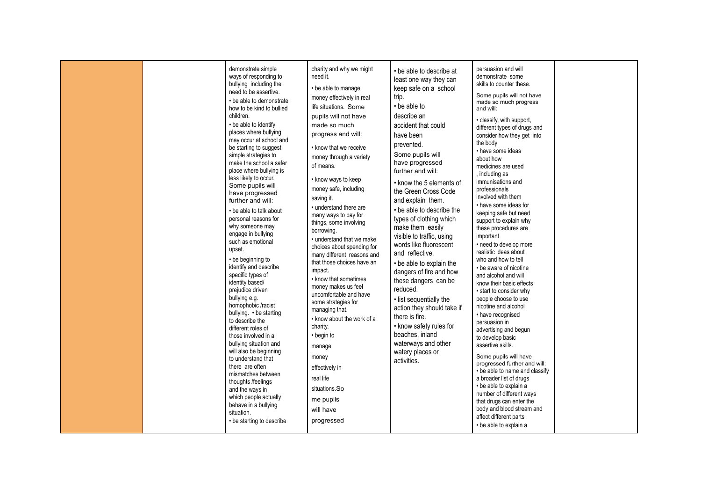|  | demonstrate simple<br>ways of responding to<br>bullying including the<br>need to be assertive.<br>• be able to demonstrate<br>how to be kind to bullied<br>children.<br>• be able to identify<br>places where bullying<br>may occur at school and<br>be starting to suggest<br>simple strategies to<br>make the school a safer<br>place where bullying is<br>less likely to occur.<br>Some pupils will<br>have progressed<br>further and will:<br>• be able to talk about<br>personal reasons for<br>why someone may<br>engage in bullying<br>such as emotional<br>upset.<br>• be beginning to<br>identify and describe<br>specific types of<br>identity based/<br>prejudice driven<br>bullying e.g.<br>homophobic /racist<br>bullying. • be starting<br>to describe the<br>different roles of<br>those involved in a<br>bullying situation and<br>will also be beginning<br>to understand that<br>there are often<br>mismatches between<br>thoughts /feelings<br>and the ways in<br>which people actually<br>behave in a bullying<br>situation.<br>• be starting to describe | charity and why we might<br>need it.<br>• be able to manage<br>money effectively in real<br>life situations. Some<br>pupils will not have<br>made so much<br>progress and will:<br>• know that we receive<br>money through a variety<br>of means.<br>• know ways to keep<br>money safe, including<br>saving it.<br>• understand there are<br>many ways to pay for<br>things, some involving<br>borrowing.<br>• understand that we make<br>choices about spending for<br>many different reasons and<br>that those choices have an<br>impact.<br>• know that sometimes<br>money makes us feel<br>uncomfortable and have<br>some strategies for<br>managing that.<br>• know about the work of a<br>charity.<br>• begin to<br>manage<br>money<br>effectively in<br>real life<br>situations.So<br>me pupils<br>will have<br>progressed | • be able to describe at<br>least one way they can<br>keep safe on a school<br>trip.<br>• be able to<br>describe an<br>accident that could<br>have been<br>prevented.<br>Some pupils will<br>have progressed<br>further and will:<br>• know the 5 elements of<br>the Green Cross Code<br>and explain them.<br>• be able to describe the<br>types of clothing which<br>make them easily<br>visible to traffic, using<br>words like fluorescent<br>and reflective.<br>• be able to explain the<br>dangers of fire and how<br>these dangers can be<br>reduced.<br>· list sequentially the<br>action they should take if<br>there is fire.<br>• know safety rules for<br>beaches, inland<br>waterways and other<br>watery places or<br>activities. | persuasion and will<br>demonstrate some<br>skills to counter these.<br>Some pupils will not have<br>made so much progress<br>and will:<br>· classify, with support,<br>different types of drugs and<br>consider how they get into<br>the body<br>• have some ideas<br>about how<br>medicines are used<br>, including as<br>immunisations and<br>professionals<br>involved with them<br>• have some ideas for<br>keeping safe but need<br>support to explain why<br>these procedures are<br>important<br>• need to develop more<br>realistic ideas about<br>who and how to tell<br>• be aware of nicotine<br>and alcohol and will<br>know their basic effects<br>• start to consider why<br>people choose to use<br>nicotine and alcohol<br>• have recognised<br>persuasion in<br>advertising and begun<br>to develop basic<br>assertive skills.<br>Some pupils will have<br>progressed further and will:<br>• be able to name and classify<br>a broader list of drugs<br>• be able to explain a<br>number of different ways<br>that drugs can enter the<br>body and blood stream and<br>affect different parts<br>• be able to explain a |  |
|--|-------------------------------------------------------------------------------------------------------------------------------------------------------------------------------------------------------------------------------------------------------------------------------------------------------------------------------------------------------------------------------------------------------------------------------------------------------------------------------------------------------------------------------------------------------------------------------------------------------------------------------------------------------------------------------------------------------------------------------------------------------------------------------------------------------------------------------------------------------------------------------------------------------------------------------------------------------------------------------------------------------------------------------------------------------------------------------|-----------------------------------------------------------------------------------------------------------------------------------------------------------------------------------------------------------------------------------------------------------------------------------------------------------------------------------------------------------------------------------------------------------------------------------------------------------------------------------------------------------------------------------------------------------------------------------------------------------------------------------------------------------------------------------------------------------------------------------------------------------------------------------------------------------------------------------|------------------------------------------------------------------------------------------------------------------------------------------------------------------------------------------------------------------------------------------------------------------------------------------------------------------------------------------------------------------------------------------------------------------------------------------------------------------------------------------------------------------------------------------------------------------------------------------------------------------------------------------------------------------------------------------------------------------------------------------------|------------------------------------------------------------------------------------------------------------------------------------------------------------------------------------------------------------------------------------------------------------------------------------------------------------------------------------------------------------------------------------------------------------------------------------------------------------------------------------------------------------------------------------------------------------------------------------------------------------------------------------------------------------------------------------------------------------------------------------------------------------------------------------------------------------------------------------------------------------------------------------------------------------------------------------------------------------------------------------------------------------------------------------------------------------------------------------------------------------------------------------------|--|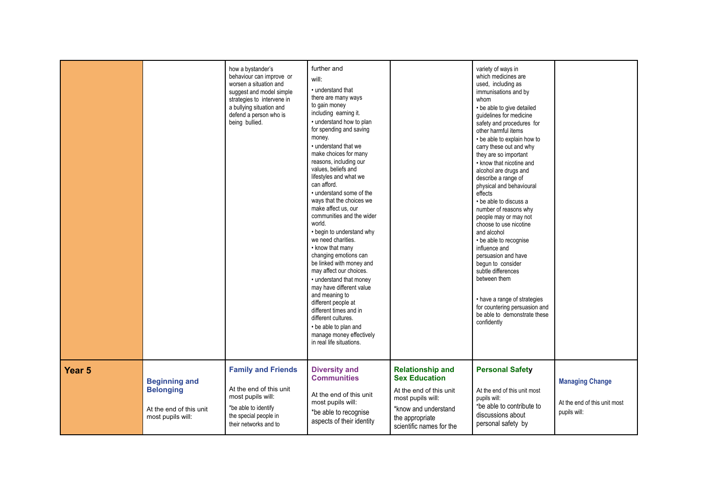|                   |                                                                                          | how a bystander's<br>behaviour can improve or<br>worsen a situation and<br>suggest and model simple<br>strategies to intervene in<br>a bullying situation and<br>defend a person who is<br>being bullied. | further and<br>will:<br>. understand that<br>there are many ways<br>to gain money<br>including earning it.<br>• understand how to plan<br>for spending and saving<br>money.<br>• understand that we<br>make choices for many<br>reasons, including our<br>values, beliefs and<br>lifestyles and what we<br>can afford.<br>• understand some of the<br>ways that the choices we<br>make affect us, our<br>communities and the wider<br>world.<br>• begin to understand why<br>we need charities.<br>• know that many<br>changing emotions can<br>be linked with money and<br>may affect our choices.<br>• understand that money<br>may have different value<br>and meaning to<br>different people at<br>different times and in<br>different cultures.<br>• be able to plan and<br>manage money effectively<br>in real life situations. |                                                                                                                                                                        | variety of ways in<br>which medicines are<br>used, including as<br>immunisations and by<br>whom<br>• be able to give detailed<br>guidelines for medicine<br>safety and procedures for<br>other harmful items<br>• be able to explain how to<br>carry these out and why<br>they are so important<br>• know that nicotine and<br>alcohol are drugs and<br>describe a range of<br>physical and behavioural<br>effects<br>• be able to discuss a<br>number of reasons why<br>people may or may not<br>choose to use nicotine<br>and alcohol<br>• be able to recognise<br>influence and<br>persuasion and have<br>begun to consider<br>subtle differences<br>between them<br>• have a range of strategies<br>for countering persuasion and<br>be able to demonstrate these<br>confidently |                                                                        |
|-------------------|------------------------------------------------------------------------------------------|-----------------------------------------------------------------------------------------------------------------------------------------------------------------------------------------------------------|---------------------------------------------------------------------------------------------------------------------------------------------------------------------------------------------------------------------------------------------------------------------------------------------------------------------------------------------------------------------------------------------------------------------------------------------------------------------------------------------------------------------------------------------------------------------------------------------------------------------------------------------------------------------------------------------------------------------------------------------------------------------------------------------------------------------------------------|------------------------------------------------------------------------------------------------------------------------------------------------------------------------|--------------------------------------------------------------------------------------------------------------------------------------------------------------------------------------------------------------------------------------------------------------------------------------------------------------------------------------------------------------------------------------------------------------------------------------------------------------------------------------------------------------------------------------------------------------------------------------------------------------------------------------------------------------------------------------------------------------------------------------------------------------------------------------|------------------------------------------------------------------------|
| Year <sub>5</sub> | <b>Beginning and</b><br><b>Belonging</b><br>At the end of this unit<br>most pupils will: | <b>Family and Friends</b><br>At the end of this unit<br>most pupils will:<br>*be able to identify<br>the special people in<br>their networks and to                                                       | <b>Diversity and</b><br><b>Communities</b><br>At the end of this unit<br>most pupils will:<br>*be able to recognise<br>aspects of their identity                                                                                                                                                                                                                                                                                                                                                                                                                                                                                                                                                                                                                                                                                      | <b>Relationship and</b><br><b>Sex Education</b><br>At the end of this unit<br>most pupils will:<br>*know and understand<br>the appropriate<br>scientific names for the | <b>Personal Safety</b><br>At the end of this unit most<br>pupils will:<br>*be able to contribute to<br>discussions about<br>personal safety by                                                                                                                                                                                                                                                                                                                                                                                                                                                                                                                                                                                                                                       | <b>Managing Change</b><br>At the end of this unit most<br>pupils will: |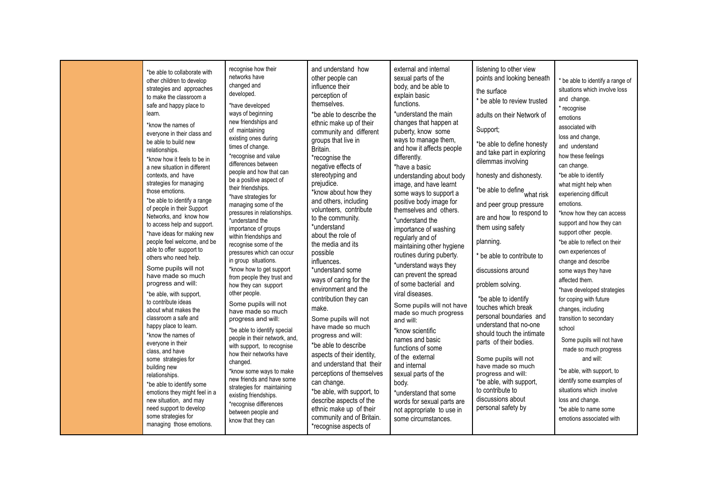| learn. | *be able to collaborate with<br>other children to develop<br>strategies and approaches<br>to make the classroom a<br>safe and happy place to<br>*know the names of<br>everyone in their class and<br>be able to build new<br>relationships.<br>*know how it feels to be in<br>a new situation in different<br>contexts, and have<br>strategies for managing<br>those emotions.<br>*be able to identify a range<br>of people in their Support<br>Networks, and know how<br>to access help and support.<br>*have ideas for making new<br>people feel welcome, and be<br>able to offer support to<br>others who need help.<br>Some pupils will not<br>have made so much<br>progress and will:<br>*be able, with support,<br>to contribute ideas<br>about what makes the<br>classroom a safe and<br>happy place to learn.<br>*know the names of<br>everyone in their<br>class, and have<br>some strategies for<br>building new<br>relationships.<br>*be able to identify some<br>emotions they might feel in a<br>new situation, and may<br>need support to develop<br>some strategies for<br>managing those emotions. | recognise how their<br>networks have<br>changed and<br>developed.<br>*have developed<br>ways of beginning<br>new friendships and<br>of maintaining<br>existing ones during<br>times of change.<br>*recognise and value<br>differences between<br>people and how that can<br>be a positive aspect of<br>their friendships.<br>*have strategies for<br>managing some of the<br>pressures in relationships.<br>*understand the<br>importance of groups<br>within friendships and<br>recognise some of the<br>pressures which can occur<br>in group situations.<br>*know how to get support<br>from people they trust and<br>how they can support<br>other people.<br>Some pupils will not<br>have made so much<br>progress and will:<br>*be able to identify special<br>people in their network, and,<br>with support, to recognise<br>how their networks have<br>changed.<br>*know some ways to make<br>new friends and have some<br>strategies for maintaining<br>existing friendships.<br>*recognise differences<br>between people and<br>know that they can | and understand how<br>other people can<br>influence their<br>perception of<br>themselves.<br>*be able to describe the<br>ethnic make up of their<br>community and different<br>groups that live in<br>Britain.<br>*recognise the<br>negative effects of<br>stereotyping and<br>prejudice.<br>*know about how they<br>and others, including<br>volunteers, contribute<br>to the community.<br>*understand<br>about the role of<br>the media and its<br>possible<br>influences.<br>*understand some<br>ways of caring for the<br>environment and the<br>contribution they can<br>make.<br>Some pupils will not<br>have made so much<br>progress and will:<br>*be able to describe<br>aspects of their identity,<br>and understand that their<br>perceptions of themselves<br>can change.<br>*be able, with support, to<br>describe aspects of the<br>ethnic make up of their<br>community and of Britain.<br>*recognise aspects of | external and internal<br>sexual parts of the<br>body, and be able to<br>explain basic<br>functions.<br>*understand the main<br>changes that happen at<br>puberty, know some<br>ways to manage them,<br>and how it affects people<br>differently.<br>*have a basic<br>understanding about body<br>image, and have learnt<br>some ways to support a<br>positive body image for<br>themselves and others.<br>*understand the<br>importance of washing<br>regularly and of<br>maintaining other hygiene<br>routines during puberty.<br>*understand ways they<br>can prevent the spread<br>of some bacterial and<br>viral diseases.<br>Some pupils will not have<br>made so much progress<br>and will:<br>*know scientific<br>names and basic<br>functions of some<br>of the external<br>and internal<br>sexual parts of the<br>body.<br>*understand that some<br>words for sexual parts are<br>not appropriate to use in<br>some circumstances. | listening to other view<br>points and looking beneath<br>the surface<br>* be able to review trusted<br>adults on their Network of<br>Support;<br>*be able to define honesty<br>and take part in exploring<br>dilemmas involving<br>honesty and dishonesty.<br>*be able to define what risk<br>and peer group pressure<br>are and how to respond to<br>them using safety<br>planning.<br>* be able to contribute to<br>discussions around<br>problem solving.<br>*be able to identify<br>touches which break<br>personal boundaries and<br>understand that no-one<br>should touch the intimate<br>parts of their bodies.<br>Some pupils will not<br>have made so much<br>progress and will:<br>*be able, with support,<br>to contribute to<br>discussions about<br>personal safety by | be able to identify a range of<br>situations which involve loss<br>and change.<br>* recognise<br>emotions<br>associated with<br>loss and change,<br>and understand<br>how these feelings<br>can change.<br>*be able to identify<br>what might help when<br>experiencing difficult<br>emotions.<br>*know how they can access<br>support and how they can<br>support other people.<br>*be able to reflect on their<br>own experiences of<br>change and describe<br>some ways they have<br>affected them.<br>*have developed strategies<br>for coping with future<br>changes, including<br>transition to secondary<br>school<br>Some pupils will not have<br>made so much progress<br>and will:<br>*be able, with support, to<br>identify some examples of<br>situations which involve<br>loss and change.<br>*be able to name some<br>emotions associated with |
|--------|--------------------------------------------------------------------------------------------------------------------------------------------------------------------------------------------------------------------------------------------------------------------------------------------------------------------------------------------------------------------------------------------------------------------------------------------------------------------------------------------------------------------------------------------------------------------------------------------------------------------------------------------------------------------------------------------------------------------------------------------------------------------------------------------------------------------------------------------------------------------------------------------------------------------------------------------------------------------------------------------------------------------------------------------------------------------------------------------------------------------|--------------------------------------------------------------------------------------------------------------------------------------------------------------------------------------------------------------------------------------------------------------------------------------------------------------------------------------------------------------------------------------------------------------------------------------------------------------------------------------------------------------------------------------------------------------------------------------------------------------------------------------------------------------------------------------------------------------------------------------------------------------------------------------------------------------------------------------------------------------------------------------------------------------------------------------------------------------------------------------------------------------------------------------------------------------|----------------------------------------------------------------------------------------------------------------------------------------------------------------------------------------------------------------------------------------------------------------------------------------------------------------------------------------------------------------------------------------------------------------------------------------------------------------------------------------------------------------------------------------------------------------------------------------------------------------------------------------------------------------------------------------------------------------------------------------------------------------------------------------------------------------------------------------------------------------------------------------------------------------------------------|---------------------------------------------------------------------------------------------------------------------------------------------------------------------------------------------------------------------------------------------------------------------------------------------------------------------------------------------------------------------------------------------------------------------------------------------------------------------------------------------------------------------------------------------------------------------------------------------------------------------------------------------------------------------------------------------------------------------------------------------------------------------------------------------------------------------------------------------------------------------------------------------------------------------------------------------|--------------------------------------------------------------------------------------------------------------------------------------------------------------------------------------------------------------------------------------------------------------------------------------------------------------------------------------------------------------------------------------------------------------------------------------------------------------------------------------------------------------------------------------------------------------------------------------------------------------------------------------------------------------------------------------------------------------------------------------------------------------------------------------|--------------------------------------------------------------------------------------------------------------------------------------------------------------------------------------------------------------------------------------------------------------------------------------------------------------------------------------------------------------------------------------------------------------------------------------------------------------------------------------------------------------------------------------------------------------------------------------------------------------------------------------------------------------------------------------------------------------------------------------------------------------------------------------------------------------------------------------------------------------|
|--------|--------------------------------------------------------------------------------------------------------------------------------------------------------------------------------------------------------------------------------------------------------------------------------------------------------------------------------------------------------------------------------------------------------------------------------------------------------------------------------------------------------------------------------------------------------------------------------------------------------------------------------------------------------------------------------------------------------------------------------------------------------------------------------------------------------------------------------------------------------------------------------------------------------------------------------------------------------------------------------------------------------------------------------------------------------------------------------------------------------------------|--------------------------------------------------------------------------------------------------------------------------------------------------------------------------------------------------------------------------------------------------------------------------------------------------------------------------------------------------------------------------------------------------------------------------------------------------------------------------------------------------------------------------------------------------------------------------------------------------------------------------------------------------------------------------------------------------------------------------------------------------------------------------------------------------------------------------------------------------------------------------------------------------------------------------------------------------------------------------------------------------------------------------------------------------------------|----------------------------------------------------------------------------------------------------------------------------------------------------------------------------------------------------------------------------------------------------------------------------------------------------------------------------------------------------------------------------------------------------------------------------------------------------------------------------------------------------------------------------------------------------------------------------------------------------------------------------------------------------------------------------------------------------------------------------------------------------------------------------------------------------------------------------------------------------------------------------------------------------------------------------------|---------------------------------------------------------------------------------------------------------------------------------------------------------------------------------------------------------------------------------------------------------------------------------------------------------------------------------------------------------------------------------------------------------------------------------------------------------------------------------------------------------------------------------------------------------------------------------------------------------------------------------------------------------------------------------------------------------------------------------------------------------------------------------------------------------------------------------------------------------------------------------------------------------------------------------------------|--------------------------------------------------------------------------------------------------------------------------------------------------------------------------------------------------------------------------------------------------------------------------------------------------------------------------------------------------------------------------------------------------------------------------------------------------------------------------------------------------------------------------------------------------------------------------------------------------------------------------------------------------------------------------------------------------------------------------------------------------------------------------------------|--------------------------------------------------------------------------------------------------------------------------------------------------------------------------------------------------------------------------------------------------------------------------------------------------------------------------------------------------------------------------------------------------------------------------------------------------------------------------------------------------------------------------------------------------------------------------------------------------------------------------------------------------------------------------------------------------------------------------------------------------------------------------------------------------------------------------------------------------------------|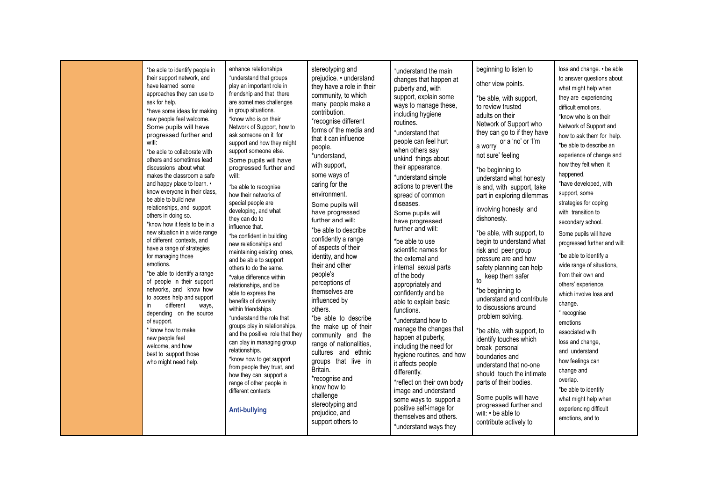| *be able to identify people in<br>their support network, and<br>have learned some<br>approaches they can use to<br>ask for help.<br>*have some ideas for making<br>new people feel welcome.<br>Some pupils will have<br>progressed further and<br>will:<br>*be able to collaborate with<br>others and sometimes lead<br>discussions about what<br>makes the classroom a safe<br>and happy place to learn. •<br>know everyone in their class,<br>be able to build new<br>relationships, and support<br>others in doing so.<br>*know how it feels to be in a<br>new situation in a wide range<br>of different contexts, and<br>have a range of strategies<br>for managing those<br>emotions.<br>*be able to identify a range<br>of people in their support<br>networks, and know how<br>to access help and support<br>different<br>in.<br>ways,<br>depending on the source<br>of support.<br>* know how to make<br>new people feel<br>welcome, and how<br>best to support those<br>who might need help. | enhance relationships.<br>*understand that groups<br>play an important role in<br>friendship and that there<br>are sometimes challenges<br>in group situations.<br>*know who is on their<br>Network of Support, how to<br>ask someone on it for<br>support and how they might<br>support someone else.<br>Some pupils will have<br>progressed further and<br>will:<br>*be able to recognise<br>how their networks of<br>special people are<br>developing, and what<br>they can do to<br>influence that.<br>*be confident in building<br>new relationships and<br>maintaining existing ones,<br>and be able to support<br>others to do the same.<br>*value difference within<br>relationships, and be<br>able to express the<br>benefits of diversity<br>within friendships.<br>*understand the role that<br>groups play in relationships,<br>and the positive role that they<br>can play in managing group<br>relationships.<br>*know how to get support<br>from people they trust, and<br>how they can support a<br>range of other people in<br>different contexts<br><b>Anti-bullying</b> | stereotyping and<br>prejudice. • understand<br>they have a role in their<br>community, to which<br>many people make a<br>contribution.<br>*recognise different<br>forms of the media and<br>that it can influence<br>people.<br>*understand,<br>with support,<br>some ways of<br>caring for the<br>environment.<br>Some pupils will<br>have progressed<br>further and will:<br>*be able to describe<br>confidently a range<br>of aspects of their<br>identity, and how<br>their and other<br>people's<br>perceptions of<br>themselves are<br>influenced by<br>others.<br>*be able to describe<br>the make up of their<br>community and the<br>range of nationalities,<br>cultures and ethnic<br>groups that live in<br>Britain.<br>*recognise and<br>know how to<br>challenge<br>stereotyping and<br>prejudice, and<br>support others to | *understand the main<br>changes that happen at<br>puberty and, with<br>support, explain some<br>ways to manage these,<br>including hygiene<br>routines.<br>*understand that<br>people can feel hurt<br>when others say<br>unkind things about<br>their appearance.<br>*understand simple<br>actions to prevent the<br>spread of common<br>diseases.<br>Some pupils will<br>have progressed<br>further and will:<br>*be able to use<br>scientific names for<br>the external and<br>internal sexual parts<br>of the body<br>appropriately and<br>confidently and be<br>able to explain basic<br>functions.<br>*understand how to<br>manage the changes that<br>happen at puberty,<br>including the need for<br>hygiene routines, and how<br>it affects people<br>differently.<br>*reflect on their own body<br>image and understand<br>some ways to support a<br>positive self-image for<br>themselves and others.<br>*understand ways they | beginning to listen to<br>other view points.<br>*be able, with support,<br>to review trusted<br>adults on their<br>Network of Support who<br>they can go to if they have<br>or a 'no' or 'l'm<br>a worry<br>not sure' feeling<br>*be beginning to<br>understand what honesty<br>is and, with support, take<br>part in exploring dilemmas<br>involving honesty and<br>dishonesty.<br>*be able, with support, to<br>begin to understand what<br>risk and peer group<br>pressure are and how<br>safety planning can help<br>keep them safer<br>to<br>*be beginning to<br>understand and contribute<br>to discussions around<br>problem solving.<br>*be able, with support, to<br>identify touches which<br>break personal<br>boundaries and<br>understand that no-one<br>should touch the intimate<br>parts of their bodies.<br>Some pupils will have<br>progressed further and<br>will: • be able to<br>contribute actively to | loss and change. • be able<br>to answer questions about<br>what might help when<br>they are experiencing<br>difficult emotions.<br>*know who is on their<br>Network of Support and<br>how to ask them for help.<br>*be able to describe an<br>experience of change and<br>how they felt when it<br>happened.<br>*have developed, with<br>support, some<br>strategies for coping<br>with transition to<br>secondary school.<br>Some pupils will have<br>progressed further and will:<br>*be able to identify a<br>wide range of situations,<br>from their own and<br>others' experience,<br>which involve loss and<br>change.<br>* recognise<br>emotions<br>associated with<br>loss and change,<br>and understand<br>how feelings can<br>change and<br>overlap.<br>*be able to identify<br>what might help when<br>experiencing difficult<br>emotions, and to |
|-------------------------------------------------------------------------------------------------------------------------------------------------------------------------------------------------------------------------------------------------------------------------------------------------------------------------------------------------------------------------------------------------------------------------------------------------------------------------------------------------------------------------------------------------------------------------------------------------------------------------------------------------------------------------------------------------------------------------------------------------------------------------------------------------------------------------------------------------------------------------------------------------------------------------------------------------------------------------------------------------------|---------------------------------------------------------------------------------------------------------------------------------------------------------------------------------------------------------------------------------------------------------------------------------------------------------------------------------------------------------------------------------------------------------------------------------------------------------------------------------------------------------------------------------------------------------------------------------------------------------------------------------------------------------------------------------------------------------------------------------------------------------------------------------------------------------------------------------------------------------------------------------------------------------------------------------------------------------------------------------------------------------------------------------------------------------------------------------------------|------------------------------------------------------------------------------------------------------------------------------------------------------------------------------------------------------------------------------------------------------------------------------------------------------------------------------------------------------------------------------------------------------------------------------------------------------------------------------------------------------------------------------------------------------------------------------------------------------------------------------------------------------------------------------------------------------------------------------------------------------------------------------------------------------------------------------------------|-------------------------------------------------------------------------------------------------------------------------------------------------------------------------------------------------------------------------------------------------------------------------------------------------------------------------------------------------------------------------------------------------------------------------------------------------------------------------------------------------------------------------------------------------------------------------------------------------------------------------------------------------------------------------------------------------------------------------------------------------------------------------------------------------------------------------------------------------------------------------------------------------------------------------------------------|------------------------------------------------------------------------------------------------------------------------------------------------------------------------------------------------------------------------------------------------------------------------------------------------------------------------------------------------------------------------------------------------------------------------------------------------------------------------------------------------------------------------------------------------------------------------------------------------------------------------------------------------------------------------------------------------------------------------------------------------------------------------------------------------------------------------------------------------------------------------------------------------------------------------------|--------------------------------------------------------------------------------------------------------------------------------------------------------------------------------------------------------------------------------------------------------------------------------------------------------------------------------------------------------------------------------------------------------------------------------------------------------------------------------------------------------------------------------------------------------------------------------------------------------------------------------------------------------------------------------------------------------------------------------------------------------------------------------------------------------------------------------------------------------------|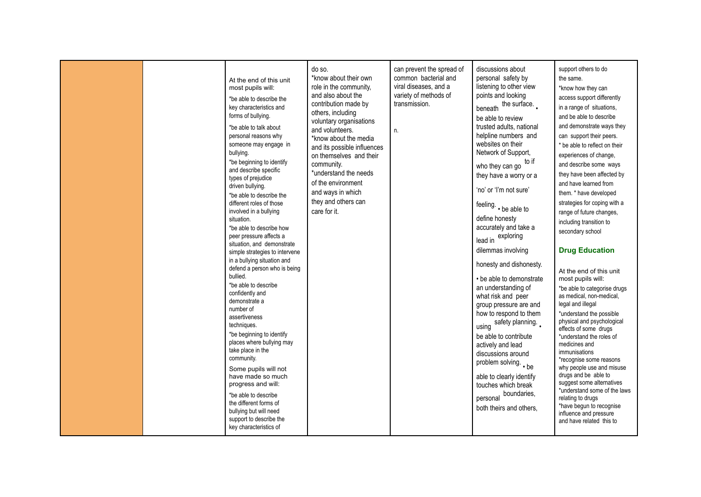|  | At the end of this unit<br>most pupils will:<br>*be able to describe the<br>key characteristics and<br>forms of bullying.<br>*be able to talk about<br>personal reasons why<br>someone may engage in<br>bullying.<br>*be beginning to identify<br>and describe specific<br>types of prejudice<br>driven bullying.<br>*be able to describe the<br>different roles of those<br>involved in a bullying<br>situation.<br>*be able to describe how<br>peer pressure affects a<br>situation, and demonstrate<br>simple strategies to intervene<br>in a bullying situation and<br>defend a person who is being<br>bullied.<br>*be able to describe<br>confidently and<br>demonstrate a<br>number of<br>assertiveness<br>techniques.<br>*be beginning to identify<br>places where bullying may<br>take place in the<br>community.<br>Some pupils will not<br>have made so much<br>progress and will:<br>*be able to describe<br>the different forms of<br>bullying but will need<br>support to describe the<br>key characteristics of | do so.<br>*know about their own<br>role in the community,<br>and also about the<br>contribution made by<br>others, including<br>voluntary organisations<br>and volunteers.<br>*know about the media<br>and its possible influences<br>on themselves and their<br>community.<br>*understand the needs<br>of the environment<br>and ways in which<br>they and others can<br>care for it. | can prevent the spread of<br>common bacterial and<br>viral diseases, and a<br>variety of methods of<br>transmission.<br>n. | discussions about<br>personal safety by<br>listening to other view<br>points and looking<br>beneath the surface<br>be able to review<br>trusted adults, national<br>helpline numbers and<br>websites on their<br>Network of Support,<br>to if<br>who they can go<br>they have a worry or a<br>'no' or 'I'm not sure'<br>feeling. . be able to<br>define honesty<br>accurately and take a<br>lead in exploring<br>dilemmas involving<br>honesty and dishonesty.<br>• be able to demonstrate<br>an understanding of<br>what risk and peer<br>group pressure are and<br>how to respond to them<br>using safety planning<br>be able to contribute<br>actively and lead<br>discussions around<br>problem solving. . be<br>able to clearly identify<br>touches which break<br>boundaries,<br>personal<br>both theirs and others. | support others to do<br>the same.<br>*know how they can<br>access support differently<br>in a range of situations,<br>and be able to describe<br>and demonstrate ways they<br>can support their peers.<br>* be able to reflect on their<br>experiences of change,<br>and describe some ways<br>they have been affected by<br>and have learned from<br>them. * have developed<br>strategies for coping with a<br>range of future changes,<br>including transition to<br>secondary school<br><b>Drug Education</b><br>At the end of this unit<br>most pupils will:<br>*be able to categorise drugs<br>as medical, non-medical,<br>legal and illegal<br>*understand the possible<br>physical and psychological<br>effects of some drugs<br>*understand the roles of<br>medicines and<br>immunisations<br>*recognise some reasons<br>why people use and misuse<br>drugs and be able to<br>suggest some alternatives<br>*understand some of the laws<br>relating to drugs<br>*have begun to recognise<br>influence and pressure<br>and have related this to |
|--|-------------------------------------------------------------------------------------------------------------------------------------------------------------------------------------------------------------------------------------------------------------------------------------------------------------------------------------------------------------------------------------------------------------------------------------------------------------------------------------------------------------------------------------------------------------------------------------------------------------------------------------------------------------------------------------------------------------------------------------------------------------------------------------------------------------------------------------------------------------------------------------------------------------------------------------------------------------------------------------------------------------------------------|----------------------------------------------------------------------------------------------------------------------------------------------------------------------------------------------------------------------------------------------------------------------------------------------------------------------------------------------------------------------------------------|----------------------------------------------------------------------------------------------------------------------------|----------------------------------------------------------------------------------------------------------------------------------------------------------------------------------------------------------------------------------------------------------------------------------------------------------------------------------------------------------------------------------------------------------------------------------------------------------------------------------------------------------------------------------------------------------------------------------------------------------------------------------------------------------------------------------------------------------------------------------------------------------------------------------------------------------------------------|--------------------------------------------------------------------------------------------------------------------------------------------------------------------------------------------------------------------------------------------------------------------------------------------------------------------------------------------------------------------------------------------------------------------------------------------------------------------------------------------------------------------------------------------------------------------------------------------------------------------------------------------------------------------------------------------------------------------------------------------------------------------------------------------------------------------------------------------------------------------------------------------------------------------------------------------------------------------------------------------------------------------------------------------------------|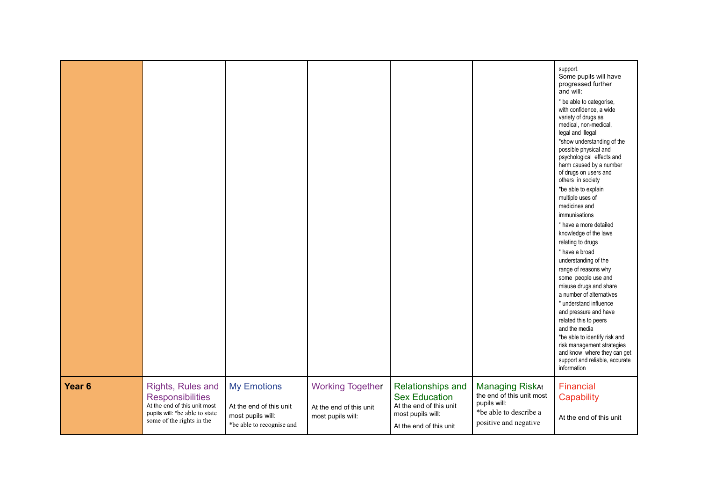|                   |                                                                                                                                             |                                                                                                 |                                                                         |                                                                                                                      |                                                                                                                        | support.<br>Some pupils will have<br>progressed further<br>and will:<br>* be able to categorise,<br>with confidence, a wide<br>variety of drugs as<br>medical, non-medical,<br>legal and illegal<br>*show understanding of the<br>possible physical and<br>psychological effects and<br>harm caused by a number<br>of drugs on users and<br>others in society<br>*be able to explain<br>multiple uses of<br>medicines and<br>immunisations<br>* have a more detailed<br>knowledge of the laws<br>relating to drugs<br>* have a broad<br>understanding of the<br>range of reasons why<br>some people use and<br>misuse drugs and share<br>a number of alternatives<br>* understand influence<br>and pressure and have<br>related this to peers<br>and the media<br>*be able to identify risk and<br>risk management strategies<br>and know where they can get<br>support and reliable, accurate<br>information |
|-------------------|---------------------------------------------------------------------------------------------------------------------------------------------|-------------------------------------------------------------------------------------------------|-------------------------------------------------------------------------|----------------------------------------------------------------------------------------------------------------------|------------------------------------------------------------------------------------------------------------------------|---------------------------------------------------------------------------------------------------------------------------------------------------------------------------------------------------------------------------------------------------------------------------------------------------------------------------------------------------------------------------------------------------------------------------------------------------------------------------------------------------------------------------------------------------------------------------------------------------------------------------------------------------------------------------------------------------------------------------------------------------------------------------------------------------------------------------------------------------------------------------------------------------------------|
| Year <sub>6</sub> | Rights, Rules and<br><b>Responsibilities</b><br>At the end of this unit most<br>pupils will: *be able to state<br>some of the rights in the | <b>My Emotions</b><br>At the end of this unit<br>most pupils will:<br>*be able to recognise and | <b>Working Together</b><br>At the end of this unit<br>most pupils will: | Relationships and<br><b>Sex Education</b><br>At the end of this unit<br>most pupils will:<br>At the end of this unit | <b>Managing RiskAt</b><br>the end of this unit most<br>pupils will:<br>*be able to describe a<br>positive and negative | Financial<br>Capability<br>At the end of this unit                                                                                                                                                                                                                                                                                                                                                                                                                                                                                                                                                                                                                                                                                                                                                                                                                                                            |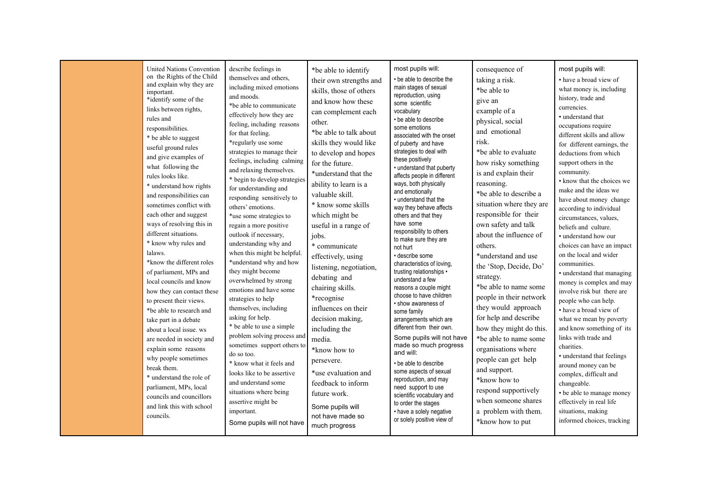| United Nations Convention<br>on the Rights of the Child | describe feelings in<br>themselves and others. | *be able to identify                 | most pupils will:                                  | consequence of           | most pupils will:                                 |
|---------------------------------------------------------|------------------------------------------------|--------------------------------------|----------------------------------------------------|--------------------------|---------------------------------------------------|
| and explain why they are                                | including mixed emotions                       | their own strengths and              | • be able to describe the<br>main stages of sexual | taking a risk.           | • have a broad view of                            |
| important.                                              | and moods.                                     | skills, those of others              | reproduction, using                                | *be able to              | what money is, including                          |
| *identify some of the                                   | *be able to communicate                        | and know how these                   | some scientific                                    | give an                  | history, trade and                                |
| links between rights,                                   | effectively how they are                       | can complement each                  | vocabulary                                         | example of a             | currencies.                                       |
| rules and                                               | feeling, including reasons                     | other.                               | • be able to describe                              | physical, social         | • understand that                                 |
| responsibilities.                                       | for that feeling.                              | *be able to talk about               | some emotions                                      | and emotional            | occupations require                               |
| * be able to suggest                                    | *regularly use some                            | skills they would like               | associated with the onset                          | risk.                    | different skills and allow                        |
| useful ground rules                                     | strategies to manage their                     |                                      | of puberty and have<br>strategies to deal with     | *be able to evaluate     | for different earnings, the                       |
| and give examples of                                    | feelings, including calming                    | to develop and hopes                 | these positively                                   |                          | deductions from which                             |
| what following the                                      | and relaxing themselves.                       | for the future.                      | • understand that puberty                          | how risky something      | support others in the                             |
| rules looks like.                                       | * begin to develop strategies                  | *understand that the                 | affects people in different                        | is and explain their     | community.                                        |
| * understand how rights                                 | for understanding and                          | ability to learn is a                | ways, both physically                              | reasoning.               | • know that the choices we                        |
| and responsibilities can                                | responding sensitively to                      | valuable skill.                      | and emotionally                                    | *be able to describe a   | make and the ideas we                             |
| sometimes conflict with                                 | others' emotions.                              | * know some skills                   | • understand that the<br>way they behave affects   | situation where they are | have about money change                           |
| each other and suggest                                  | *use some strategies to                        | which might be                       | others and that they                               | responsible for their    | according to individual<br>circumstances, values, |
| ways of resolving this in                               | regain a more positive                         | useful in a range of                 | have some                                          | own safety and talk      | beliefs and culture.                              |
| different situations.                                   | outlook if necessary,                          | jobs.                                | responsibility to others                           | about the influence of   | • understand how our                              |
| * know why rules and                                    | understanding why and                          | * communicate                        | to make sure they are                              | others.                  | choices can have an impact                        |
| lalaws.                                                 | when this might be helpful.                    |                                      | not hurt<br>· describe some                        | *understand and use      | on the local and wider                            |
| *know the different roles                               | *understand why and how                        | effectively, using                   | characteristics of loving,                         |                          | communities.                                      |
| of parliament, MPs and                                  | they might become                              | listening, negotiation,              | trusting relationships •                           | the 'Stop, Decide, Do'   | • understand that managing                        |
| local councils and know                                 | overwhelmed by strong                          | debating and                         | understand a few                                   | strategy.                | money is complex and may                          |
| how they can contact these                              | emotions and have some                         | chairing skills.                     | reasons a couple might                             | *be able to name some    | involve risk but there are                        |
| to present their views.                                 | strategies to help                             | *recognise                           | choose to have children                            | people in their network  | people who can help.                              |
| *be able to research and                                | themselves, including                          | influences on their                  | • show awareness of<br>some family                 | they would approach      | • have a broad view of                            |
| take part in a debate                                   | asking for help.                               | decision making,                     | arrangements which are                             | for help and describe    | what we mean by poverty                           |
| about a local issue, ws                                 | * be able to use a simple                      | including the                        | different from their own.                          | how they might do this.  | and know something of its                         |
| are needed in society and                               | problem solving process and                    | media.                               | Some pupils will not have                          | *be able to name some    | links with trade and                              |
| explain some reasons                                    | sometimes support others to                    | *know how to                         | made so much progress                              | organisations where      | charities.                                        |
| why people sometimes                                    | do so too.                                     |                                      | and will:                                          | people can get help      | • understand that feelings                        |
| break them.                                             | * know what it feels and                       | persevere.                           | • be able to describe                              |                          | around money can be                               |
| * understand the role of                                | looks like to be assertive                     | *use evaluation and                  | some aspects of sexual                             | and support.             | complex, difficult and                            |
| parliament, MPs, local                                  | and understand some                            | feedback to inform                   | reproduction, and may<br>need support to use       | *know how to             | changeable.                                       |
| councils and councillors                                | situations where being                         | future work.                         | scientific vocabulary and                          | respond supportively     | • be able to manage money                         |
| and link this with school                               | assertive might be                             |                                      | to order the stages                                | when someone shares      | effectively in real life                          |
| councils.                                               | important.                                     | Some pupils will<br>not have made so | • have a solely negative                           | a problem with them.     | situations, making                                |
|                                                         | Some pupils will not have                      | much progress                        | or solely positive view of                         | *know how to put         | informed choices, tracking                        |
|                                                         |                                                |                                      |                                                    |                          |                                                   |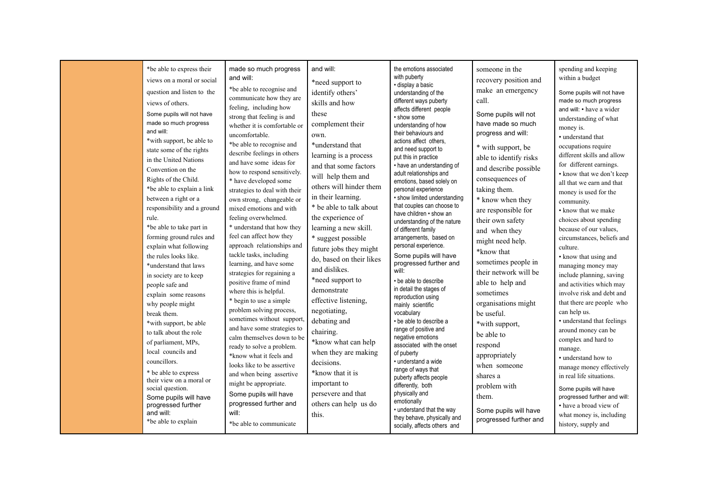| *be able to express their<br>views on a moral or social<br>question and listen to the<br>views of others.<br>Some pupils will not have<br>made so much progress<br>and will:<br>*with support, be able to<br>state some of the rights<br>in the United Nations<br>Convention on the<br>Rights of the Child.<br>*be able to explain a link<br>between a right or a<br>responsibility and a ground<br>rule.<br>*be able to take part in<br>forming ground rules and<br>explain what following<br>the rules looks like.<br>*understand that laws<br>in society are to keep<br>people safe and<br>explain some reasons<br>why people might<br>break them.<br>*with support, be able<br>to talk about the role<br>of parliament, MPs,<br>local councils and<br>councillors.<br>* be able to express<br>their view on a moral or<br>social question.<br>Some pupils will have<br>progressed further | made so much progress<br>and will:<br>*be able to recognise and<br>communicate how they are<br>feeling, including how<br>strong that feeling is and<br>whether it is comfortable or<br>uncomfortable.<br>*be able to recognise and<br>describe feelings in others<br>and have some ideas for<br>how to respond sensitively.<br>* have developed some<br>strategies to deal with their<br>own strong, changeable or<br>mixed emotions and with<br>feeling overwhelmed.<br>* understand that how they<br>feel can affect how they<br>approach relationships and<br>tackle tasks, including<br>learning, and have some<br>strategies for regaining a<br>positive frame of mind<br>where this is helpful.<br>* begin to use a simple<br>problem solving process,<br>sometimes without support,<br>and have some strategies to<br>calm themselves down to be<br>ready to solve a problem.<br>*know what it feels and<br>looks like to be assertive<br>and when being assertive<br>might be appropriate.<br>Some pupils will have<br>progressed further and | and will:<br>*need support to<br>identify others'<br>skills and how<br>these<br>complement their<br>own.<br>*understand that<br>learning is a process<br>and that some factors<br>will help them and<br>others will hinder them<br>in their learning.<br>* be able to talk about<br>the experience of<br>learning a new skill.<br>* suggest possible<br>future jobs they might<br>do, based on their likes<br>and dislikes.<br>*need support to<br>demonstrate<br>effective listening,<br>negotiating,<br>debating and<br>chairing.<br>*know what can help<br>when they are making<br>decisions.<br>*know that it is<br>important to<br>persevere and that<br>others can help us do | the emotions associated<br>with puberty<br>· display a basic<br>understanding of the<br>different ways puberty<br>affects different people<br>• show some<br>understanding of how<br>their behaviours and<br>actions affect others.<br>and need support to<br>put this in practice<br>• have an understanding of<br>adult relationships and<br>emotions, based solely on<br>personal experience<br>· show limited understanding<br>that couples can choose to<br>have children • show an<br>understanding of the nature<br>of different family<br>arrangements, based on<br>personal experience.<br>Some pupils will have<br>progressed further and<br>will:<br>• be able to describe<br>in detail the stages of<br>reproduction using<br>mainly scientific<br>vocabulary<br>• be able to describe a<br>range of positive and<br>negative emotions<br>associated with the onset<br>of puberty<br>· understand a wide<br>range of ways that<br>puberty affects people<br>differently, both<br>physically and<br>emotionally<br>• understand that the way | someone in the<br>recovery position and<br>make an emergency<br>call.<br>Some pupils will not<br>have made so much<br>progress and will:<br>* with support, be<br>able to identify risks<br>and describe possible<br>consequences of<br>taking them.<br>* know when they<br>are responsible for<br>their own safety<br>and when they<br>might need help.<br>*know that<br>sometimes people in<br>their network will be<br>able to help and<br>sometimes<br>organisations might<br>be useful.<br>*with support,<br>be able to<br>respond<br>appropriately<br>when someone<br>shares a<br>problem with<br>them. | spending and keeping<br>within a budget<br>Some pupils will not have<br>made so much progress<br>and will: • have a wider<br>understanding of what<br>money is.<br>· understand that<br>occupations require<br>different skills and allow<br>for different earnings.<br>• know that we don't keep<br>all that we earn and that<br>money is used for the<br>community.<br>• know that we make<br>choices about spending<br>because of our values,<br>circumstances, beliefs and<br>culture.<br>• know that using and<br>managing money may<br>include planning, saving<br>and activities which may<br>involve risk and debt and<br>that there are people who<br>can help us.<br>• understand that feelings<br>around money can be<br>complex and hard to<br>manage.<br>• understand how to<br>manage money effectively<br>in real life situations.<br>Some pupils will have<br>progressed further and will:<br>• have a broad view of |
|-----------------------------------------------------------------------------------------------------------------------------------------------------------------------------------------------------------------------------------------------------------------------------------------------------------------------------------------------------------------------------------------------------------------------------------------------------------------------------------------------------------------------------------------------------------------------------------------------------------------------------------------------------------------------------------------------------------------------------------------------------------------------------------------------------------------------------------------------------------------------------------------------|-------------------------------------------------------------------------------------------------------------------------------------------------------------------------------------------------------------------------------------------------------------------------------------------------------------------------------------------------------------------------------------------------------------------------------------------------------------------------------------------------------------------------------------------------------------------------------------------------------------------------------------------------------------------------------------------------------------------------------------------------------------------------------------------------------------------------------------------------------------------------------------------------------------------------------------------------------------------------------------------------------------------------------------------------------|-------------------------------------------------------------------------------------------------------------------------------------------------------------------------------------------------------------------------------------------------------------------------------------------------------------------------------------------------------------------------------------------------------------------------------------------------------------------------------------------------------------------------------------------------------------------------------------------------------------------------------------------------------------------------------------|---------------------------------------------------------------------------------------------------------------------------------------------------------------------------------------------------------------------------------------------------------------------------------------------------------------------------------------------------------------------------------------------------------------------------------------------------------------------------------------------------------------------------------------------------------------------------------------------------------------------------------------------------------------------------------------------------------------------------------------------------------------------------------------------------------------------------------------------------------------------------------------------------------------------------------------------------------------------------------------------------------------------------------------------------------|---------------------------------------------------------------------------------------------------------------------------------------------------------------------------------------------------------------------------------------------------------------------------------------------------------------------------------------------------------------------------------------------------------------------------------------------------------------------------------------------------------------------------------------------------------------------------------------------------------------|--------------------------------------------------------------------------------------------------------------------------------------------------------------------------------------------------------------------------------------------------------------------------------------------------------------------------------------------------------------------------------------------------------------------------------------------------------------------------------------------------------------------------------------------------------------------------------------------------------------------------------------------------------------------------------------------------------------------------------------------------------------------------------------------------------------------------------------------------------------------------------------------------------------------------------------|
| and will:<br>*be able to explain                                                                                                                                                                                                                                                                                                                                                                                                                                                                                                                                                                                                                                                                                                                                                                                                                                                              | will:<br>*be able to communicate                                                                                                                                                                                                                                                                                                                                                                                                                                                                                                                                                                                                                                                                                                                                                                                                                                                                                                                                                                                                                      | this.                                                                                                                                                                                                                                                                                                                                                                                                                                                                                                                                                                                                                                                                               | they behave, physically and<br>socially, affects others and                                                                                                                                                                                                                                                                                                                                                                                                                                                                                                                                                                                                                                                                                                                                                                                                                                                                                                                                                                                             | Some pupils will have<br>progressed further and                                                                                                                                                                                                                                                                                                                                                                                                                                                                                                                                                               | what money is, including<br>history, supply and                                                                                                                                                                                                                                                                                                                                                                                                                                                                                                                                                                                                                                                                                                                                                                                                                                                                                      |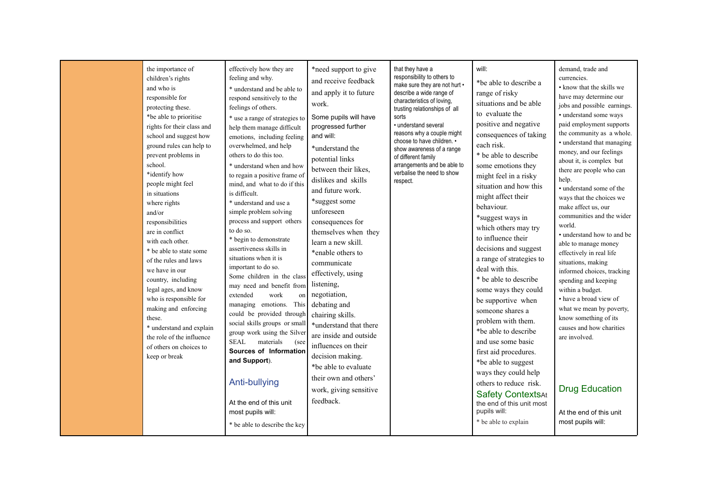|  | the importance of<br>children's rights<br>and who is<br>responsible for<br>protecting these.<br>*be able to prioritise<br>rights for their class and<br>school and suggest how<br>ground rules can help to<br>prevent problems in<br>school.<br>*identify how<br>people might feel<br>in situations<br>where rights<br>and/or<br>responsibilities<br>are in conflict<br>with each other.<br>* be able to state some<br>of the rules and laws<br>we have in our<br>country, including<br>legal ages, and know<br>who is responsible for<br>making and enforcing<br>these.<br>* understand and explain<br>the role of the influence<br>of others on choices to<br>keep or break | effectively how they are<br>feeling and why.<br>* understand and be able to<br>respond sensitively to the<br>feelings of others.<br>* use a range of strategies to<br>help them manage difficult<br>emotions, including feeling<br>overwhelmed, and help<br>others to do this too.<br>* understand when and how<br>to regain a positive frame of<br>mind, and what to do if this<br>is difficult.<br>* understand and use a<br>simple problem solving<br>process and support others<br>to do so.<br>* begin to demonstrate<br>assertiveness skills in<br>situations when it is<br>important to do so.<br>Some children in the class<br>may need and benefit from<br>work<br>extended<br>on  <br>managing emotions. This<br>could be provided through<br>social skills groups or small<br>group work using the Silver<br><b>SEAL</b><br>materials<br>(see<br>Sources of Information<br>and Support).<br>Anti-bullying<br>At the end of this unit<br>most pupils will:<br>* be able to describe the key | *need support to give<br>and receive feedback<br>and apply it to future<br>work.<br>Some pupils will have<br>progressed further<br>and will:<br>*understand the<br>potential links<br>between their likes,<br>dislikes and skills<br>and future work.<br>*suggest some<br>unforeseen<br>consequences for<br>themselves when they<br>learn a new skill.<br>*enable others to<br>communicate<br>effectively, using<br>listening,<br>negotiation,<br>debating and<br>chairing skills.<br>*understand that there<br>are inside and outside<br>influences on their<br>decision making.<br>*be able to evaluate<br>their own and others'<br>work, giving sensitive<br>feedback. | that they have a<br>responsibility to others to<br>make sure they are not hurt •<br>describe a wide range of<br>characteristics of loving,<br>trusting relationships of all<br>sorts<br>• understand several<br>reasons why a couple might<br>choose to have children. •<br>show awareness of a range<br>of different family<br>arrangements and be able to<br>verbalise the need to show<br>respect. | will:<br>*be able to describe a<br>range of risky<br>situations and be able<br>to evaluate the<br>positive and negative<br>consequences of taking<br>each risk.<br>* be able to describe<br>some emotions they<br>might feel in a risky<br>situation and how this<br>might affect their<br>behaviour.<br>*suggest ways in<br>which others may try<br>to influence their<br>decisions and suggest<br>a range of strategies to<br>deal with this.<br>* be able to describe<br>some ways they could<br>be supportive when<br>someone shares a<br>problem with them.<br>*be able to describe<br>and use some basic<br>first aid procedures.<br>*be able to suggest<br>ways they could help<br>others to reduce risk.<br><b>Safety ContextsAt</b><br>the end of this unit most<br>pupils will:<br>* be able to explain | demand, trade and<br>currencies.<br>• know that the skills we<br>have may determine our<br>jobs and possible earnings.<br>• understand some ways<br>paid employment supports<br>the community as a whole.<br>• understand that managing<br>money, and our feelings<br>about it, is complex but<br>there are people who can<br>help.<br>• understand some of the<br>ways that the choices we<br>make affect us, our<br>communities and the wider<br>world.<br>• understand how to and be<br>able to manage money<br>effectively in real life<br>situations, making<br>informed choices, tracking<br>spending and keeping<br>within a budget.<br>• have a broad view of<br>what we mean by poverty,<br>know something of its<br>causes and how charities<br>are involved.<br><b>Drug Education</b><br>At the end of this unit<br>most pupils will: |
|--|-------------------------------------------------------------------------------------------------------------------------------------------------------------------------------------------------------------------------------------------------------------------------------------------------------------------------------------------------------------------------------------------------------------------------------------------------------------------------------------------------------------------------------------------------------------------------------------------------------------------------------------------------------------------------------|-------------------------------------------------------------------------------------------------------------------------------------------------------------------------------------------------------------------------------------------------------------------------------------------------------------------------------------------------------------------------------------------------------------------------------------------------------------------------------------------------------------------------------------------------------------------------------------------------------------------------------------------------------------------------------------------------------------------------------------------------------------------------------------------------------------------------------------------------------------------------------------------------------------------------------------------------------------------------------------------------------|---------------------------------------------------------------------------------------------------------------------------------------------------------------------------------------------------------------------------------------------------------------------------------------------------------------------------------------------------------------------------------------------------------------------------------------------------------------------------------------------------------------------------------------------------------------------------------------------------------------------------------------------------------------------------|-------------------------------------------------------------------------------------------------------------------------------------------------------------------------------------------------------------------------------------------------------------------------------------------------------------------------------------------------------------------------------------------------------|-------------------------------------------------------------------------------------------------------------------------------------------------------------------------------------------------------------------------------------------------------------------------------------------------------------------------------------------------------------------------------------------------------------------------------------------------------------------------------------------------------------------------------------------------------------------------------------------------------------------------------------------------------------------------------------------------------------------------------------------------------------------------------------------------------------------|--------------------------------------------------------------------------------------------------------------------------------------------------------------------------------------------------------------------------------------------------------------------------------------------------------------------------------------------------------------------------------------------------------------------------------------------------------------------------------------------------------------------------------------------------------------------------------------------------------------------------------------------------------------------------------------------------------------------------------------------------------------------------------------------------------------------------------------------------|
|--|-------------------------------------------------------------------------------------------------------------------------------------------------------------------------------------------------------------------------------------------------------------------------------------------------------------------------------------------------------------------------------------------------------------------------------------------------------------------------------------------------------------------------------------------------------------------------------------------------------------------------------------------------------------------------------|-------------------------------------------------------------------------------------------------------------------------------------------------------------------------------------------------------------------------------------------------------------------------------------------------------------------------------------------------------------------------------------------------------------------------------------------------------------------------------------------------------------------------------------------------------------------------------------------------------------------------------------------------------------------------------------------------------------------------------------------------------------------------------------------------------------------------------------------------------------------------------------------------------------------------------------------------------------------------------------------------------|---------------------------------------------------------------------------------------------------------------------------------------------------------------------------------------------------------------------------------------------------------------------------------------------------------------------------------------------------------------------------------------------------------------------------------------------------------------------------------------------------------------------------------------------------------------------------------------------------------------------------------------------------------------------------|-------------------------------------------------------------------------------------------------------------------------------------------------------------------------------------------------------------------------------------------------------------------------------------------------------------------------------------------------------------------------------------------------------|-------------------------------------------------------------------------------------------------------------------------------------------------------------------------------------------------------------------------------------------------------------------------------------------------------------------------------------------------------------------------------------------------------------------------------------------------------------------------------------------------------------------------------------------------------------------------------------------------------------------------------------------------------------------------------------------------------------------------------------------------------------------------------------------------------------------|--------------------------------------------------------------------------------------------------------------------------------------------------------------------------------------------------------------------------------------------------------------------------------------------------------------------------------------------------------------------------------------------------------------------------------------------------------------------------------------------------------------------------------------------------------------------------------------------------------------------------------------------------------------------------------------------------------------------------------------------------------------------------------------------------------------------------------------------------|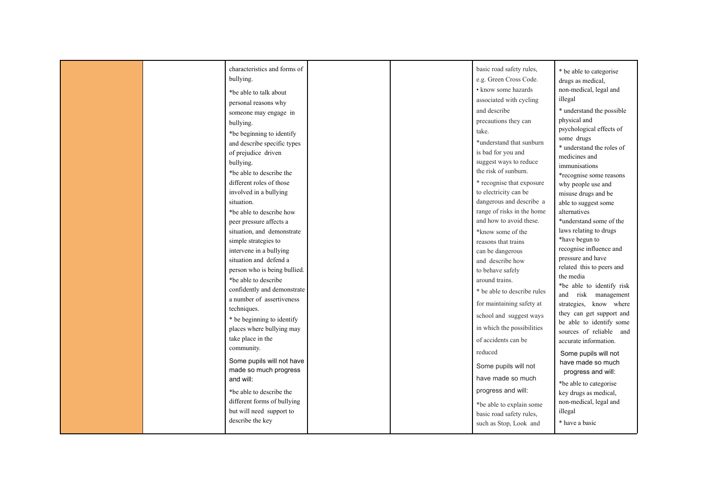|  | characteristics and forms of<br>bullying.<br>*be able to talk about<br>personal reasons why<br>someone may engage in<br>bullying.<br>*be beginning to identify<br>and describe specific types<br>of prejudice driven<br>bullying.<br>*be able to describe the<br>different roles of those<br>involved in a bullying<br>situation.<br>*be able to describe how<br>peer pressure affects a<br>situation, and demonstrate<br>simple strategies to<br>intervene in a bullying<br>situation and defend a<br>person who is being bullied.<br>*be able to describe<br>confidently and demonstrate<br>a number of assertiveness<br>techniques.<br>* be beginning to identify<br>places where bullying may<br>take place in the<br>community. |  | basic road safety rules,<br>e.g. Green Cross Code.<br>• know some hazards<br>associated with cycling<br>and describe<br>precautions they can<br>take.<br>*understand that sunburn<br>is bad for you and<br>suggest ways to reduce<br>the risk of sunburn.<br>* recognise that exposure<br>to electricity can be<br>dangerous and describe a<br>range of risks in the home<br>and how to avoid these.<br>*know some of the<br>reasons that trains<br>can be dangerous<br>and describe how<br>to behave safely<br>around trains.<br>* be able to describe rules<br>for maintaining safety at<br>school and suggest ways<br>in which the possibilities<br>of accidents can be<br>reduced | * be able to categorise<br>drugs as medical,<br>non-medical, legal and<br>illegal<br>* understand the possible<br>physical and<br>psychological effects of<br>some drugs<br>* understand the roles of<br>medicines and<br>immunisations<br>*recognise some reasons<br>why people use and<br>misuse drugs and be<br>able to suggest some<br>alternatives<br>*understand some of the<br>laws relating to drugs<br>*have begun to<br>recognise influence and<br>pressure and have<br>related this to peers and<br>the media<br>*be able to identify risk<br>and risk management<br>strategies, know where<br>they can get support and<br>be able to identify some<br>sources of reliable and<br>accurate information.<br>Some pupils will not |
|--|--------------------------------------------------------------------------------------------------------------------------------------------------------------------------------------------------------------------------------------------------------------------------------------------------------------------------------------------------------------------------------------------------------------------------------------------------------------------------------------------------------------------------------------------------------------------------------------------------------------------------------------------------------------------------------------------------------------------------------------|--|---------------------------------------------------------------------------------------------------------------------------------------------------------------------------------------------------------------------------------------------------------------------------------------------------------------------------------------------------------------------------------------------------------------------------------------------------------------------------------------------------------------------------------------------------------------------------------------------------------------------------------------------------------------------------------------|--------------------------------------------------------------------------------------------------------------------------------------------------------------------------------------------------------------------------------------------------------------------------------------------------------------------------------------------------------------------------------------------------------------------------------------------------------------------------------------------------------------------------------------------------------------------------------------------------------------------------------------------------------------------------------------------------------------------------------------------|
|  | Some pupils will not have<br>made so much progress<br>and will:<br>*be able to describe the<br>different forms of bullying<br>but will need support to<br>describe the key                                                                                                                                                                                                                                                                                                                                                                                                                                                                                                                                                           |  | Some pupils will not<br>have made so much<br>progress and will:<br>*be able to explain some<br>basic road safety rules,<br>such as Stop, Look and                                                                                                                                                                                                                                                                                                                                                                                                                                                                                                                                     | have made so much<br>progress and will:<br>*be able to categorise<br>key drugs as medical,<br>non-medical, legal and<br>illegal<br>* have a basic                                                                                                                                                                                                                                                                                                                                                                                                                                                                                                                                                                                          |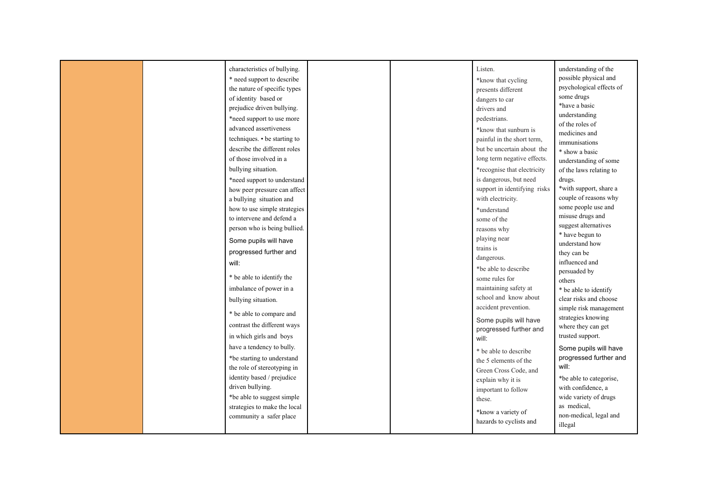|  | characteristics of bullying.<br>* need support to describe<br>the nature of specific types<br>of identity based or<br>prejudice driven bullying.<br>*need support to use more<br>advanced assertiveness<br>techniques. • be starting to<br>describe the different roles<br>of those involved in a<br>bullying situation.<br>*need support to understand<br>how peer pressure can affect<br>a bullying situation and<br>how to use simple strategies<br>to intervene and defend a<br>person who is being bullied.<br>Some pupils will have<br>progressed further and<br>will:<br>* be able to identify the<br>imbalance of power in a<br>bullying situation.<br>* be able to compare and<br>contrast the different ways<br>in which girls and boys<br>have a tendency to bully.<br>*be starting to understand<br>the role of stereotyping in<br>identity based / prejudice<br>driven bullying.<br>*be able to suggest simple<br>strategies to make the local<br>community a safer place |  | Listen.<br>*know that cycling<br>presents different<br>dangers to car<br>drivers and<br>pedestrians.<br>*know that sunburn is<br>painful in the short term,<br>but be uncertain about the<br>long term negative effects.<br>*recognise that electricity<br>is dangerous, but need<br>support in identifying risks<br>with electricity.<br>*understand<br>some of the<br>reasons why<br>playing near<br>trains is<br>dangerous.<br>*be able to describe<br>some rules for<br>maintaining safety at<br>school and know about<br>accident prevention.<br>Some pupils will have<br>progressed further and<br>will:<br>* be able to describe<br>the 5 elements of the<br>Green Cross Code, and<br>explain why it is<br>important to follow<br>these.<br>*know a variety of | understanding of the<br>possible physical and<br>psychological effects of<br>some drugs<br>*have a basic<br>understanding<br>of the roles of<br>medicines and<br>immunisations<br>* show a basic<br>understanding of some<br>of the laws relating to<br>drugs.<br>*with support, share a<br>couple of reasons why<br>some people use and<br>misuse drugs and<br>suggest alternatives<br>* have begun to<br>understand how<br>they can be<br>influenced and<br>persuaded by<br>others<br>* be able to identify<br>clear risks and choose<br>simple risk management<br>strategies knowing<br>where they can get<br>trusted support.<br>Some pupils will have<br>progressed further and<br>will:<br>*be able to categorise,<br>with confidence, a<br>wide variety of drugs<br>as medical,<br>non-medical, legal and |
|--|----------------------------------------------------------------------------------------------------------------------------------------------------------------------------------------------------------------------------------------------------------------------------------------------------------------------------------------------------------------------------------------------------------------------------------------------------------------------------------------------------------------------------------------------------------------------------------------------------------------------------------------------------------------------------------------------------------------------------------------------------------------------------------------------------------------------------------------------------------------------------------------------------------------------------------------------------------------------------------------|--|-----------------------------------------------------------------------------------------------------------------------------------------------------------------------------------------------------------------------------------------------------------------------------------------------------------------------------------------------------------------------------------------------------------------------------------------------------------------------------------------------------------------------------------------------------------------------------------------------------------------------------------------------------------------------------------------------------------------------------------------------------------------------|------------------------------------------------------------------------------------------------------------------------------------------------------------------------------------------------------------------------------------------------------------------------------------------------------------------------------------------------------------------------------------------------------------------------------------------------------------------------------------------------------------------------------------------------------------------------------------------------------------------------------------------------------------------------------------------------------------------------------------------------------------------------------------------------------------------|
|  |                                                                                                                                                                                                                                                                                                                                                                                                                                                                                                                                                                                                                                                                                                                                                                                                                                                                                                                                                                                        |  | hazards to cyclists and                                                                                                                                                                                                                                                                                                                                                                                                                                                                                                                                                                                                                                                                                                                                               | illegal                                                                                                                                                                                                                                                                                                                                                                                                                                                                                                                                                                                                                                                                                                                                                                                                          |